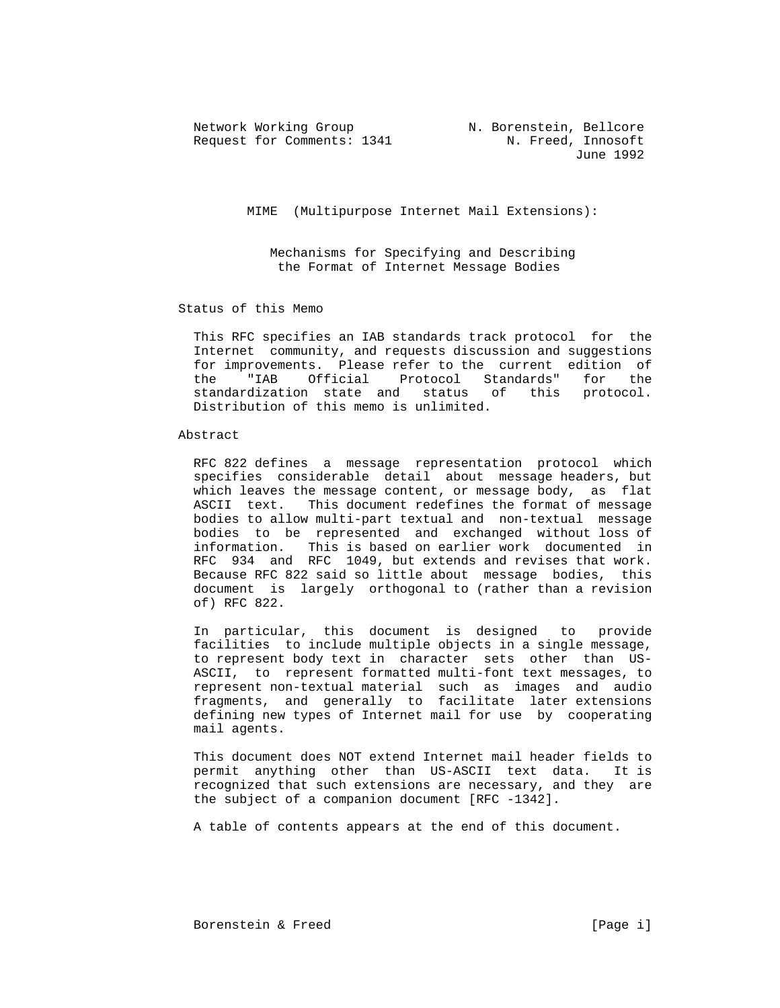Network Working Group N. Borenstein, Bellcore Request for Comments: 1341 N. Freed, Innosoft

June 1992

MIME (Multipurpose Internet Mail Extensions):

 Mechanisms for Specifying and Describing the Format of Internet Message Bodies

## Status of this Memo

 This RFC specifies an IAB standards track protocol for the Internet community, and requests discussion and suggestions for improvements. Please refer to the current edition of the "IAB Official Protocol Standards" for the standardization state and status of this protocol. Distribution of this memo is unlimited.

#### Abstract

 RFC 822 defines a message representation protocol which specifies considerable detail about message headers, but which leaves the message content, or message body, as flat ASCII text. This document redefines the format of message bodies to allow multi-part textual and non-textual message bodies to be represented and exchanged without loss of information. This is based on earlier work documented in RFC 934 and RFC 1049, but extends and revises that work. Because RFC 822 said so little about message bodies, this document is largely orthogonal to (rather than a revision of) RFC 822.

 In particular, this document is designed to provide facilities to include multiple objects in a single message, to represent body text in character sets other than US- ASCII, to represent formatted multi-font text messages, to represent non-textual material such as images and audio fragments, and generally to facilitate later extensions defining new types of Internet mail for use by cooperating mail agents.

 This document does NOT extend Internet mail header fields to permit anything other than US-ASCII text data. It is recognized that such extensions are necessary, and they are the subject of a companion document [RFC -1342].

A table of contents appears at the end of this document.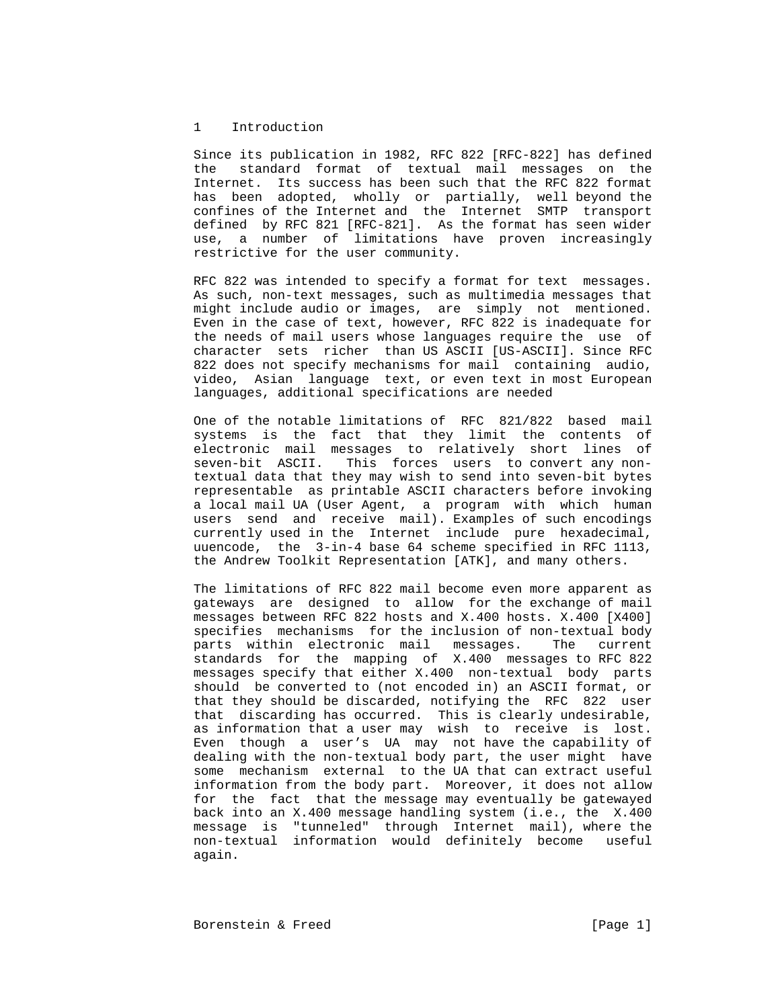## 1 Introduction

 Since its publication in 1982, RFC 822 [RFC-822] has defined the standard format of textual mail messages on the Internet. Its success has been such that the RFC 822 format has been adopted, wholly or partially, well beyond the confines of the Internet and the Internet SMTP transport defined by RFC 821 [RFC-821]. As the format has seen wider use, a number of limitations have proven increasingly restrictive for the user community.

 RFC 822 was intended to specify a format for text messages. As such, non-text messages, such as multimedia messages that might include audio or images, are simply not mentioned. Even in the case of text, however, RFC 822 is inadequate for the needs of mail users whose languages require the use of character sets richer than US ASCII [US-ASCII]. Since RFC 822 does not specify mechanisms for mail containing audio, video, Asian language text, or even text in most European languages, additional specifications are needed

 One of the notable limitations of RFC 821/822 based mail systems is the fact that they limit the contents of electronic mail messages to relatively short lines of seven-bit ASCII. This forces users to convert any non textual data that they may wish to send into seven-bit bytes representable as printable ASCII characters before invoking a local mail UA (User Agent, a program with which human users send and receive mail). Examples of such encodings currently used in the Internet include pure hexadecimal, uuencode, the 3-in-4 base 64 scheme specified in RFC 1113, the Andrew Toolkit Representation [ATK], and many others.

 The limitations of RFC 822 mail become even more apparent as gateways are designed to allow for the exchange of mail messages between RFC 822 hosts and X.400 hosts. X.400 [X400] specifies mechanisms for the inclusion of non-textual body parts within electronic mail messages. The current standards for the mapping of X.400 messages to RFC 822 messages specify that either X.400 non-textual body parts should be converted to (not encoded in) an ASCII format, or that they should be discarded, notifying the RFC 822 user that discarding has occurred. This is clearly undesirable, as information that a user may wish to receive is lost. Even though a user's UA may not have the capability of dealing with the non-textual body part, the user might have some mechanism external to the UA that can extract useful information from the body part. Moreover, it does not allow for the fact that the message may eventually be gatewayed back into an X.400 message handling system (i.e., the X.400 message is "tunneled" through Internet mail), where the non-textual information would definitely become useful again.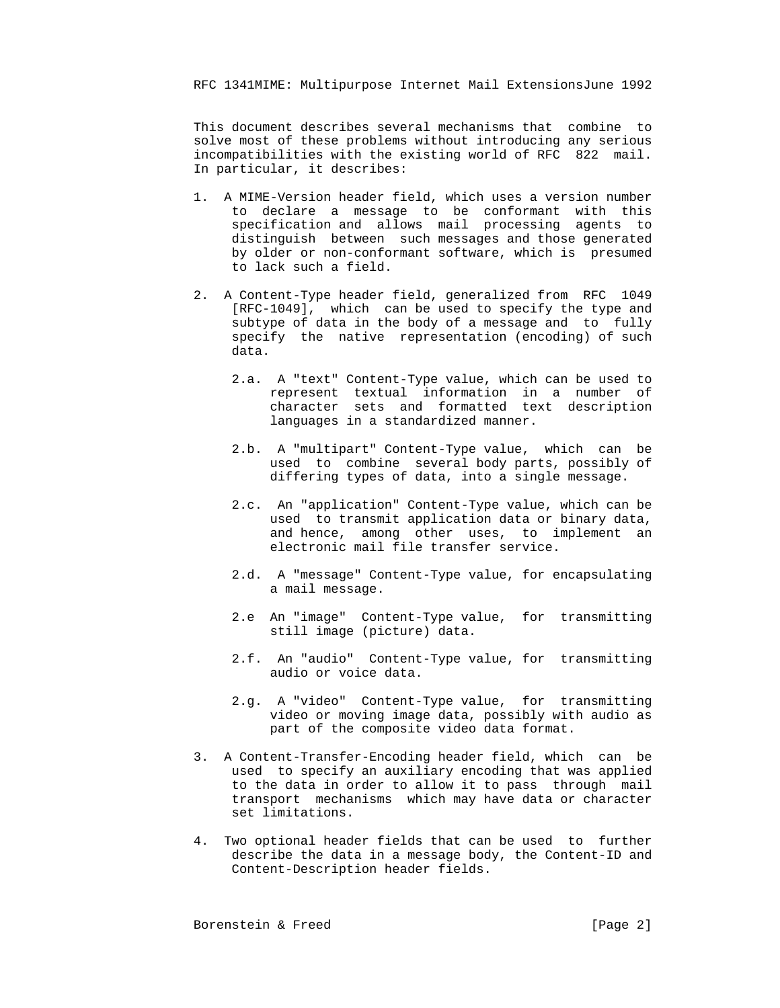This document describes several mechanisms that combine to solve most of these problems without introducing any serious incompatibilities with the existing world of RFC 822 mail. In particular, it describes:

- 1. A MIME-Version header field, which uses a version number to declare a message to be conformant with this specification and allows mail processing agents to distinguish between such messages and those generated by older or non-conformant software, which is presumed to lack such a field.
- 2. A Content-Type header field, generalized from RFC 1049 [RFC-1049], which can be used to specify the type and subtype of data in the body of a message and to fully specify the native representation (encoding) of such data.
	- 2.a. A "text" Content-Type value, which can be used to represent textual information in a number of character sets and formatted text description languages in a standardized manner.
	- 2.b. A "multipart" Content-Type value, which can be used to combine several body parts, possibly of differing types of data, into a single message.
	- 2.c. An "application" Content-Type value, which can be used to transmit application data or binary data, and hence, among other uses, to implement an electronic mail file transfer service.
	- 2.d. A "message" Content-Type value, for encapsulating a mail message.
	- 2.e An "image" Content-Type value, for transmitting still image (picture) data.
	- 2.f. An "audio" Content-Type value, for transmitting audio or voice data.
	- 2.g. A "video" Content-Type value, for transmitting video or moving image data, possibly with audio as part of the composite video data format.
- 3. A Content-Transfer-Encoding header field, which can be used to specify an auxiliary encoding that was applied to the data in order to allow it to pass through mail transport mechanisms which may have data or character set limitations.
- 4. Two optional header fields that can be used to further describe the data in a message body, the Content-ID and Content-Description header fields.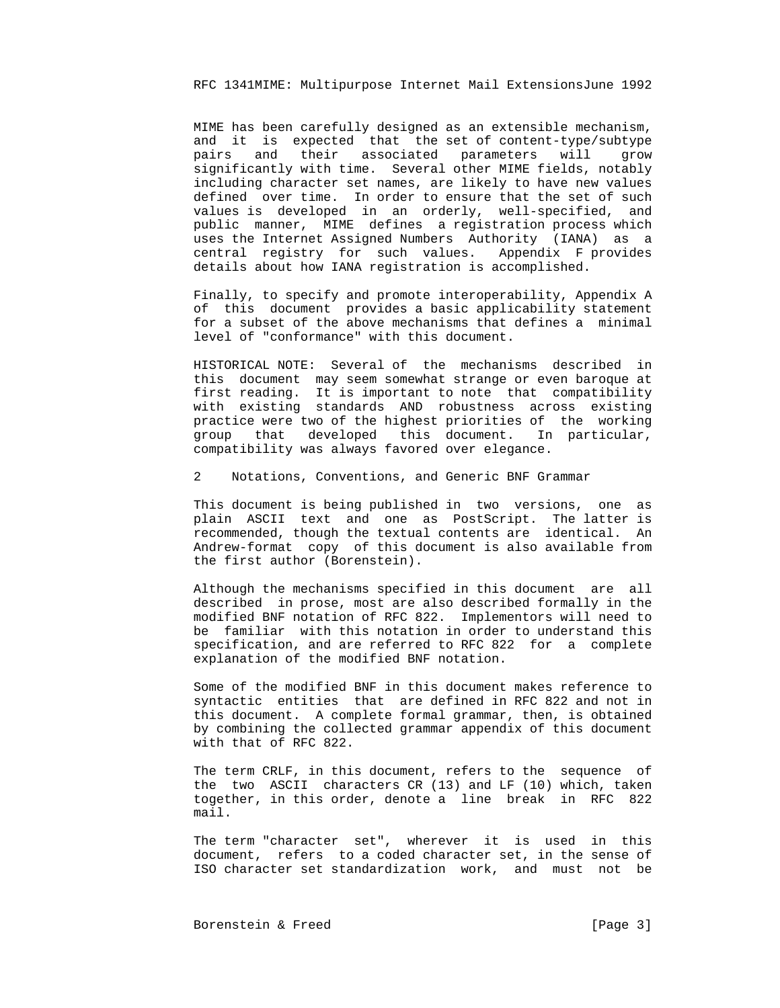MIME has been carefully designed as an extensible mechanism, and it is expected that the set of content-type/subtype pairs and their associated parameters will grow significantly with time. Several other MIME fields, notably including character set names, are likely to have new values defined over time. In order to ensure that the set of such values is developed in an orderly, well-specified, and public manner, MIME defines a registration process which uses the Internet Assigned Numbers Authority (IANA) as a central registry for such values. Appendix F provides details about how IANA registration is accomplished.

 Finally, to specify and promote interoperability, Appendix A of this document provides a basic applicability statement for a subset of the above mechanisms that defines a minimal level of "conformance" with this document.

 HISTORICAL NOTE: Several of the mechanisms described in this document may seem somewhat strange or even baroque at first reading. It is important to note that compatibility with existing standards AND robustness across existing practice were two of the highest priorities of the working group that developed this document. In particular, compatibility was always favored over elegance.

2 Notations, Conventions, and Generic BNF Grammar

 This document is being published in two versions, one as plain ASCII text and one as PostScript. The latter is recommended, though the textual contents are identical. An Andrew-format copy of this document is also available from the first author (Borenstein).

 Although the mechanisms specified in this document are all described in prose, most are also described formally in the modified BNF notation of RFC 822. Implementors will need to be familiar with this notation in order to understand this specification, and are referred to RFC 822 for a complete explanation of the modified BNF notation.

 Some of the modified BNF in this document makes reference to syntactic entities that are defined in RFC 822 and not in this document. A complete formal grammar, then, is obtained by combining the collected grammar appendix of this document with that of RFC 822.

 The term CRLF, in this document, refers to the sequence of the two ASCII characters CR (13) and LF (10) which, taken together, in this order, denote a line break in RFC 822 mail.

 The term "character set", wherever it is used in this document, refers to a coded character set, in the sense of ISO character set standardization work, and must not be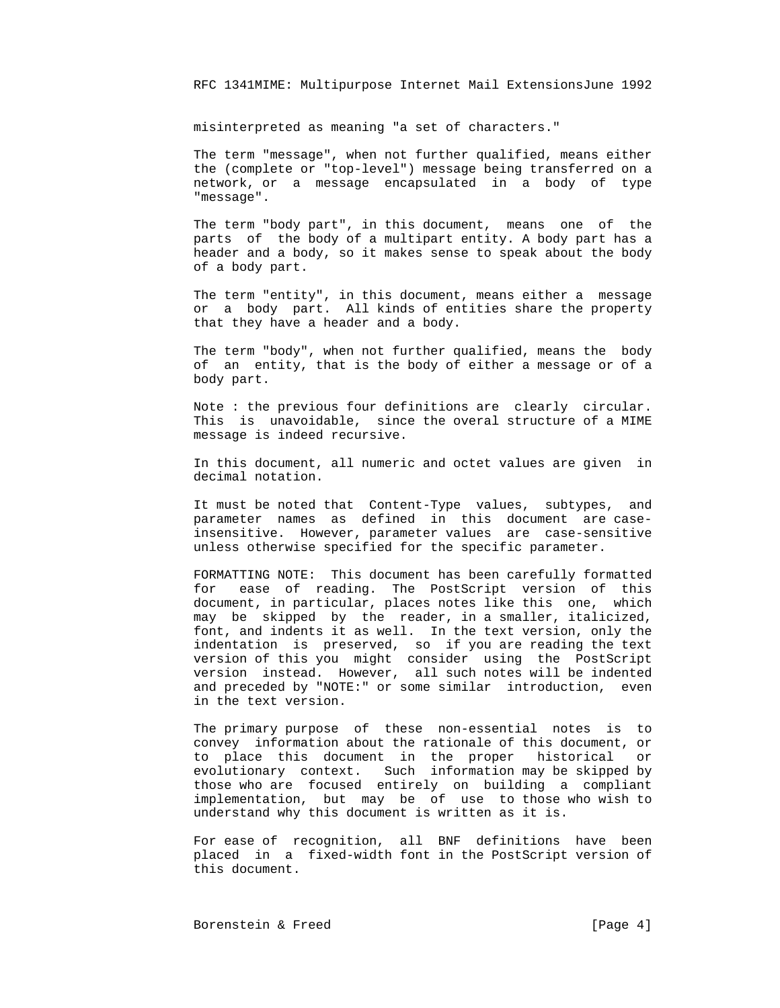misinterpreted as meaning "a set of characters."

 The term "message", when not further qualified, means either the (complete or "top-level") message being transferred on a network, or a message encapsulated in a body of type "message".

 The term "body part", in this document, means one of the parts of the body of a multipart entity. A body part has a header and a body, so it makes sense to speak about the body of a body part.

 The term "entity", in this document, means either a message or a body part. All kinds of entities share the property that they have a header and a body.

 The term "body", when not further qualified, means the body of an entity, that is the body of either a message or of a body part.

 Note : the previous four definitions are clearly circular. This is unavoidable, since the overal structure of a MIME message is indeed recursive.

 In this document, all numeric and octet values are given in decimal notation.

 It must be noted that Content-Type values, subtypes, and parameter names as defined in this document are case insensitive. However, parameter values are case-sensitive unless otherwise specified for the specific parameter.

 FORMATTING NOTE: This document has been carefully formatted for ease of reading. The PostScript version of this document, in particular, places notes like this one, which may be skipped by the reader, in a smaller, italicized, font, and indents it as well. In the text version, only the indentation is preserved, so if you are reading the text version of this you might consider using the PostScript version instead. However, all such notes will be indented and preceded by "NOTE:" or some similar introduction, even in the text version.

 The primary purpose of these non-essential notes is to convey information about the rationale of this document, or to place this document in the proper historical or evolutionary context. Such information may be skipped by those who are focused entirely on building a compliant implementation, but may be of use to those who wish to understand why this document is written as it is.

> For ease of recognition, all BNF definitions have been placed in a fixed-width font in the PostScript version of this document.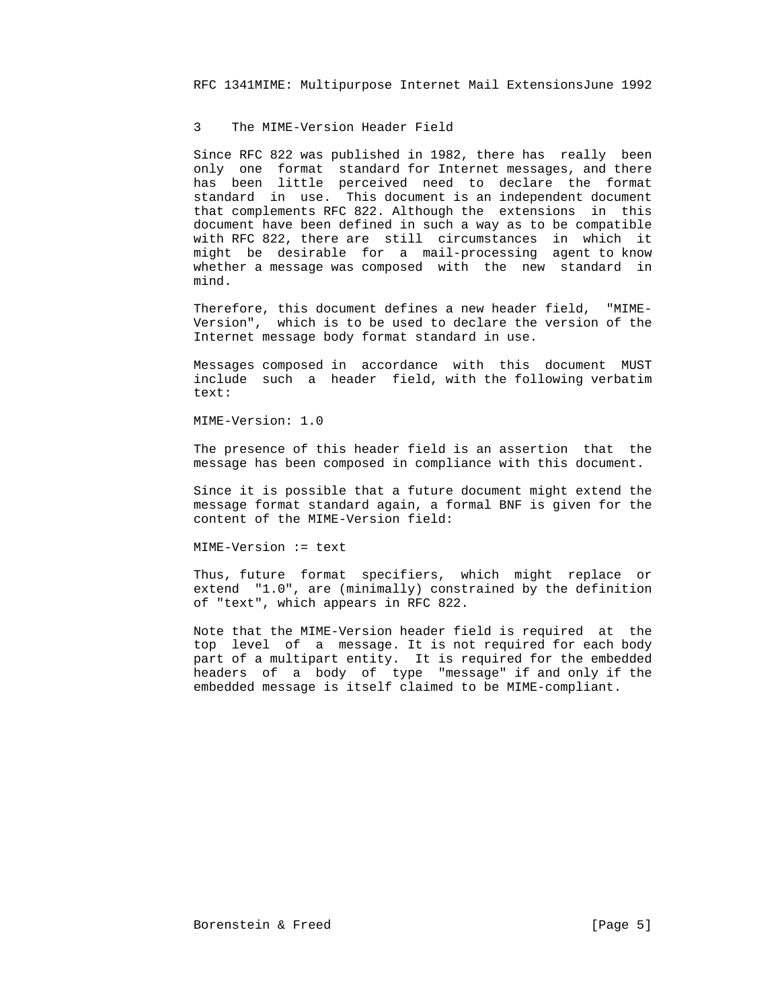#### 3 The MIME-Version Header Field

 Since RFC 822 was published in 1982, there has really been only one format standard for Internet messages, and there has been little perceived need to declare the format standard in use. This document is an independent document that complements RFC 822. Although the extensions in this document have been defined in such a way as to be compatible with RFC 822, there are still circumstances in which it might be desirable for a mail-processing agent to know whether a message was composed with the new standard in mind.

 Therefore, this document defines a new header field, "MIME- Version", which is to be used to declare the version of the Internet message body format standard in use.

 Messages composed in accordance with this document MUST include such a header field, with the following verbatim text:

MIME-Version: 1.0

 The presence of this header field is an assertion that the message has been composed in compliance with this document.

 Since it is possible that a future document might extend the message format standard again, a formal BNF is given for the content of the MIME-Version field:

MIME-Version := text

 Thus, future format specifiers, which might replace or extend "1.0", are (minimally) constrained by the definition of "text", which appears in RFC 822.

 Note that the MIME-Version header field is required at the top level of a message. It is not required for each body part of a multipart entity. It is required for the embedded headers of a body of type "message" if and only if the embedded message is itself claimed to be MIME-compliant.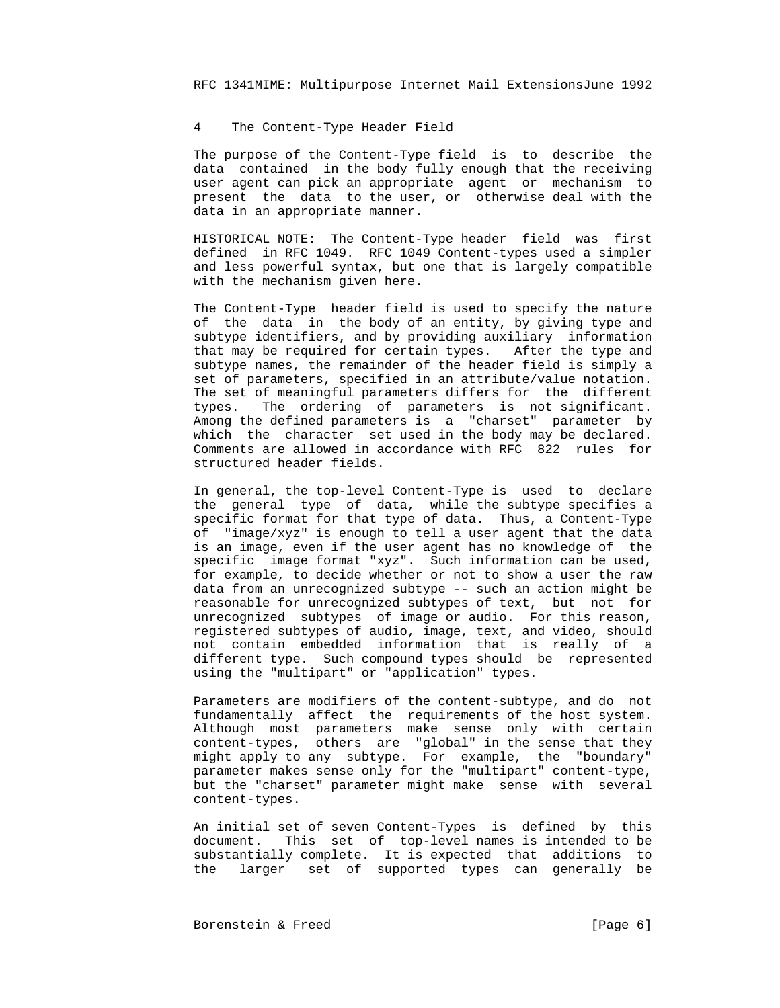# 4 The Content-Type Header Field

 The purpose of the Content-Type field is to describe the data contained in the body fully enough that the receiving user agent can pick an appropriate agent or mechanism to present the data to the user, or otherwise deal with the data in an appropriate manner.

 HISTORICAL NOTE: The Content-Type header field was first defined in RFC 1049. RFC 1049 Content-types used a simpler and less powerful syntax, but one that is largely compatible with the mechanism given here.

 The Content-Type header field is used to specify the nature of the data in the body of an entity, by giving type and subtype identifiers, and by providing auxiliary information that may be required for certain types. After the type and subtype names, the remainder of the header field is simply a set of parameters, specified in an attribute/value notation. The set of meaningful parameters differs for the different types. The ordering of parameters is not significant. Among the defined parameters is a "charset" parameter by which the character set used in the body may be declared. Comments are allowed in accordance with RFC 822 rules for structured header fields.

 In general, the top-level Content-Type is used to declare the general type of data, while the subtype specifies a specific format for that type of data. Thus, a Content-Type of "image/xyz" is enough to tell a user agent that the data is an image, even if the user agent has no knowledge of the specific image format "xyz". Such information can be used, for example, to decide whether or not to show a user the raw data from an unrecognized subtype -- such an action might be reasonable for unrecognized subtypes of text, but not for unrecognized subtypes of image or audio. For this reason, registered subtypes of audio, image, text, and video, should not contain embedded information that is really of a different type. Such compound types should be represented using the "multipart" or "application" types.

 Parameters are modifiers of the content-subtype, and do not fundamentally affect the requirements of the host system. Although most parameters make sense only with certain content-types, others are "global" in the sense that they might apply to any subtype. For example, the "boundary" parameter makes sense only for the "multipart" content-type, but the "charset" parameter might make sense with several content-types.

 An initial set of seven Content-Types is defined by this document. This set of top-level names is intended to be substantially complete. It is expected that additions to the larger set of supported types can generally be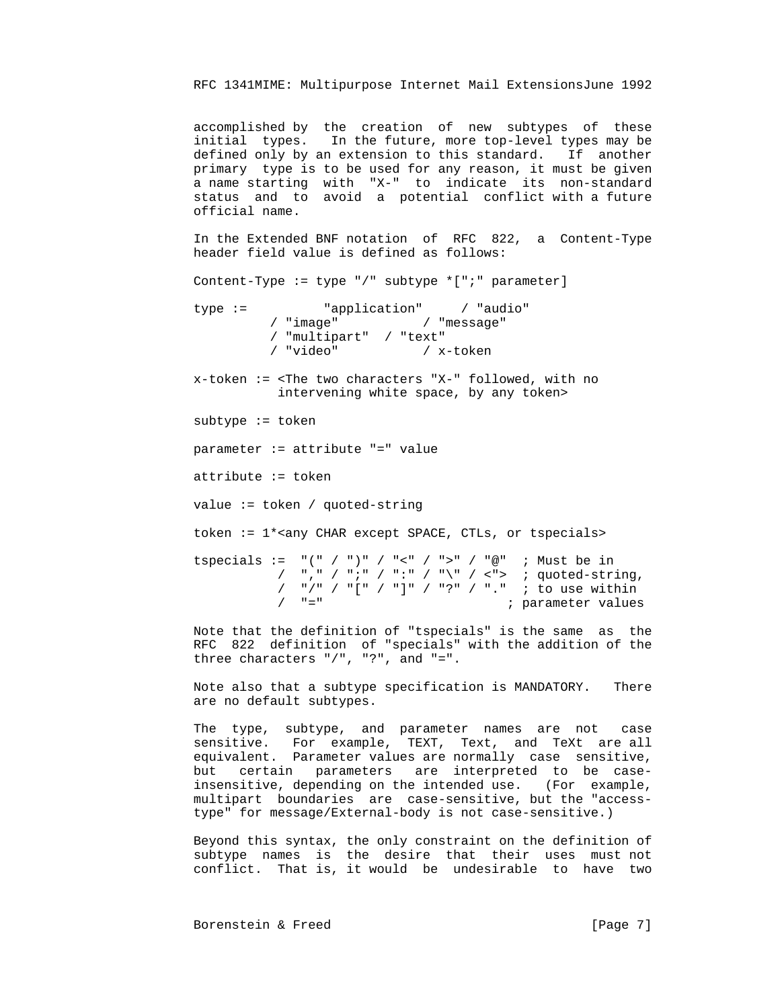accomplished by the creation of new subtypes of these initial types. In the future, more top-level types may be defined only by an extension to this standard. If another primary type is to be used for any reason, it must be given a name starting with "X-" to indicate its non-standard status and to avoid a potential conflict with a future official name.

 In the Extended BNF notation of RFC 822, a Content-Type header field value is defined as follows:

Content-Type := type "/" subtype \*[";" parameter]

 type := "application" / "audio" / "image" / "message" / "multipart" / "text" / x-token

 x-token := <The two characters "X-" followed, with no intervening white space, by any token>

subtype := token

parameter := attribute "=" value

attribute := token

value := token / quoted-string

token := 1\*<any CHAR except SPACE, CTLs, or tspecials>

tspecials :=  $"(" / ")" / " < " / " >" / "@" ; Must be in$ /  $", "$ / ";" / ":" / "\" / <"> ; quoted-string, / "/" / "[" / "]" / "?" / "." ; to use within ; parameter values

 Note that the definition of "tspecials" is the same as the RFC 822 definition of "specials" with the addition of the three characters "/", "?", and "=".

> Note also that a subtype specification is MANDATORY. There are no default subtypes.

> The type, subtype, and parameter names are not case sensitive. For example, TEXT, Text, and TeXt are all equivalent. Parameter values are normally case sensitive, but certain parameters are interpreted to be case insensitive, depending on the intended use. (For example, multipart boundaries are case-sensitive, but the "access type" for message/External-body is not case-sensitive.)

> Beyond this syntax, the only constraint on the definition of subtype names is the desire that their uses must not conflict. That is, it would be undesirable to have two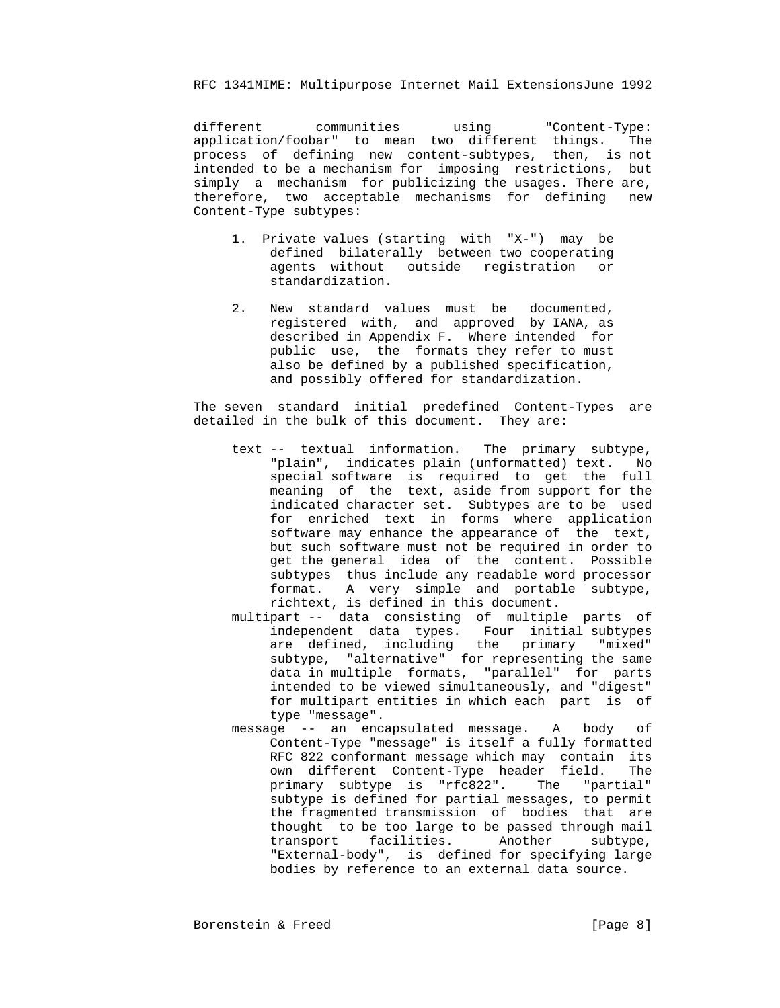different communities using "Content-Type: application/foobar" to mean two different things. The process of defining new content-subtypes, then, is not intended to be a mechanism for imposing restrictions, but simply a mechanism for publicizing the usages. There are, therefore, two acceptable mechanisms for defining new Content-Type subtypes:

- 1. Private values (starting with "X-") may be defined bilaterally between two cooperating agents without outside registration or standardization.
- 2. New standard values must be documented, registered with, and approved by IANA, as described in Appendix F. Where intended for public use, the formats they refer to must also be defined by a published specification, and possibly offered for standardization.

 The seven standard initial predefined Content-Types are detailed in the bulk of this document. They are:

- text -- textual information. The primary subtype, "plain", indicates plain (unformatted) text. No special software is required to get the full meaning of the text, aside from support for the indicated character set. Subtypes are to be used for enriched text in forms where application software may enhance the appearance of the text, but such software must not be required in order to get the general idea of the content. Possible subtypes thus include any readable word processor format. A very simple and portable subtype, richtext, is defined in this document.
- multipart -- data consisting of multiple parts of independent data types. Four initial subtypes are defined, including the primary "mixed" subtype, "alternative" for representing the same data in multiple formats, "parallel" for parts intended to be viewed simultaneously, and "digest" for multipart entities in which each part is of type "message".
	- message -- an encapsulated message. A body of Content-Type "message" is itself a fully formatted RFC 822 conformant message which may contain its own different Content-Type header field. The primary subtype is "rfc822". The "partial" subtype is defined for partial messages, to permit the fragmented transmission of bodies that are thought to be too large to be passed through mail transport facilities. Another subtype, "External-body", is defined for specifying large bodies by reference to an external data source.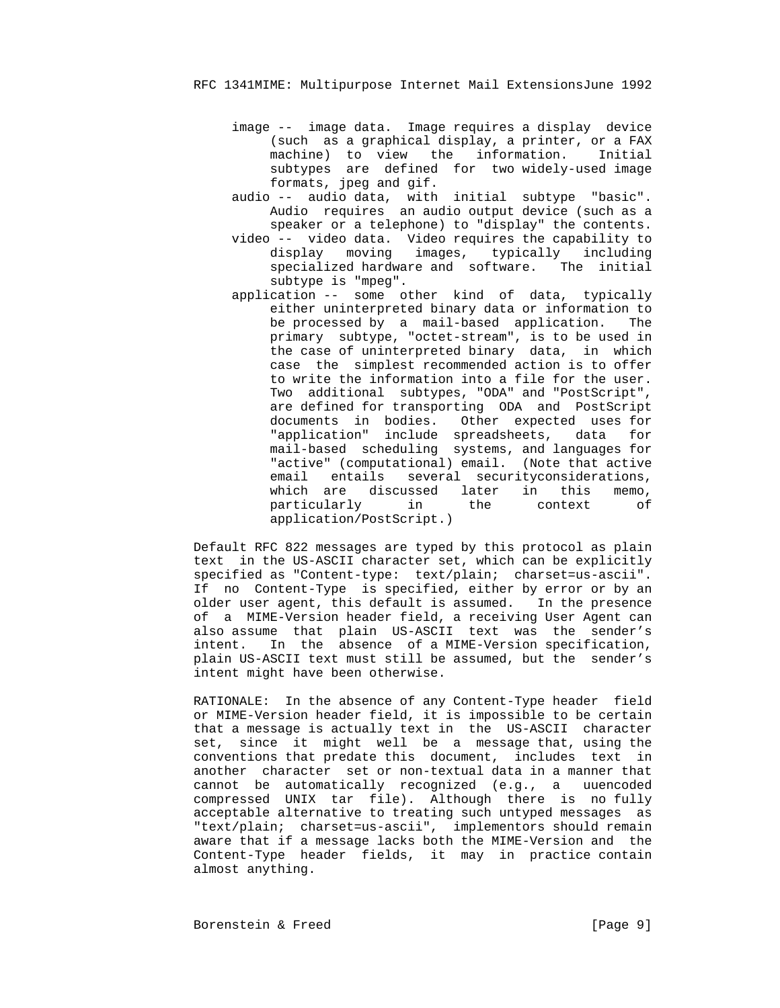- image -- image data. Image requires a display device (such as a graphical display, a printer, or a FAX machine) to view the information. Initial subtypes are defined for two widely-used image formats, jpeg and gif.
	- audio -- audio data, with initial subtype "basic". Audio requires an audio output device (such as a speaker or a telephone) to "display" the contents.
	- video -- video data. Video requires the capability to display moving images, typically including specialized hardware and software. The initial subtype is "mpeg".
- application -- some other kind of data, typically either uninterpreted binary data or information to be processed by a mail-based application. The primary subtype, "octet-stream", is to be used in the case of uninterpreted binary data, in which case the simplest recommended action is to offer to write the information into a file for the user. Two additional subtypes, "ODA" and "PostScript", are defined for transporting ODA and PostScript documents in bodies. Other expected uses for "application" include spreadsheets, data for mail-based scheduling systems, and languages for "active" (computational) email. (Note that active email entails several securityconsiderations, which are discussed later in this memo, particularly in the context of application/PostScript.)

 Default RFC 822 messages are typed by this protocol as plain text in the US-ASCII character set, which can be explicitly specified as "Content-type: text/plain; charset=us-ascii". If no Content-Type is specified, either by error or by an older user agent, this default is assumed. In the presence of a MIME-Version header field, a receiving User Agent can also assume that plain US-ASCII text was the sender's intent. In the absence of a MIME-Version specification, plain US-ASCII text must still be assumed, but the sender's intent might have been otherwise.

 RATIONALE: In the absence of any Content-Type header field or MIME-Version header field, it is impossible to be certain that a message is actually text in the US-ASCII character set, since it might well be a message that, using the conventions that predate this document, includes text in another character set or non-textual data in a manner that cannot be automatically recognized (e.g., a uuencoded compressed UNIX tar file). Although there is no fully acceptable alternative to treating such untyped messages as "text/plain; charset=us-ascii", implementors should remain aware that if a message lacks both the MIME-Version and the Content-Type header fields, it may in practice contain almost anything.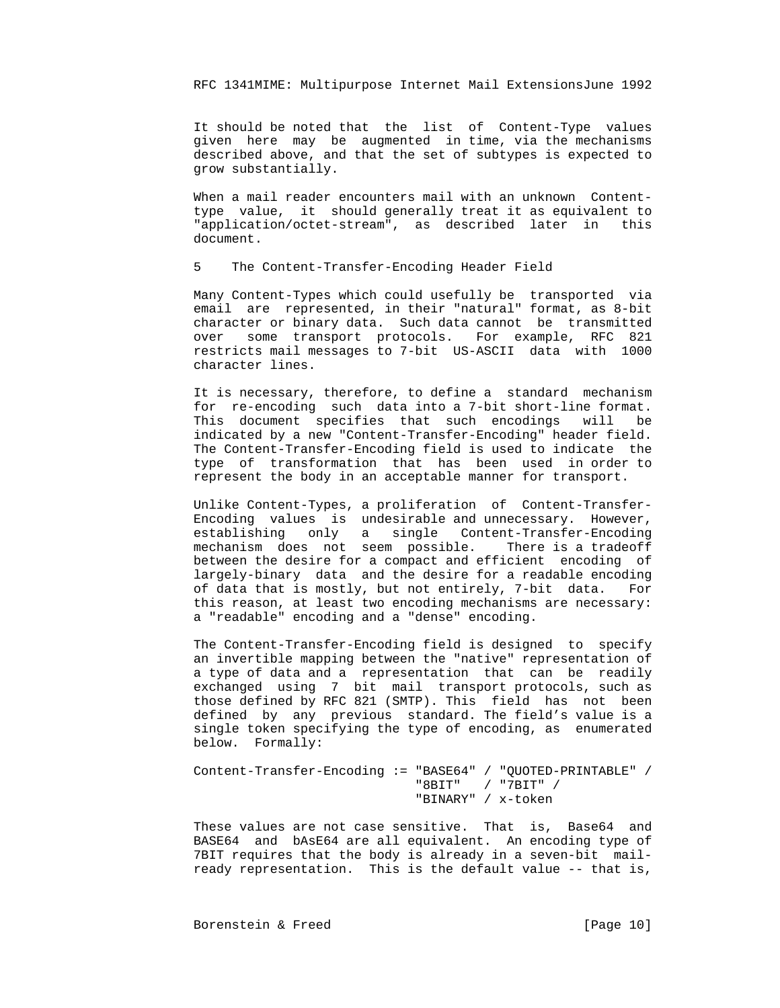It should be noted that the list of Content-Type values given here may be augmented in time, via the mechanisms described above, and that the set of subtypes is expected to grow substantially.

 When a mail reader encounters mail with an unknown Content type value, it should generally treat it as equivalent to "application/octet-stream", as described later in this document.

5 The Content-Transfer-Encoding Header Field

 Many Content-Types which could usefully be transported via email are represented, in their "natural" format, as 8-bit character or binary data. Such data cannot be transmitted over some transport protocols. For example, RFC 821 restricts mail messages to 7-bit US-ASCII data with 1000 character lines.

 It is necessary, therefore, to define a standard mechanism for re-encoding such data into a 7-bit short-line format. This document specifies that such encodings will be indicated by a new "Content-Transfer-Encoding" header field. The Content-Transfer-Encoding field is used to indicate the type of transformation that has been used in order to represent the body in an acceptable manner for transport.

 Unlike Content-Types, a proliferation of Content-Transfer- Encoding values is undesirable and unnecessary. However, establishing only a single Content-Transfer-Encoding mechanism does not seem possible. There is a tradeoff between the desire for a compact and efficient encoding of largely-binary data and the desire for a readable encoding of data that is mostly, but not entirely, 7-bit data. For this reason, at least two encoding mechanisms are necessary: a "readable" encoding and a "dense" encoding.

 The Content-Transfer-Encoding field is designed to specify an invertible mapping between the "native" representation of a type of data and a representation that can be readily exchanged using 7 bit mail transport protocols, such as those defined by RFC 821 (SMTP). This field has not been defined by any previous standard. The field's value is a single token specifying the type of encoding, as enumerated below. Formally:

 Content-Transfer-Encoding := "BASE64" / "QUOTED-PRINTABLE" / "8BIT" / "7BIT" / "BINARY" / x-token

> These values are not case sensitive. That is, Base64 and BASE64 and bAsE64 are all equivalent. An encoding type of 7BIT requires that the body is already in a seven-bit mail ready representation. This is the default value -- that is,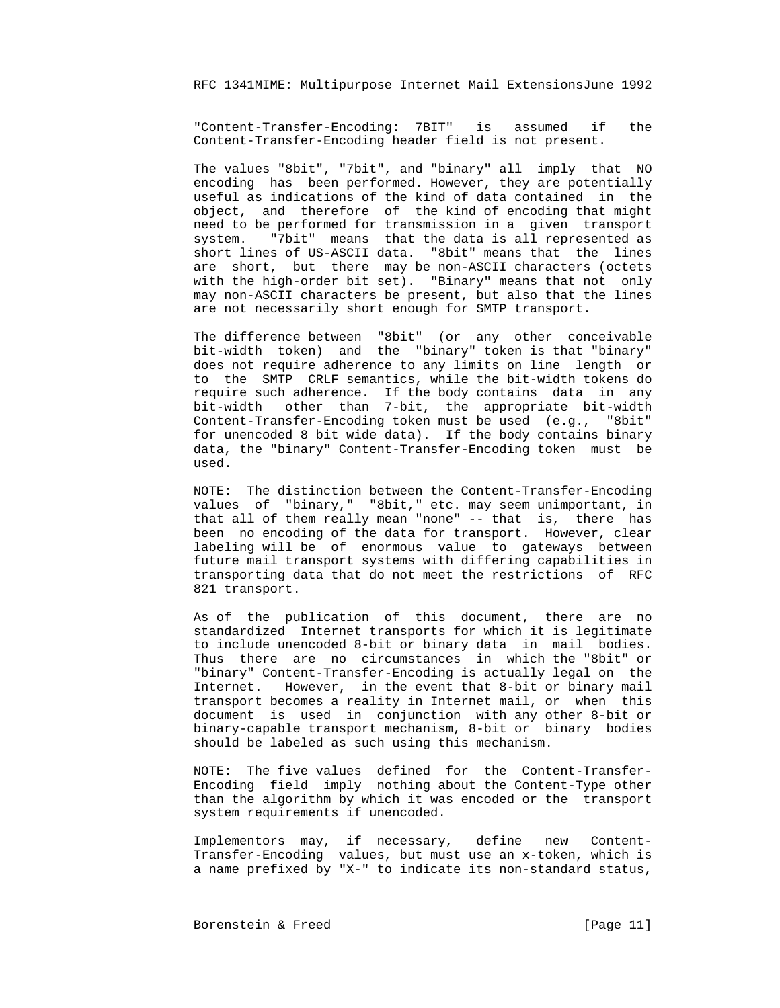"Content-Transfer-Encoding: 7BIT" is assumed if the Content-Transfer-Encoding header field is not present.

 The values "8bit", "7bit", and "binary" all imply that NO encoding has been performed. However, they are potentially useful as indications of the kind of data contained in the object, and therefore of the kind of encoding that might need to be performed for transmission in a given transport system. "7bit" means that the data is all represented as short lines of US-ASCII data. "8bit" means that the lines are short, but there may be non-ASCII characters (octets with the high-order bit set). "Binary" means that not only may non-ASCII characters be present, but also that the lines are not necessarily short enough for SMTP transport.

 The difference between "8bit" (or any other conceivable bit-width token) and the "binary" token is that "binary" does not require adherence to any limits on line length or to the SMTP CRLF semantics, while the bit-width tokens do require such adherence. If the body contains data in any bit-width other than 7-bit, the appropriate bit-width Content-Transfer-Encoding token must be used (e.g., "8bit" for unencoded 8 bit wide data). If the body contains binary data, the "binary" Content-Transfer-Encoding token must be used.

 NOTE: The distinction between the Content-Transfer-Encoding values of "binary," "8bit," etc. may seem unimportant, in that all of them really mean "none" -- that is, there has been no encoding of the data for transport. However, clear labeling will be of enormous value to gateways between future mail transport systems with differing capabilities in transporting data that do not meet the restrictions of RFC 821 transport.

 As of the publication of this document, there are no standardized Internet transports for which it is legitimate to include unencoded 8-bit or binary data in mail bodies. Thus there are no circumstances in which the "8bit" or "binary" Content-Transfer-Encoding is actually legal on the Internet. However, in the event that 8-bit or binary mail transport becomes a reality in Internet mail, or when this document is used in conjunction with any other 8-bit or binary-capable transport mechanism, 8-bit or binary bodies should be labeled as such using this mechanism.

 NOTE: The five values defined for the Content-Transfer- Encoding field imply nothing about the Content-Type other than the algorithm by which it was encoded or the transport system requirements if unencoded.

 Implementors may, if necessary, define new Content- Transfer-Encoding values, but must use an x-token, which is a name prefixed by "X-" to indicate its non-standard status,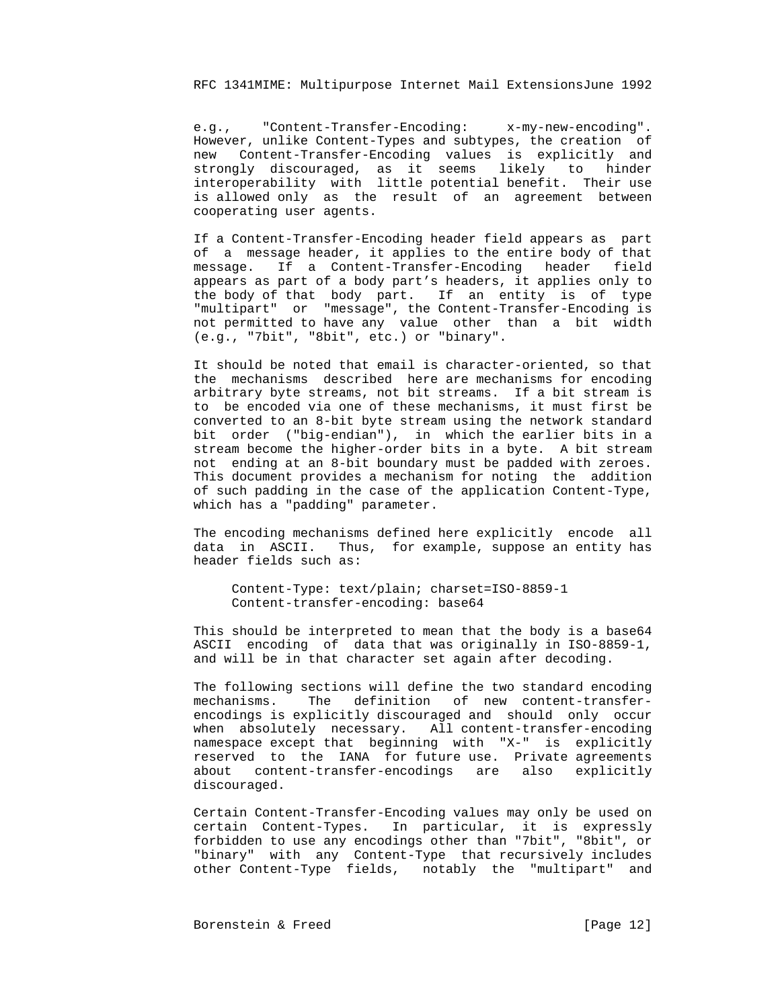e.g., "Content-Transfer-Encoding: x-my-new-encoding". However, unlike Content-Types and subtypes, the creation of new Content-Transfer-Encoding values is explicitly and strongly discouraged, as it seems likely to hinder interoperability with little potential benefit. Their use is allowed only as the result of an agreement between cooperating user agents.

> If a Content-Transfer-Encoding header field appears as part of a message header, it applies to the entire body of that message. If a Content-Transfer-Encoding header field appears as part of a body part's headers, it applies only to the body of that body part. If an entity is of type "multipart" or "message", the Content-Transfer-Encoding is not permitted to have any value other than a bit width (e.g., "7bit", "8bit", etc.) or "binary".

> It should be noted that email is character-oriented, so that the mechanisms described here are mechanisms for encoding arbitrary byte streams, not bit streams. If a bit stream is to be encoded via one of these mechanisms, it must first be converted to an 8-bit byte stream using the network standard bit order ("big-endian"), in which the earlier bits in a stream become the higher-order bits in a byte. A bit stream not ending at an 8-bit boundary must be padded with zeroes. This document provides a mechanism for noting the addition of such padding in the case of the application Content-Type, which has a "padding" parameter.

> The encoding mechanisms defined here explicitly encode all data in ASCII. Thus, for example, suppose an entity has header fields such as:

 Content-Type: text/plain; charset=ISO-8859-1 Content-transfer-encoding: base64

 This should be interpreted to mean that the body is a base64 ASCII encoding of data that was originally in ISO-8859-1, and will be in that character set again after decoding.

 The following sections will define the two standard encoding mechanisms. The definition of new content-transfer encodings is explicitly discouraged and should only occur when absolutely necessary. All content-transfer-encoding namespace except that beginning with "X-" is explicitly reserved to the IANA for future use. Private agreements about content-transfer-encodings are also explicitly discouraged.

 Certain Content-Transfer-Encoding values may only be used on certain Content-Types. In particular, it is expressly forbidden to use any encodings other than "7bit", "8bit", or "binary" with any Content-Type that recursively includes other Content-Type fields, notably the "multipart" and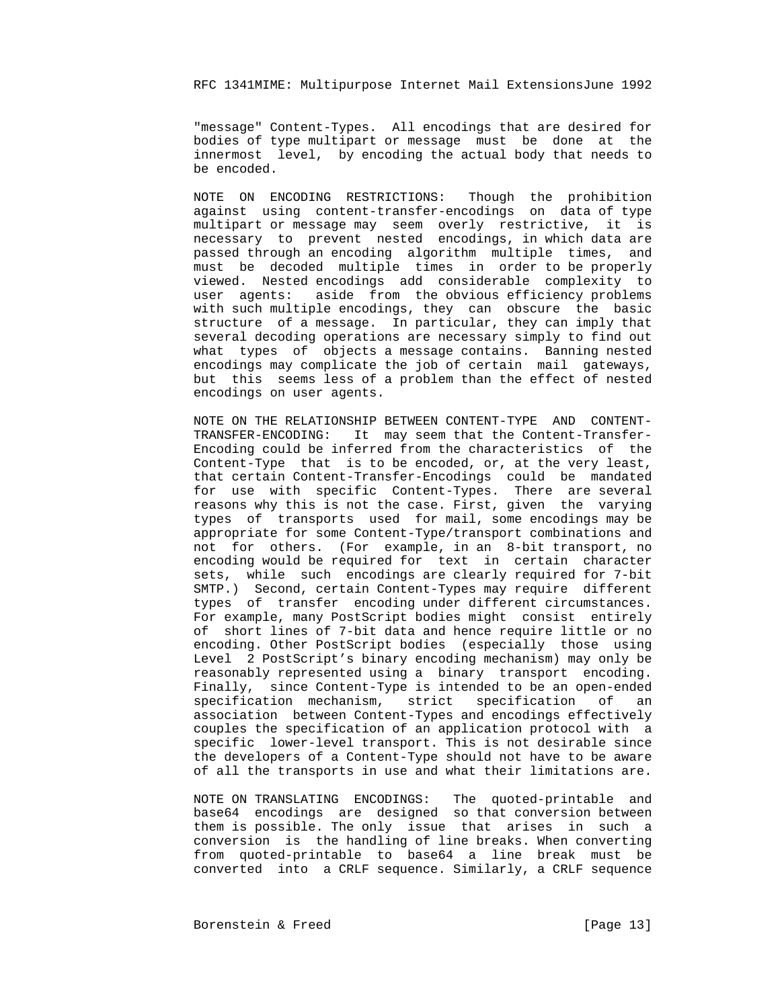"message" Content-Types. All encodings that are desired for bodies of type multipart or message must be done at the innermost level, by encoding the actual body that needs to be encoded.

 NOTE ON ENCODING RESTRICTIONS: Though the prohibition against using content-transfer-encodings on data of type multipart or message may seem overly restrictive, it is necessary to prevent nested encodings, in which data are passed through an encoding algorithm multiple times, and must be decoded multiple times in order to be properly viewed. Nested encodings add considerable complexity to user agents: aside from the obvious efficiency problems with such multiple encodings, they can obscure the basic structure of a message. In particular, they can imply that several decoding operations are necessary simply to find out what types of objects a message contains. Banning nested encodings may complicate the job of certain mail gateways, but this seems less of a problem than the effect of nested encodings on user agents.

 NOTE ON THE RELATIONSHIP BETWEEN CONTENT-TYPE AND CONTENT- TRANSFER-ENCODING: It may seem that the Content-Transfer- Encoding could be inferred from the characteristics of the Content-Type that is to be encoded, or, at the very least, that certain Content-Transfer-Encodings could be mandated for use with specific Content-Types. There are several reasons why this is not the case. First, given the varying types of transports used for mail, some encodings may be appropriate for some Content-Type/transport combinations and not for others. (For example, in an 8-bit transport, no encoding would be required for text in certain character sets, while such encodings are clearly required for 7-bit SMTP.) Second, certain Content-Types may require different types of transfer encoding under different circumstances. For example, many PostScript bodies might consist entirely of short lines of 7-bit data and hence require little or no encoding. Other PostScript bodies (especially those using Level 2 PostScript's binary encoding mechanism) may only be reasonably represented using a binary transport encoding. Finally, since Content-Type is intended to be an open-ended specification mechanism, strict specification of an association between Content-Types and encodings effectively couples the specification of an application protocol with a specific lower-level transport. This is not desirable since the developers of a Content-Type should not have to be aware of all the transports in use and what their limitations are.

 NOTE ON TRANSLATING ENCODINGS: The quoted-printable and base64 encodings are designed so that conversion between them is possible. The only issue that arises in such a conversion is the handling of line breaks. When converting from quoted-printable to base64 a line break must be converted into a CRLF sequence. Similarly, a CRLF sequence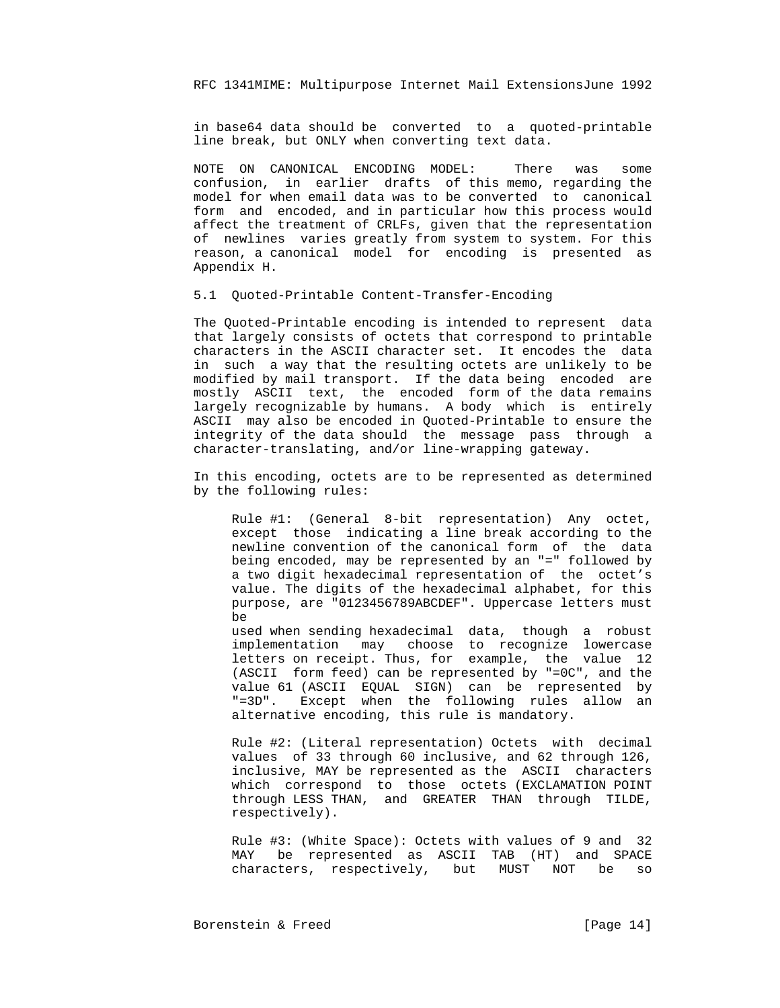in base64 data should be converted to a quoted-printable line break, but ONLY when converting text data.

 NOTE ON CANONICAL ENCODING MODEL: There was some confusion, in earlier drafts of this memo, regarding the model for when email data was to be converted to canonical form and encoded, and in particular how this process would affect the treatment of CRLFs, given that the representation of newlines varies greatly from system to system. For this reason, a canonical model for encoding is presented as Appendix H.

5.1 Quoted-Printable Content-Transfer-Encoding

 The Quoted-Printable encoding is intended to represent data that largely consists of octets that correspond to printable characters in the ASCII character set. It encodes the data in such a way that the resulting octets are unlikely to be modified by mail transport. If the data being encoded are mostly ASCII text, the encoded form of the data remains largely recognizable by humans. A body which is entirely ASCII may also be encoded in Quoted-Printable to ensure the integrity of the data should the message pass through a character-translating, and/or line-wrapping gateway.

 In this encoding, octets are to be represented as determined by the following rules:

 Rule #1: (General 8-bit representation) Any octet, except those indicating a line break according to the newline convention of the canonical form of the data being encoded, may be represented by an "=" followed by a two digit hexadecimal representation of the octet's value. The digits of the hexadecimal alphabet, for this purpose, are "0123456789ABCDEF". Uppercase letters must be

 used when sending hexadecimal data, though a robust implementation may choose to recognize lowercase letters on receipt. Thus, for example, the value 12 (ASCII form feed) can be represented by "=0C", and the value 61 (ASCII EQUAL SIGN) can be represented by "=3D". Except when the following rules allow an alternative encoding, this rule is mandatory.

 Rule #2: (Literal representation) Octets with decimal values of 33 through 60 inclusive, and 62 through 126, inclusive, MAY be represented as the ASCII characters which correspond to those octets (EXCLAMATION POINT through LESS THAN, and GREATER THAN through TILDE, respectively).

 Rule #3: (White Space): Octets with values of 9 and 32 MAY be represented as ASCII TAB (HT) and SPACE characters, respectively, but MUST NOT be so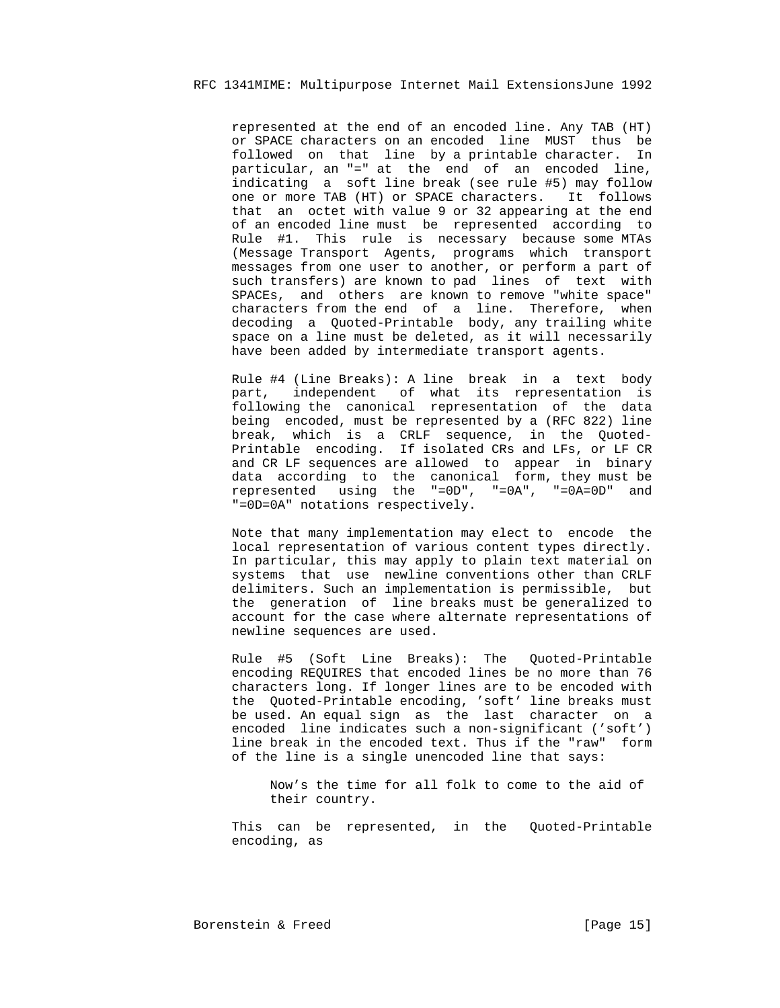represented at the end of an encoded line. Any TAB (HT) or SPACE characters on an encoded line MUST thus be followed on that line by a printable character. In particular, an "=" at the end of an encoded line, indicating a soft line break (see rule #5) may follow one or more TAB (HT) or SPACE characters. It follows that an octet with value 9 or 32 appearing at the end of an encoded line must be represented according to Rule #1. This rule is necessary because some MTAs (Message Transport Agents, programs which transport messages from one user to another, or perform a part of such transfers) are known to pad lines of text with SPACEs, and others are known to remove "white space" characters from the end of a line. Therefore, when decoding a Quoted-Printable body, any trailing white space on a line must be deleted, as it will necessarily have been added by intermediate transport agents.

 Rule #4 (Line Breaks): A line break in a text body part, independent of what its representation is following the canonical representation of the data being encoded, must be represented by a (RFC 822) line break, which is a CRLF sequence, in the Quoted- Printable encoding. If isolated CRs and LFs, or LF CR and CR LF sequences are allowed to appear in binary data according to the canonical form, they must be represented using the "=0D", "=0A", "=0A=0D" and "=0D=0A" notations respectively.

> Note that many implementation may elect to encode the local representation of various content types directly. In particular, this may apply to plain text material on systems that use newline conventions other than CRLF delimiters. Such an implementation is permissible, but the generation of line breaks must be generalized to account for the case where alternate representations of newline sequences are used.

> Rule #5 (Soft Line Breaks): The Quoted-Printable encoding REQUIRES that encoded lines be no more than 76 characters long. If longer lines are to be encoded with the Quoted-Printable encoding, 'soft' line breaks must be used. An equal sign as the last character on a encoded line indicates such a non-significant ('soft') line break in the encoded text. Thus if the "raw" form of the line is a single unencoded line that says:

 Now's the time for all folk to come to the aid of their country.

 This can be represented, in the Quoted-Printable encoding, as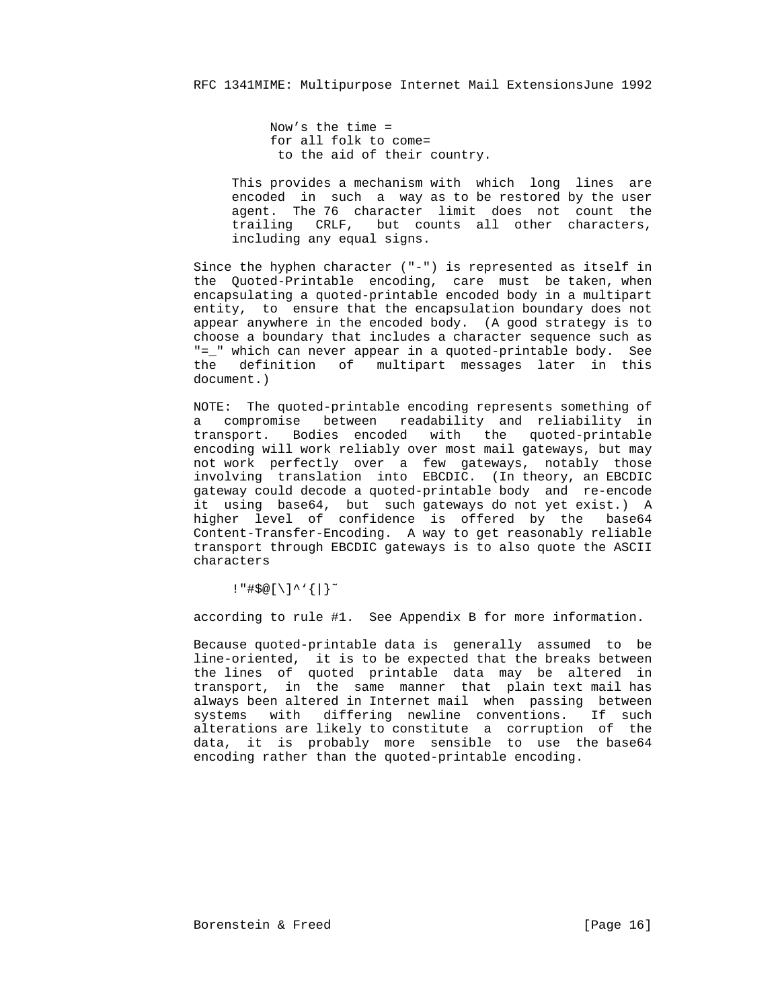Now's the time = for all folk to come= to the aid of their country.

 This provides a mechanism with which long lines are encoded in such a way as to be restored by the user agent. The 76 character limit does not count the trailing CRLF, but counts all other characters, including any equal signs.

 Since the hyphen character ("-") is represented as itself in the Quoted-Printable encoding, care must be taken, when encapsulating a quoted-printable encoded body in a multipart entity, to ensure that the encapsulation boundary does not appear anywhere in the encoded body. (A good strategy is to choose a boundary that includes a character sequence such as "=\_" which can never appear in a quoted-printable body. See the definition of multipart messages later in this document.)

 NOTE: The quoted-printable encoding represents something of a compromise between readability and reliability in transport. Bodies encoded with the quoted-printable encoding will work reliably over most mail gateways, but may not work perfectly over a few gateways, notably those involving translation into EBCDIC. (In theory, an EBCDIC gateway could decode a quoted-printable body and re-encode it using base64, but such gateways do not yet exist.) A higher level of confidence is offered by the base64 Content-Transfer-Encoding. A way to get reasonably reliable transport through EBCDIC gateways is to also quote the ASCII characters

!"#\$@[\]^'{|}˜

according to rule #1. See Appendix B for more information.

 Because quoted-printable data is generally assumed to be line-oriented, it is to be expected that the breaks between the lines of quoted printable data may be altered in transport, in the same manner that plain text mail has always been altered in Internet mail when passing between systems with differing newline conventions. If such alterations are likely to constitute a corruption of the data, it is probably more sensible to use the base64 encoding rather than the quoted-printable encoding.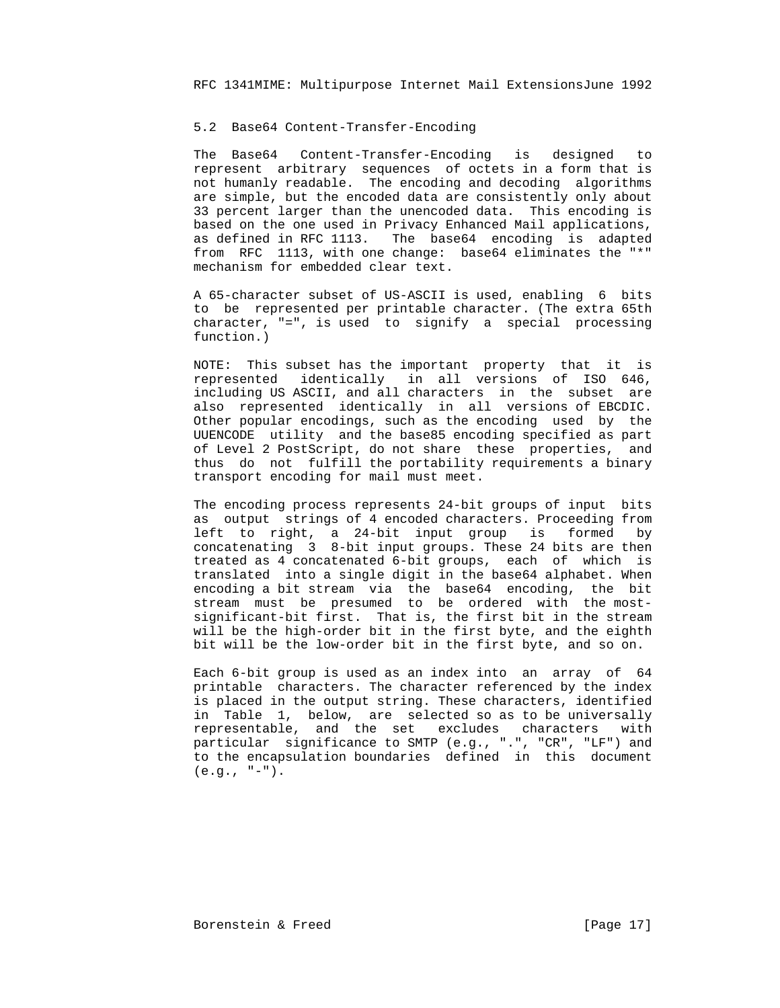#### 5.2 Base64 Content-Transfer-Encoding

 The Base64 Content-Transfer-Encoding is designed to represent arbitrary sequences of octets in a form that is not humanly readable. The encoding and decoding algorithms are simple, but the encoded data are consistently only about 33 percent larger than the unencoded data. This encoding is based on the one used in Privacy Enhanced Mail applications, as defined in RFC 1113. The base64 encoding is adapted from RFC 1113, with one change: base64 eliminates the "\*" mechanism for embedded clear text.

 A 65-character subset of US-ASCII is used, enabling 6 bits to be represented per printable character. (The extra 65th character, "=", is used to signify a special processing function.)

 NOTE: This subset has the important property that it is represented identically in all versions of ISO 646, including US ASCII, and all characters in the subset are also represented identically in all versions of EBCDIC. Other popular encodings, such as the encoding used by the UUENCODE utility and the base85 encoding specified as part of Level 2 PostScript, do not share these properties, and thus do not fulfill the portability requirements a binary transport encoding for mail must meet.

 The encoding process represents 24-bit groups of input bits as output strings of 4 encoded characters. Proceeding from left to right, a 24-bit input group is formed by concatenating 3 8-bit input groups. These 24 bits are then treated as 4 concatenated 6-bit groups, each of which is translated into a single digit in the base64 alphabet. When encoding a bit stream via the base64 encoding, the bit stream must be presumed to be ordered with the most significant-bit first. That is, the first bit in the stream will be the high-order bit in the first byte, and the eighth bit will be the low-order bit in the first byte, and so on.

 Each 6-bit group is used as an index into an array of 64 printable characters. The character referenced by the index is placed in the output string. These characters, identified in Table 1, below, are selected so as to be universally representable, and the set excludes characters with particular significance to SMTP (e.g., ".", "CR", "LF") and to the encapsulation boundaries defined in this document  $(e.g., "-").$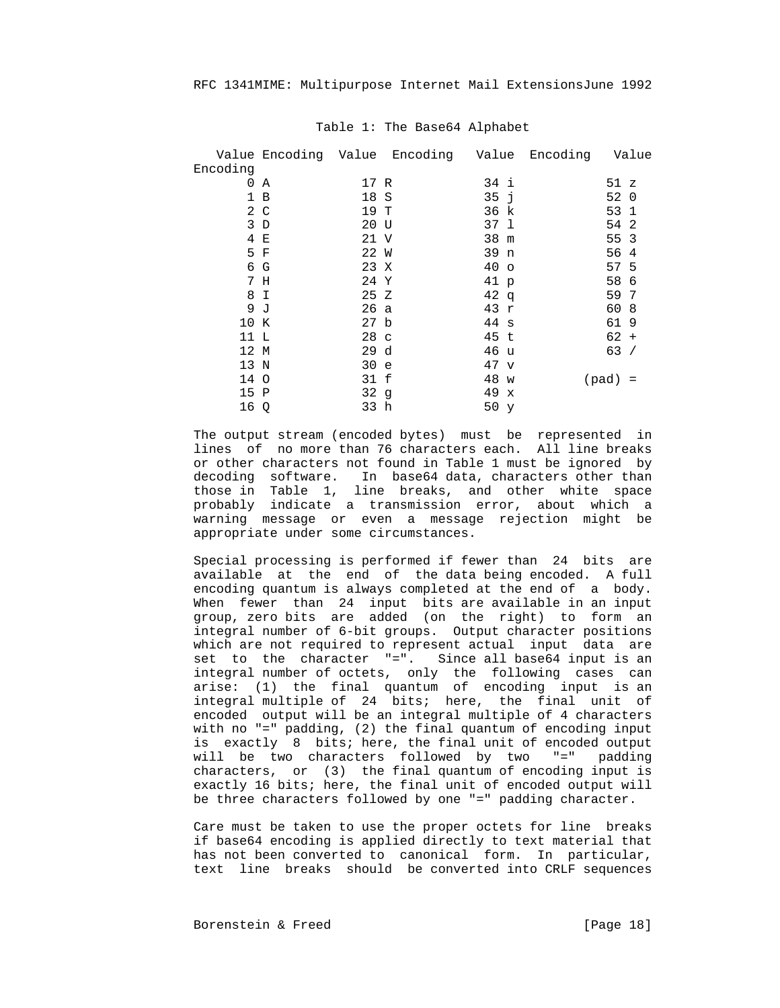|      |  | Value                                                                                                                                                              |  | Value                                                                                                                          |
|------|--|--------------------------------------------------------------------------------------------------------------------------------------------------------------------|--|--------------------------------------------------------------------------------------------------------------------------------|
|      |  |                                                                                                                                                                    |  |                                                                                                                                |
| A    |  | 34 i                                                                                                                                                               |  |                                                                                                                                |
| 1 B  |  | 35j                                                                                                                                                                |  |                                                                                                                                |
| 2 C  |  | 36 k                                                                                                                                                               |  |                                                                                                                                |
| 3D   |  | 37 1                                                                                                                                                               |  |                                                                                                                                |
| 4 E  |  | 38 m                                                                                                                                                               |  |                                                                                                                                |
| 5 F  |  | 39 n                                                                                                                                                               |  |                                                                                                                                |
| 6 G  |  | 40 <sub>o</sub>                                                                                                                                                    |  |                                                                                                                                |
| 7 H  |  | 41 p                                                                                                                                                               |  |                                                                                                                                |
| 8 I  |  | 42q                                                                                                                                                                |  |                                                                                                                                |
| 9 J  |  | 43 r                                                                                                                                                               |  |                                                                                                                                |
| 10 K |  | 44 s                                                                                                                                                               |  |                                                                                                                                |
| 11 L |  | 45 t                                                                                                                                                               |  |                                                                                                                                |
| 12 M |  | 46 u                                                                                                                                                               |  |                                                                                                                                |
| 13 N |  | 47 <sub>v</sub>                                                                                                                                                    |  |                                                                                                                                |
| 14 O |  | 48 w                                                                                                                                                               |  |                                                                                                                                |
| 15 P |  | 49<br>$\mathbf{x}$                                                                                                                                                 |  |                                                                                                                                |
| 16 Q |  | 50 y                                                                                                                                                               |  |                                                                                                                                |
|      |  | Value Encoding Value Encoding<br>17 R<br>18 S<br>19 T<br>20 U<br>21 V<br>22 W<br>23 X<br>24 Y<br>25 Z<br>26a<br>27 b<br>28 c<br>29d<br>30 e<br>31 f<br>32g<br>33 h |  | Encoding<br>51 z<br>52 0<br>53 1<br>54 2<br>55 3<br>56 4<br>57 5<br>58 6<br>59 7<br>60 8<br>61 9<br>$62 +$<br>63/<br>$(pad) =$ |

#### Table 1: The Base64 Alphabet

 The output stream (encoded bytes) must be represented in lines of no more than 76 characters each. All line breaks or other characters not found in Table 1 must be ignored by decoding software. In base64 data, characters other than those in Table 1, line breaks, and other white space probably indicate a transmission error, about which a warning message or even a message rejection might be appropriate under some circumstances.

> Special processing is performed if fewer than 24 bits are available at the end of the data being encoded. A full encoding quantum is always completed at the end of a body. When fewer than 24 input bits are available in an input group, zero bits are added (on the right) to form an integral number of 6-bit groups. Output character positions which are not required to represent actual input data are set to the character "=". Since all base64 input is an integral number of octets, only the following cases can arise: (1) the final quantum of encoding input is an integral multiple of 24 bits; here, the final unit of encoded output will be an integral multiple of 4 characters with no "=" padding, (2) the final quantum of encoding input is exactly 8 bits; here, the final unit of encoded output will be two characters followed by two "=" padding characters, or (3) the final quantum of encoding input is exactly 16 bits; here, the final unit of encoded output will be three characters followed by one "=" padding character.

> Care must be taken to use the proper octets for line breaks if base64 encoding is applied directly to text material that has not been converted to canonical form. In particular, text line breaks should be converted into CRLF sequences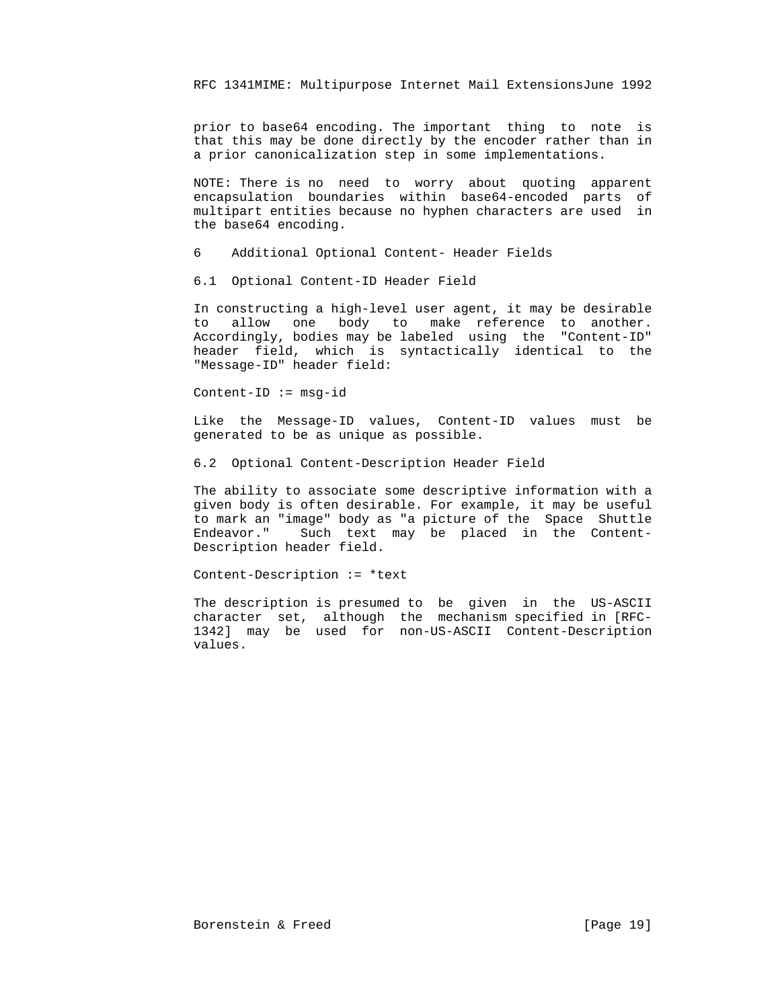prior to base64 encoding. The important thing to note is that this may be done directly by the encoder rather than in a prior canonicalization step in some implementations.

 NOTE: There is no need to worry about quoting apparent encapsulation boundaries within base64-encoded parts of multipart entities because no hyphen characters are used in the base64 encoding.

6 Additional Optional Content- Header Fields

6.1 Optional Content-ID Header Field

 In constructing a high-level user agent, it may be desirable to allow one body to make reference to another. Accordingly, bodies may be labeled using the "Content-ID" header field, which is syntactically identical to the "Message-ID" header field:

Content-ID := msg-id

 Like the Message-ID values, Content-ID values must be generated to be as unique as possible.

6.2 Optional Content-Description Header Field

 The ability to associate some descriptive information with a given body is often desirable. For example, it may be useful to mark an "image" body as "a picture of the Space Shuttle Endeavor." Such text may be placed in the Content- Description header field.

Content-Description := \*text

 The description is presumed to be given in the US-ASCII character set, although the mechanism specified in [RFC- 1342] may be used for non-US-ASCII Content-Description values.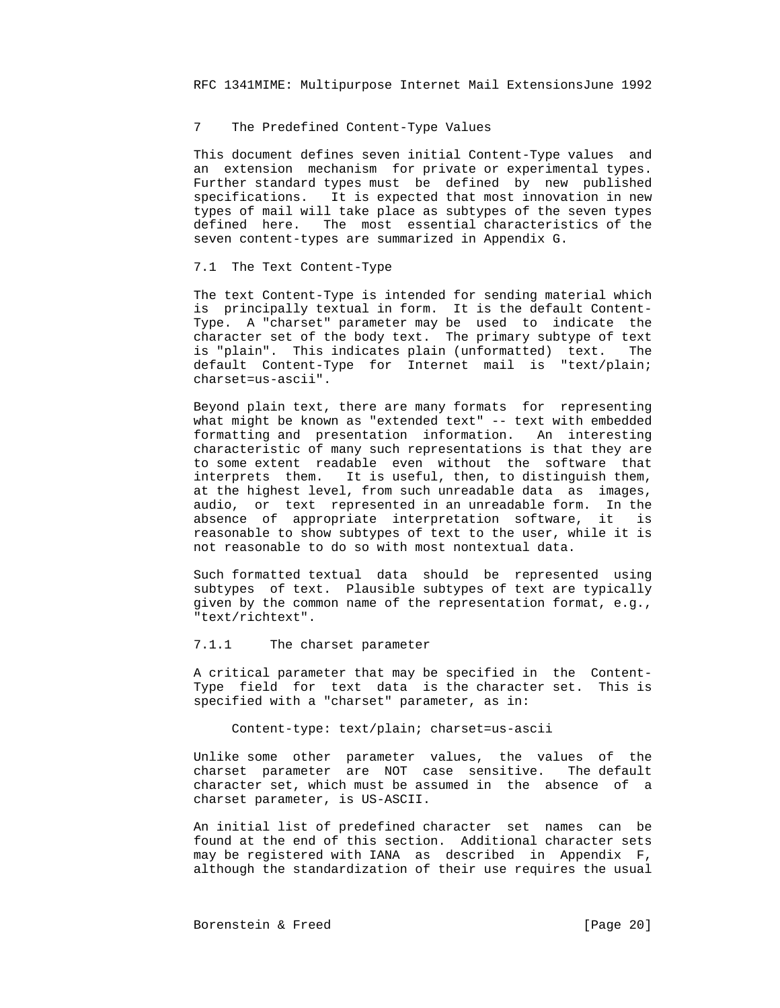# 7 The Predefined Content-Type Values

 This document defines seven initial Content-Type values and an extension mechanism for private or experimental types. Further standard types must be defined by new published specifications. It is expected that most innovation in new types of mail will take place as subtypes of the seven types defined here. The most essential characteristics of the seven content-types are summarized in Appendix G.

## 7.1 The Text Content-Type

 The text Content-Type is intended for sending material which is principally textual in form. It is the default Content- Type. A "charset" parameter may be used to indicate the character set of the body text. The primary subtype of text is "plain". This indicates plain (unformatted) text. The default Content-Type for Internet mail is "text/plain; charset=us-ascii".

 Beyond plain text, there are many formats for representing what might be known as "extended text" -- text with embedded formatting and presentation information. An interesting characteristic of many such representations is that they are to some extent readable even without the software that interprets them. It is useful, then, to distinguish them, at the highest level, from such unreadable data as images, audio, or text represented in an unreadable form. In the absence of appropriate interpretation software, it is reasonable to show subtypes of text to the user, while it is not reasonable to do so with most nontextual data.

 Such formatted textual data should be represented using subtypes of text. Plausible subtypes of text are typically given by the common name of the representation format, e.g., "text/richtext".

## 7.1.1 The charset parameter

 A critical parameter that may be specified in the Content- Type field for text data is the character set. This is specified with a "charset" parameter, as in:

Content-type: text/plain; charset=us-ascii

 Unlike some other parameter values, the values of the charset parameter are NOT case sensitive. The default character set, which must be assumed in the absence of a charset parameter, is US-ASCII.

 An initial list of predefined character set names can be found at the end of this section. Additional character sets may be registered with IANA as described in Appendix F, although the standardization of their use requires the usual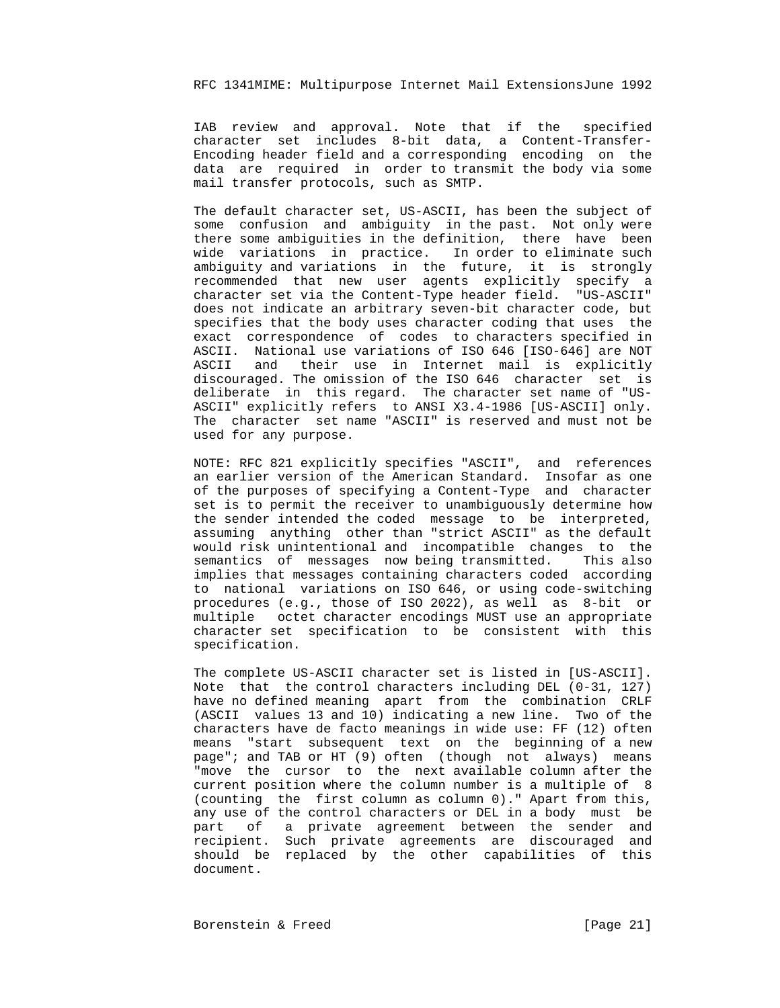IAB review and approval. Note that if the specified character set includes 8-bit data, a Content-Transfer- Encoding header field and a corresponding encoding on the data are required in order to transmit the body via some mail transfer protocols, such as SMTP.

 The default character set, US-ASCII, has been the subject of some confusion and ambiguity in the past. Not only were there some ambiguities in the definition, there have been wide variations in practice. In order to eliminate such ambiguity and variations in the future, it is strongly recommended that new user agents explicitly specify a character set via the Content-Type header field. "US-ASCII" does not indicate an arbitrary seven-bit character code, but specifies that the body uses character coding that uses the exact correspondence of codes to characters specified in ASCII. National use variations of ISO 646 [ISO-646] are NOT ASCII and their use in Internet mail is explicitly discouraged. The omission of the ISO 646 character set is deliberate in this regard. The character set name of "US- ASCII" explicitly refers to ANSI X3.4-1986 [US-ASCII] only. The character set name "ASCII" is reserved and must not be used for any purpose.

 NOTE: RFC 821 explicitly specifies "ASCII", and references an earlier version of the American Standard. Insofar as one of the purposes of specifying a Content-Type and character set is to permit the receiver to unambiguously determine how the sender intended the coded message to be interpreted, assuming anything other than "strict ASCII" as the default would risk unintentional and incompatible changes to the semantics of messages now being transmitted. This also implies that messages containing characters coded according to national variations on ISO 646, or using code-switching procedures (e.g., those of ISO 2022), as well as 8-bit or multiple octet character encodings MUST use an appropriate character set specification to be consistent with this specification.

> The complete US-ASCII character set is listed in [US-ASCII]. Note that the control characters including DEL (0-31, 127) have no defined meaning apart from the combination CRLF (ASCII values 13 and 10) indicating a new line. Two of the characters have de facto meanings in wide use: FF (12) often means "start subsequent text on the beginning of a new page"; and TAB or HT (9) often (though not always) means "move the cursor to the next available column after the current position where the column number is a multiple of 8 (counting the first column as column 0)." Apart from this, any use of the control characters or DEL in a body must be part of a private agreement between the sender and recipient. Such private agreements are discouraged and should be replaced by the other capabilities of this document.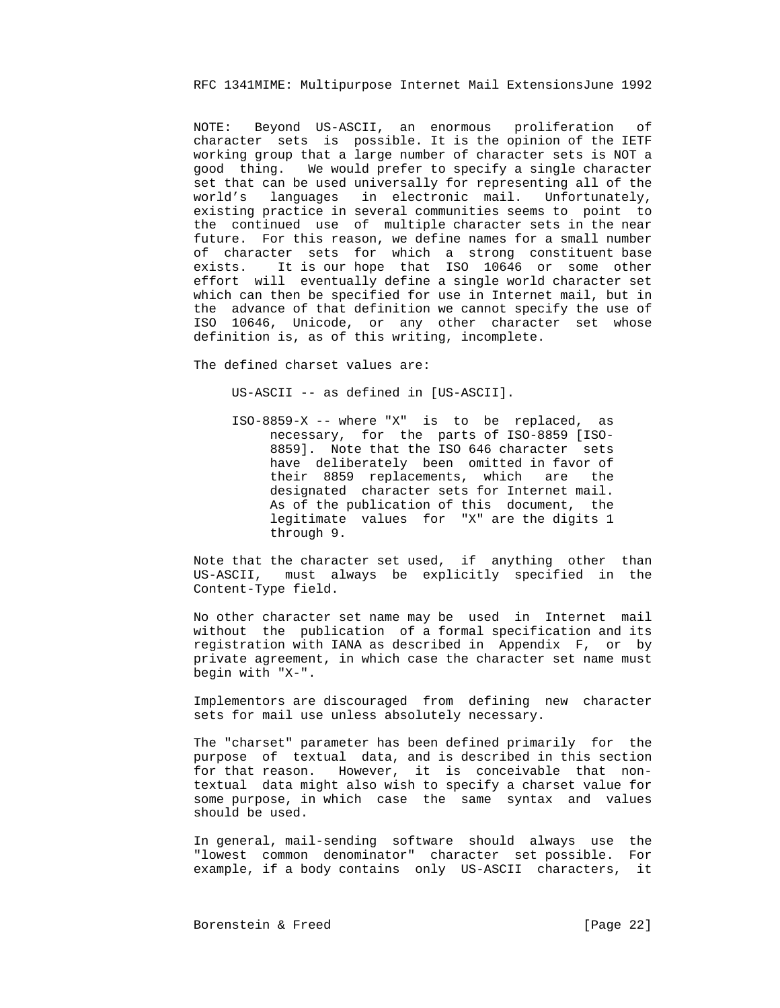NOTE: Beyond US-ASCII, an enormous proliferation of character sets is possible. It is the opinion of the IETF working group that a large number of character sets is NOT a good thing. We would prefer to specify a single character set that can be used universally for representing all of the world's languages in electronic mail. Unfortunately, existing practice in several communities seems to point to the continued use of multiple character sets in the near future. For this reason, we define names for a small number of character sets for which a strong constituent base exists. It is our hope that ISO 10646 or some other effort will eventually define a single world character set which can then be specified for use in Internet mail, but in the advance of that definition we cannot specify the use of ISO 10646, Unicode, or any other character set whose definition is, as of this writing, incomplete.

The defined charset values are:

US-ASCII -- as defined in [US-ASCII].

 ISO-8859-X -- where "X" is to be replaced, as necessary, for the parts of ISO-8859 [ISO- 8859]. Note that the ISO 646 character sets have deliberately been omitted in favor of their 8859 replacements, which are the designated character sets for Internet mail. As of the publication of this document, the legitimate values for "X" are the digits 1 through 9.

 Note that the character set used, if anything other than US-ASCII, must always be explicitly specified in the Content-Type field.

 No other character set name may be used in Internet mail without the publication of a formal specification and its registration with IANA as described in Appendix F, or by private agreement, in which case the character set name must begin with "X-".

 Implementors are discouraged from defining new character sets for mail use unless absolutely necessary.

 The "charset" parameter has been defined primarily for the purpose of textual data, and is described in this section for that reason. However, it is conceivable that non textual data might also wish to specify a charset value for some purpose, in which case the same syntax and values should be used.

 In general, mail-sending software should always use the "lowest common denominator" character set possible. For example, if a body contains only US-ASCII characters, it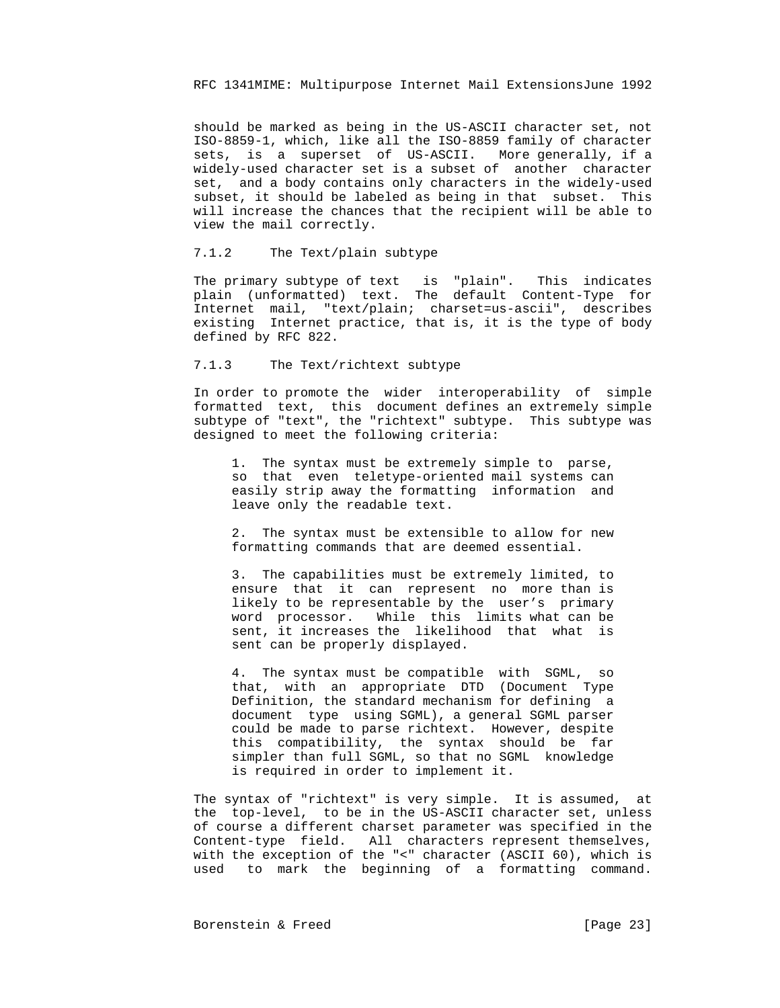should be marked as being in the US-ASCII character set, not ISO-8859-1, which, like all the ISO-8859 family of character sets, is a superset of US-ASCII. More generally, if a widely-used character set is a subset of another character set, and a body contains only characters in the widely-used subset, it should be labeled as being in that subset. This will increase the chances that the recipient will be able to view the mail correctly.

# 7.1.2 The Text/plain subtype

 The primary subtype of text is "plain". This indicates plain (unformatted) text. The default Content-Type for Internet mail, "text/plain; charset=us-ascii", describes existing Internet practice, that is, it is the type of body defined by RFC 822.

#### 7.1.3 The Text/richtext subtype

 In order to promote the wider interoperability of simple formatted text, this document defines an extremely simple subtype of "text", the "richtext" subtype. This subtype was designed to meet the following criteria:

 1. The syntax must be extremely simple to parse, so that even teletype-oriented mail systems can easily strip away the formatting information and leave only the readable text.

 2. The syntax must be extensible to allow for new formatting commands that are deemed essential.

 3. The capabilities must be extremely limited, to ensure that it can represent no more than is likely to be representable by the user's primary word processor. While this limits what can be sent, it increases the likelihood that what is sent can be properly displayed.

 4. The syntax must be compatible with SGML, so that, with an appropriate DTD (Document Type Definition, the standard mechanism for defining a document type using SGML), a general SGML parser could be made to parse richtext. However, despite this compatibility, the syntax should be far simpler than full SGML, so that no SGML knowledge is required in order to implement it.

 The syntax of "richtext" is very simple. It is assumed, at the top-level, to be in the US-ASCII character set, unless of course a different charset parameter was specified in the Content-type field. All characters represent themselves, with the exception of the "<" character (ASCII 60), which is used to mark the beginning of a formatting command.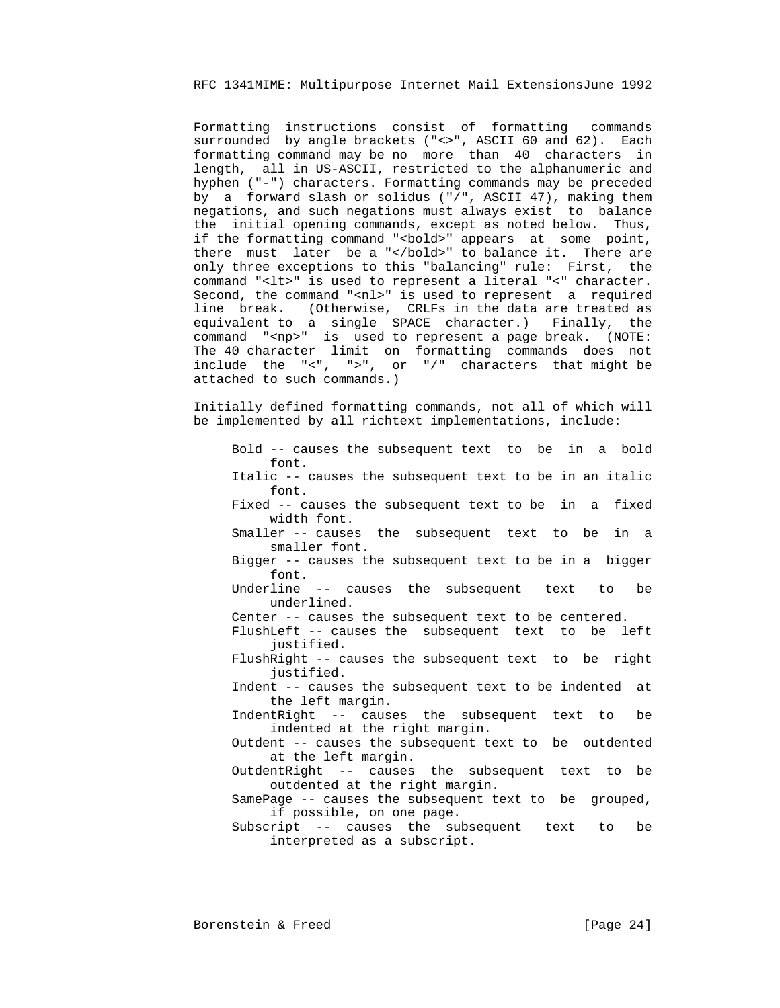Formatting instructions consist of formatting commands surrounded by angle brackets ("<>", ASCII 60 and 62). Each formatting command may be no more than 40 characters in length, all in US-ASCII, restricted to the alphanumeric and hyphen ("-") characters. Formatting commands may be preceded by a forward slash or solidus ("/", ASCII 47), making them negations, and such negations must always exist to balance the initial opening commands, except as noted below. Thus, if the formatting command "<bold>" appears at some point, there must later be a "</bold>" to balance it. There are only three exceptions to this "balancing" rule: First, the command "<lt>" is used to represent a literal "<" character. Second, the command "<nl>" is used to represent a required line break. (Otherwise, CRLFs in the data are treated as equivalent to a single SPACE character.) Finally, the command "<np>" is used to represent a page break. (NOTE: The 40 character limit on formatting commands does not include the "<", ">", or "/" characters that might be attached to such commands.)

> Initially defined formatting commands, not all of which will be implemented by all richtext implementations, include:

 Bold -- causes the subsequent text to be in a bold font. Italic -- causes the subsequent text to be in an italic font. Fixed -- causes the subsequent text to be in a fixed width font. Smaller -- causes the subsequent text to be in a smaller font. Bigger -- causes the subsequent text to be in a bigger font. Underline -- causes the subsequent text to be underlined. Center -- causes the subsequent text to be centered. FlushLeft -- causes the subsequent text to be left justified. FlushRight -- causes the subsequent text to be right justified. Indent -- causes the subsequent text to be indented at the left margin. IndentRight -- causes the subsequent text to be indented at the right margin. Outdent -- causes the subsequent text to be outdented at the left margin. OutdentRight -- causes the subsequent text to be outdented at the right margin.

 SamePage -- causes the subsequent text to be grouped, if possible, on one page.

 Subscript -- causes the subsequent text to be interpreted as a subscript.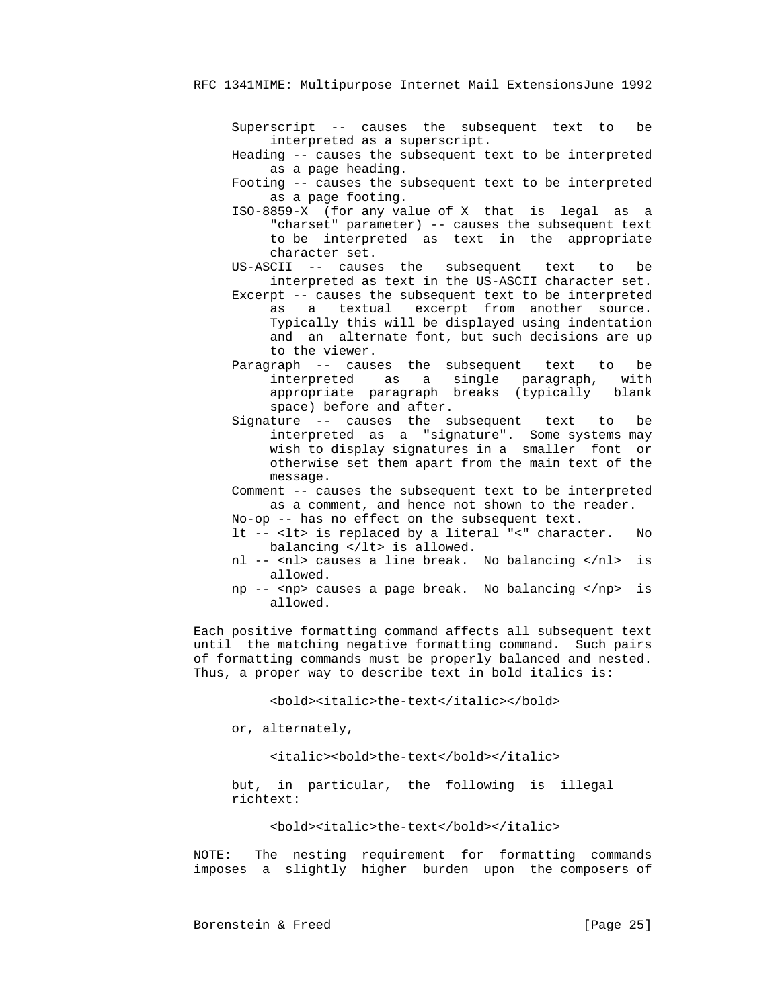Superscript -- causes the subsequent text to be interpreted as a superscript.

 Heading -- causes the subsequent text to be interpreted as a page heading.

 Footing -- causes the subsequent text to be interpreted as a page footing.

 ISO-8859-X (for any value of X that is legal as a "charset" parameter) -- causes the subsequent text to be interpreted as text in the appropriate character set.

 US-ASCII -- causes the subsequent text to be interpreted as text in the US-ASCII character set.

- Excerpt -- causes the subsequent text to be interpreted as a textual excerpt from another source. Typically this will be displayed using indentation and an alternate font, but such decisions are up to the viewer.
- Paragraph -- causes the subsequent text to be interpreted as a single paragraph, with appropriate paragraph breaks (typically blank space) before and after.
- Signature -- causes the subsequent text to be interpreted as a "signature". Some systems may wish to display signatures in a smaller font or otherwise set them apart from the main text of the message.
- Comment -- causes the subsequent text to be interpreted as a comment, and hence not shown to the reader.
- No-op -- has no effect on the subsequent text.
- lt -- <lt> is replaced by a literal "<" character. No balancing </lt> is allowed.
- nl -- <nl> causes a line break. No balancing </nl> is allowed.
- np -- <np> causes a page break. No balancing </np> is allowed.

 Each positive formatting command affects all subsequent text until the matching negative formatting command. Such pairs of formatting commands must be properly balanced and nested. Thus, a proper way to describe text in bold italics is:

<bold><italic>the-text</italic></bold>

or, alternately,

<italic><bold>the-text</bold></italic>

 but, in particular, the following is illegal richtext:

<bold><italic>the-text</bold></italic>

 NOTE: The nesting requirement for formatting commands imposes a slightly higher burden upon the composers of

Borenstein & Freed [Page 25]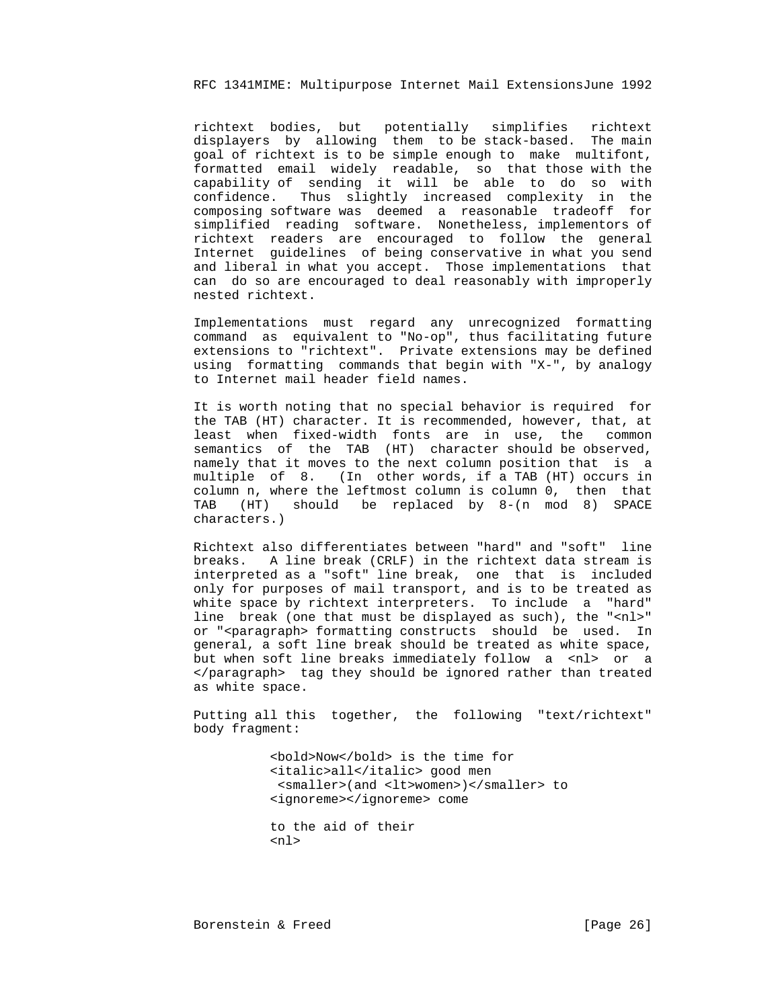richtext bodies, but potentially simplifies richtext displayers by allowing them to be stack-based. The main goal of richtext is to be simple enough to make multifont, formatted email widely readable, so that those with the capability of sending it will be able to do so with confidence. Thus slightly increased complexity in the composing software was deemed a reasonable tradeoff for simplified reading software. Nonetheless, implementors of richtext readers are encouraged to follow the general Internet guidelines of being conservative in what you send and liberal in what you accept. Those implementations that can do so are encouraged to deal reasonably with improperly nested richtext.

 Implementations must regard any unrecognized formatting command as equivalent to "No-op", thus facilitating future extensions to "richtext". Private extensions may be defined using formatting commands that begin with "X-", by analogy to Internet mail header field names.

 It is worth noting that no special behavior is required for the TAB (HT) character. It is recommended, however, that, at least when fixed-width fonts are in use, the common semantics of the TAB (HT) character should be observed, namely that it moves to the next column position that is a multiple of 8. (In other words, if a TAB (HT) occurs in column n, where the leftmost column is column 0, then that TAB (HT) should be replaced by 8-(n mod 8) SPACE characters.)

 Richtext also differentiates between "hard" and "soft" line breaks. A line break (CRLF) in the richtext data stream is interpreted as a "soft" line break, one that is included only for purposes of mail transport, and is to be treated as white space by richtext interpreters. To include a "hard" line break (one that must be displayed as such), the "<nl>" or "<paragraph> formatting constructs should be used. In general, a soft line break should be treated as white space, but when soft line breaks immediately follow a <nl> or a </paragraph> tag they should be ignored rather than treated as white space.

 Putting all this together, the following "text/richtext" body fragment:

> <bold>Now</bold> is the time for <italic>all</italic> good men <smaller>(and <lt>women>)</smaller> to <ignoreme></ignoreme> come

 to the aid of their  $n<sub>1</sub>$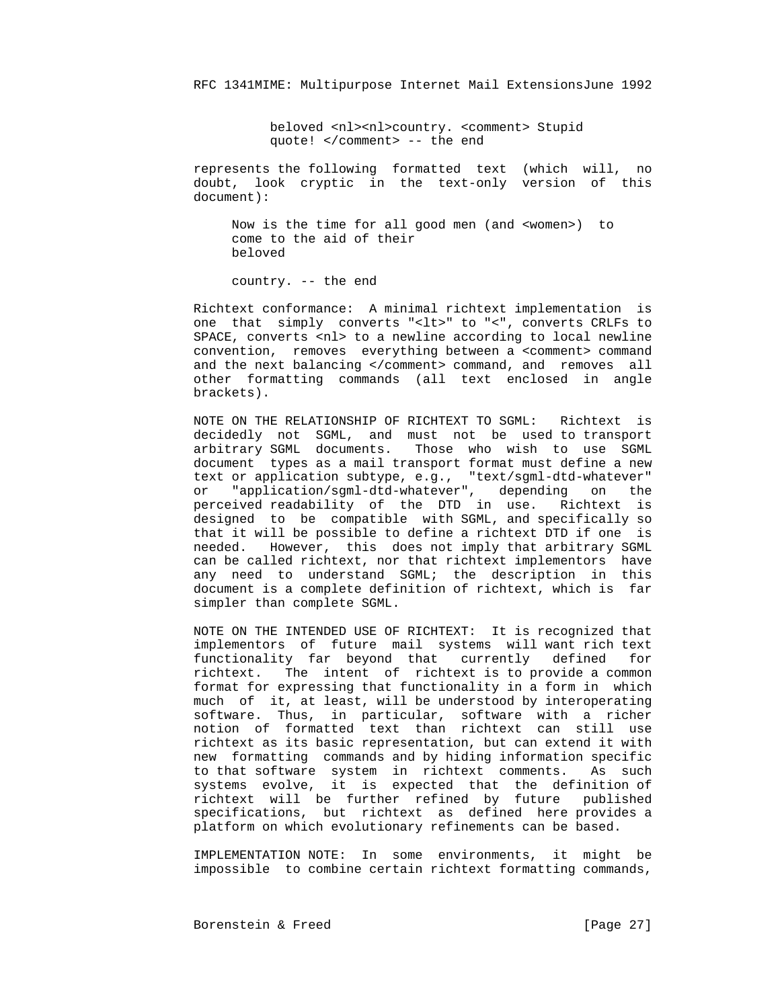beloved <nl><nl>country. <comment> Stupid quote! </comment> -- the end

 represents the following formatted text (which will, no doubt, look cryptic in the text-only version of this document):

 Now is the time for all good men (and <women>) to come to the aid of their beloved

country. -- the end

 Richtext conformance: A minimal richtext implementation is one that simply converts "<lt>" to "<", converts CRLFs to SPACE, converts <nl> to a newline according to local newline convention, removes everything between a <comment> command and the next balancing </comment> command, and removes all other formatting commands (all text enclosed in angle brackets).

 NOTE ON THE RELATIONSHIP OF RICHTEXT TO SGML: Richtext is decidedly not SGML, and must not be used to transport arbitrary SGML documents. Those who wish to use SGML document types as a mail transport format must define a new text or application subtype, e.g., "text/sgml-dtd-whatever" or "application/sgml-dtd-whatever", depending on the perceived readability of the DTD in use. Richtext is designed to be compatible with SGML, and specifically so that it will be possible to define a richtext DTD if one is needed. However, this does not imply that arbitrary SGML can be called richtext, nor that richtext implementors have any need to understand SGML; the description in this document is a complete definition of richtext, which is far simpler than complete SGML.

> NOTE ON THE INTENDED USE OF RICHTEXT: It is recognized that implementors of future mail systems will want rich text functionality far beyond that currently defined for richtext. The intent of richtext is to provide a common format for expressing that functionality in a form in which much of it, at least, will be understood by interoperating software. Thus, in particular, software with a richer notion of formatted text than richtext can still use richtext as its basic representation, but can extend it with new formatting commands and by hiding information specific to that software system in richtext comments. As such systems evolve, it is expected that the definition of richtext will be further refined by future published specifications, but richtext as defined here provides a platform on which evolutionary refinements can be based.

> IMPLEMENTATION NOTE: In some environments, it might be impossible to combine certain richtext formatting commands,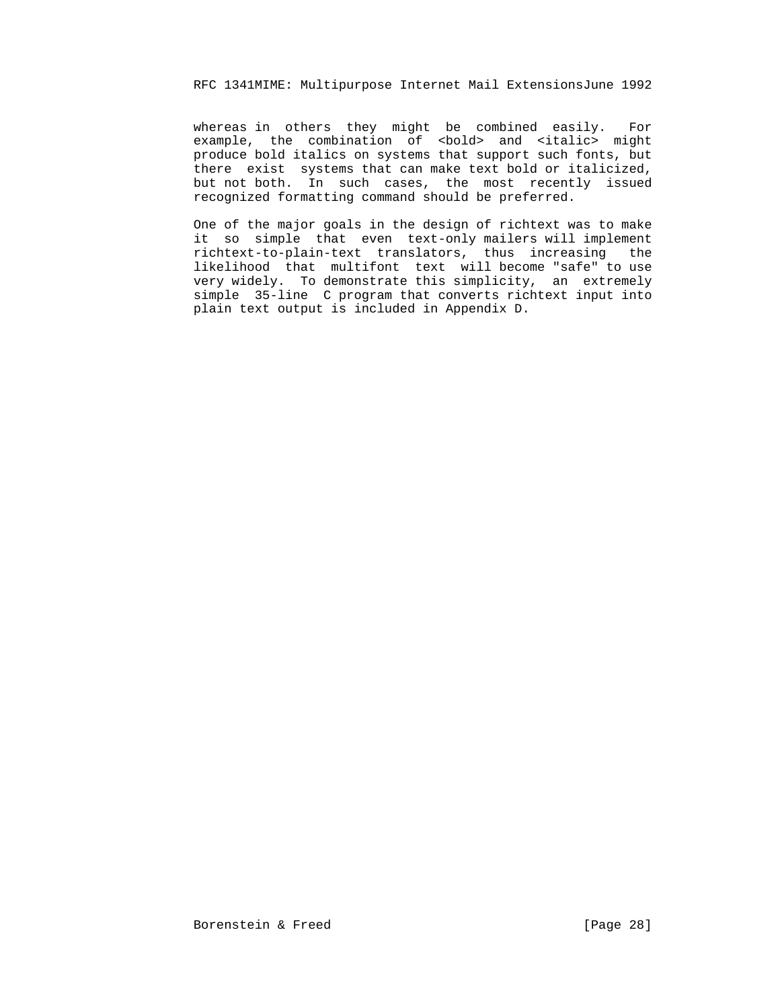whereas in others they might be combined easily. For example, the combination of <bold> and <italic> might produce bold italics on systems that support such fonts, but there exist systems that can make text bold or italicized, but not both. In such cases, the most recently issued recognized formatting command should be preferred.

 One of the major goals in the design of richtext was to make it so simple that even text-only mailers will implement richtext-to-plain-text translators, thus increasing the likelihood that multifont text will become "safe" to use very widely. To demonstrate this simplicity, an extremely simple 35-line C program that converts richtext input into plain text output is included in Appendix D.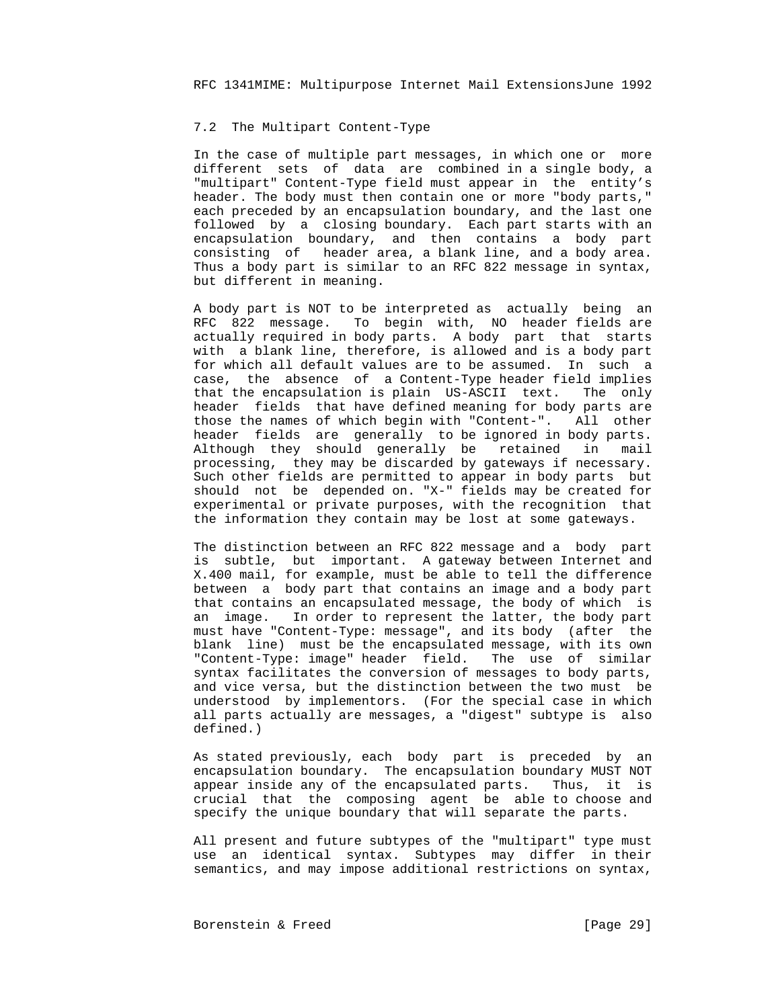## 7.2 The Multipart Content-Type

 In the case of multiple part messages, in which one or more different sets of data are combined in a single body, a "multipart" Content-Type field must appear in the entity's header. The body must then contain one or more "body parts," each preceded by an encapsulation boundary, and the last one followed by a closing boundary. Each part starts with an encapsulation boundary, and then contains a body part consisting of header area, a blank line, and a body area. Thus a body part is similar to an RFC 822 message in syntax, but different in meaning.

 A body part is NOT to be interpreted as actually being an RFC 822 message. To begin with, NO header fields are actually required in body parts. A body part that starts with a blank line, therefore, is allowed and is a body part for which all default values are to be assumed. In such a case, the absence of a Content-Type header field implies that the encapsulation is plain US-ASCII text. The only header fields that have defined meaning for body parts are those the names of which begin with "Content-". All other header fields are generally to be ignored in body parts. Although they should generally be retained in mail processing, they may be discarded by gateways if necessary. Such other fields are permitted to appear in body parts but should not be depended on. "X-" fields may be created for experimental or private purposes, with the recognition that the information they contain may be lost at some gateways.

 The distinction between an RFC 822 message and a body part is subtle, but important. A gateway between Internet and X.400 mail, for example, must be able to tell the difference between a body part that contains an image and a body part that contains an encapsulated message, the body of which is an image. In order to represent the latter, the body part must have "Content-Type: message", and its body (after the blank line) must be the encapsulated message, with its own "Content-Type: image" header field. The use of similar syntax facilitates the conversion of messages to body parts, and vice versa, but the distinction between the two must be understood by implementors. (For the special case in which all parts actually are messages, a "digest" subtype is also defined.)

 As stated previously, each body part is preceded by an encapsulation boundary. The encapsulation boundary MUST NOT appear inside any of the encapsulated parts. Thus, it is crucial that the composing agent be able to choose and specify the unique boundary that will separate the parts.

 All present and future subtypes of the "multipart" type must use an identical syntax. Subtypes may differ in their semantics, and may impose additional restrictions on syntax,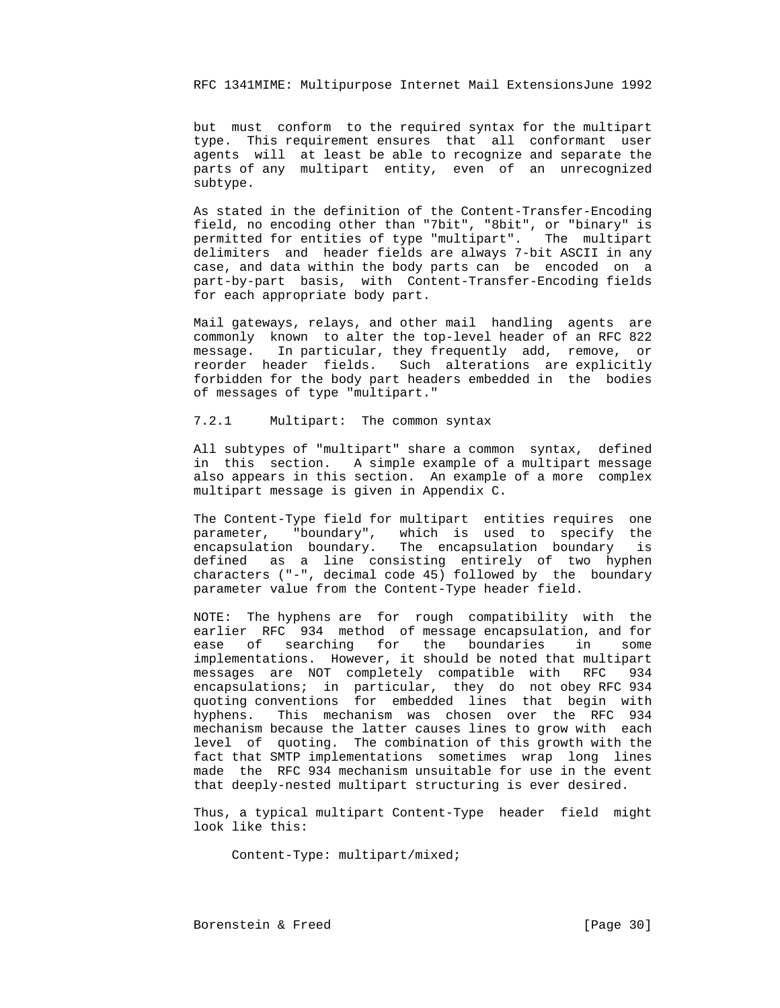but must conform to the required syntax for the multipart type. This requirement ensures that all conformant user agents will at least be able to recognize and separate the parts of any multipart entity, even of an unrecognized subtype.

 As stated in the definition of the Content-Transfer-Encoding field, no encoding other than "7bit", "8bit", or "binary" is permitted for entities of type "multipart". The multipart delimiters and header fields are always 7-bit ASCII in any case, and data within the body parts can be encoded on a part-by-part basis, with Content-Transfer-Encoding fields for each appropriate body part.

 Mail gateways, relays, and other mail handling agents are commonly known to alter the top-level header of an RFC 822 message. In particular, they frequently add, remove, or reorder header fields. Such alterations are explicitly forbidden for the body part headers embedded in the bodies of messages of type "multipart."

7.2.1 Multipart: The common syntax

 All subtypes of "multipart" share a common syntax, defined in this section. A simple example of a multipart message also appears in this section. An example of a more complex multipart message is given in Appendix C.

 The Content-Type field for multipart entities requires one parameter, "boundary", which is used to specify the encapsulation boundary. The encapsulation boundary is defined as a line consisting entirely of two hyphen characters ("-", decimal code 45) followed by the boundary parameter value from the Content-Type header field.

 NOTE: The hyphens are for rough compatibility with the earlier RFC 934 method of message encapsulation, and for ease of searching for the boundaries in some implementations. However, it should be noted that multipart messages are NOT completely compatible with RFC 934 encapsulations; in particular, they do not obey RFC 934 quoting conventions for embedded lines that begin with hyphens. This mechanism was chosen over the RFC 934 mechanism because the latter causes lines to grow with each level of quoting. The combination of this growth with the fact that SMTP implementations sometimes wrap long lines made the RFC 934 mechanism unsuitable for use in the event that deeply-nested multipart structuring is ever desired.

 Thus, a typical multipart Content-Type header field might look like this:

Content-Type: multipart/mixed;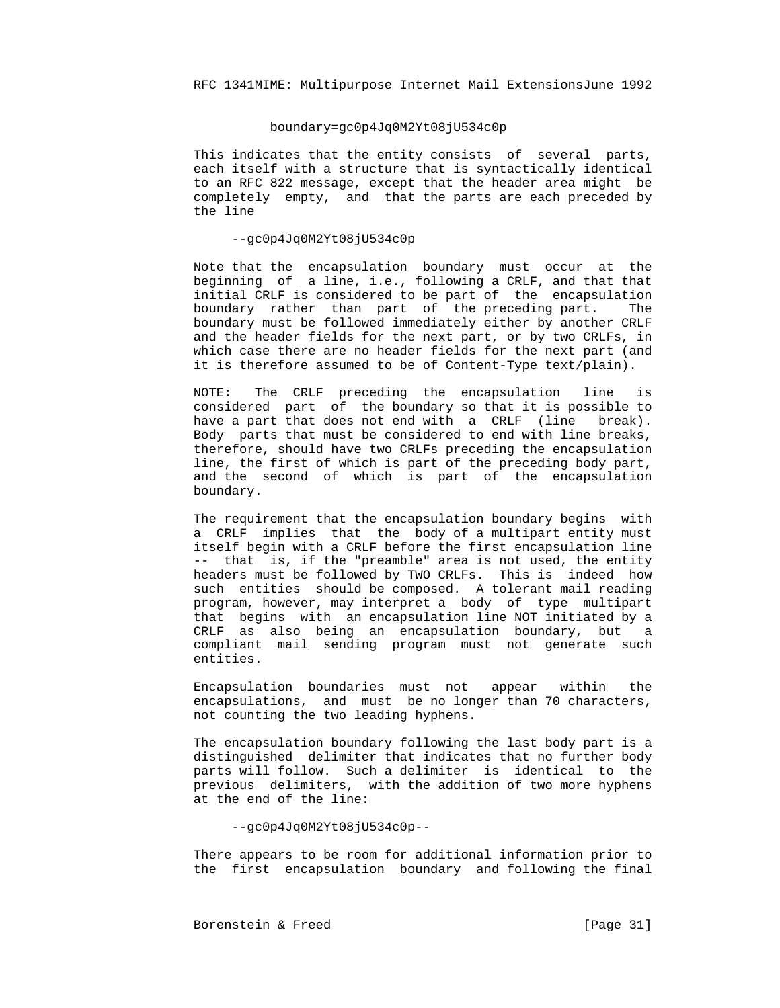#### boundary=gc0p4Jq0M2Yt08jU534c0p

 This indicates that the entity consists of several parts, each itself with a structure that is syntactically identical to an RFC 822 message, except that the header area might be completely empty, and that the parts are each preceded by the line

# --gc0p4Jq0M2Yt08jU534c0p

 Note that the encapsulation boundary must occur at the beginning of a line, i.e., following a CRLF, and that that initial CRLF is considered to be part of the encapsulation boundary rather than part of the preceding part. The boundary must be followed immediately either by another CRLF and the header fields for the next part, or by two CRLFs, in which case there are no header fields for the next part (and it is therefore assumed to be of Content-Type text/plain).

 NOTE: The CRLF preceding the encapsulation line is considered part of the boundary so that it is possible to have a part that does not end with a CRLF (line break). Body parts that must be considered to end with line breaks, therefore, should have two CRLFs preceding the encapsulation line, the first of which is part of the preceding body part, and the second of which is part of the encapsulation boundary.

 The requirement that the encapsulation boundary begins with a CRLF implies that the body of a multipart entity must itself begin with a CRLF before the first encapsulation line -- that is, if the "preamble" area is not used, the entity headers must be followed by TWO CRLFs. This is indeed how such entities should be composed. A tolerant mail reading program, however, may interpret a body of type multipart that begins with an encapsulation line NOT initiated by a CRLF as also being an encapsulation boundary, but a compliant mail sending program must not generate such entities.

 Encapsulation boundaries must not appear within the encapsulations, and must be no longer than 70 characters, not counting the two leading hyphens.

 The encapsulation boundary following the last body part is a distinguished delimiter that indicates that no further body parts will follow. Such a delimiter is identical to the previous delimiters, with the addition of two more hyphens at the end of the line:

--gc0p4Jq0M2Yt08jU534c0p--

 There appears to be room for additional information prior to the first encapsulation boundary and following the final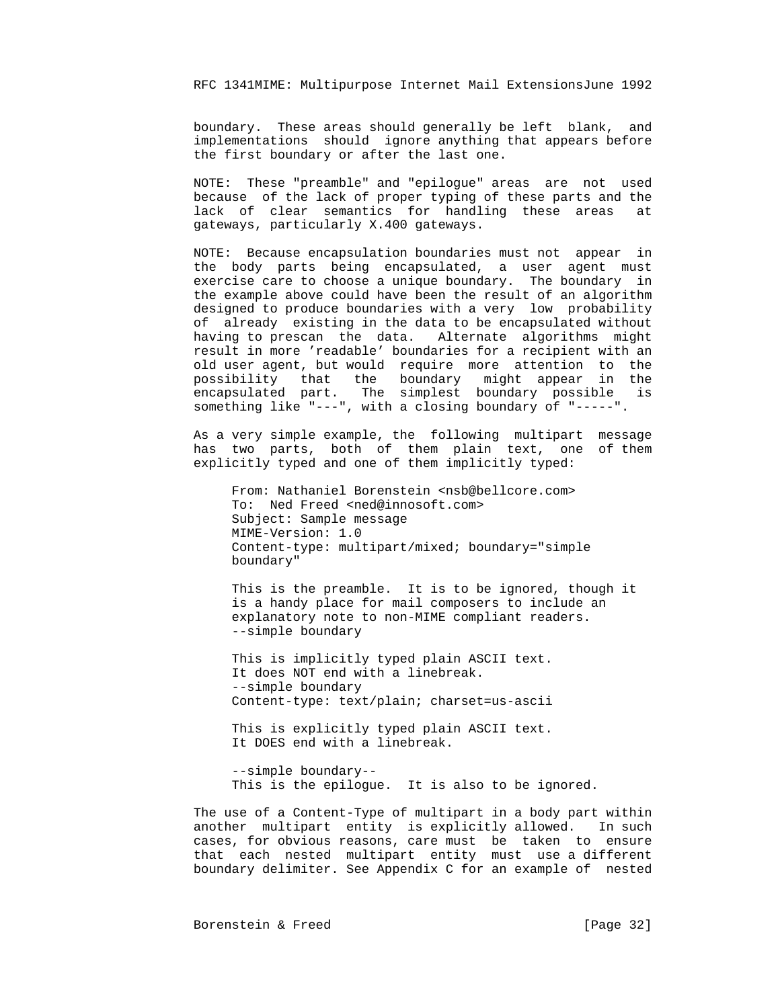boundary. These areas should generally be left blank, and implementations should ignore anything that appears before the first boundary or after the last one.

 NOTE: These "preamble" and "epilogue" areas are not used because of the lack of proper typing of these parts and the lack of clear semantics for handling these areas at gateways, particularly X.400 gateways.

 NOTE: Because encapsulation boundaries must not appear in the body parts being encapsulated, a user agent must exercise care to choose a unique boundary. The boundary in the example above could have been the result of an algorithm designed to produce boundaries with a very low probability of already existing in the data to be encapsulated without having to prescan the data. Alternate algorithms might result in more 'readable' boundaries for a recipient with an old user agent, but would require more attention to the possibility that the boundary might appear in the encapsulated part. The simplest boundary possible is something like "---", with a closing boundary of "-----".

 As a very simple example, the following multipart message has two parts, both of them plain text, one of them explicitly typed and one of them implicitly typed:

From: Nathaniel Borenstein <nsb@bellcore.com> To: Ned Freed <ned@innosoft.com> Subject: Sample message MIME-Version: 1.0 Content-type: multipart/mixed; boundary="simple boundary"

 This is the preamble. It is to be ignored, though it is a handy place for mail composers to include an explanatory note to non-MIME compliant readers. --simple boundary

 This is implicitly typed plain ASCII text. It does NOT end with a linebreak. --simple boundary Content-type: text/plain; charset=us-ascii

 This is explicitly typed plain ASCII text. It DOES end with a linebreak.

 --simple boundary-- This is the epilogue. It is also to be ignored.

 The use of a Content-Type of multipart in a body part within another multipart entity is explicitly allowed. In such cases, for obvious reasons, care must be taken to ensure that each nested multipart entity must use a different boundary delimiter. See Appendix C for an example of nested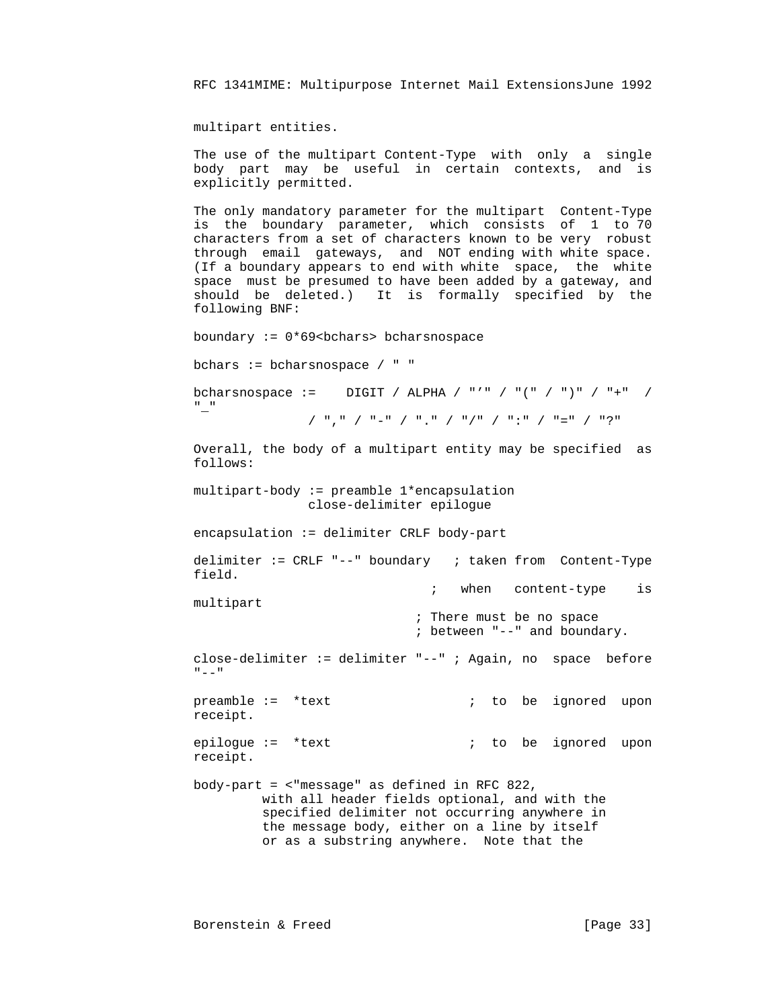multipart entities.

 The use of the multipart Content-Type with only a single body part may be useful in certain contexts, and is explicitly permitted.

 The only mandatory parameter for the multipart Content-Type is the boundary parameter, which consists of 1 to 70 characters from a set of characters known to be very robust through email gateways, and NOT ending with white space. (If a boundary appears to end with white space, the white space must be presumed to have been added by a gateway, and should be deleted.) It is formally specified by the following BNF:

boundary :=  $0*69$  <br/>bchars> bcharsnospace

bchars := bcharsnospace / " "

bcharsnospace := DIGIT / ALPHA / "'" / "(" / ")" / "+" / "\_" / "," / "-" / "." / "/" / ":" / "=" / "?"

Overall, the body of a multipart entity may be specified as

follows:

 multipart-body := preamble 1\*encapsulation close-delimiter epilogue

 $encapsulation := delimiter CRLF body-part$ 

 delimiter := CRLF "--" boundary ; taken from Content-Type field. ; when content-type is

multipart

 ; There must be no space ; between "--" and boundary.

 close-delimiter := delimiter "--" ; Again, no space before  $\mathbf{u} = \mathbf{v}$ 

preamble := \*text  $\qquad \qquad ;$  to be ignored upon receipt.

epilogue := \*text  $\qquad \qquad ;$  to be ignored upon receipt.

 body-part = <"message" as defined in RFC 822, with all header fields optional, and with the specified delimiter not occurring anywhere in the message body, either on a line by itself or as a substring anywhere. Note that the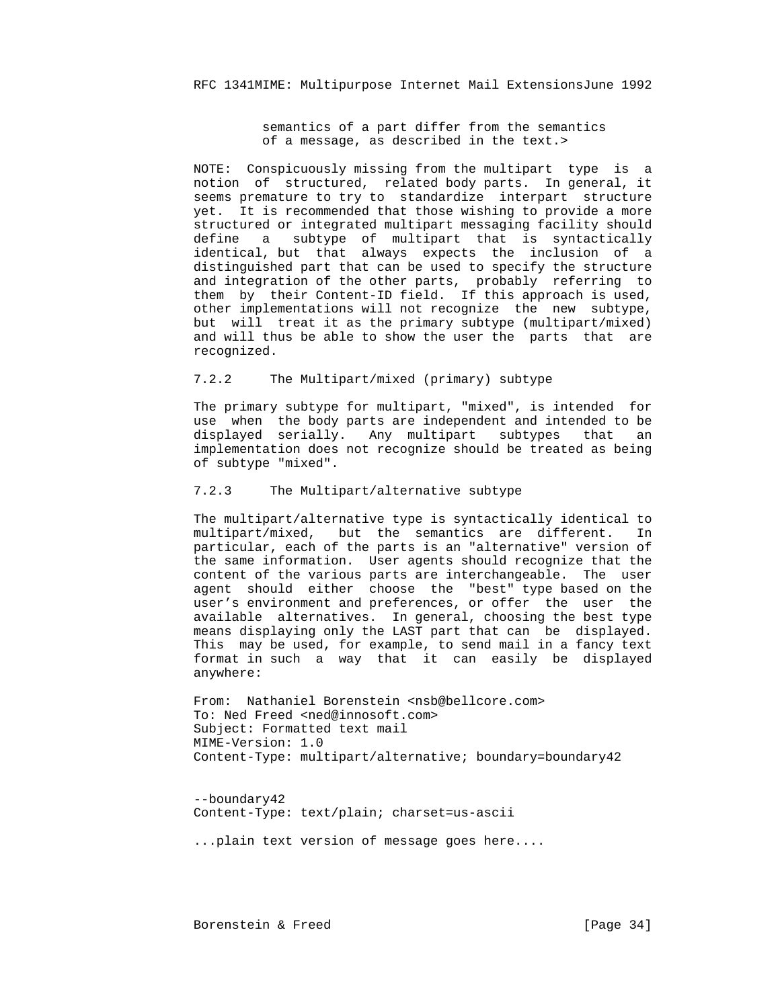semantics of a part differ from the semantics of a message, as described in the text.>

 NOTE: Conspicuously missing from the multipart type is a notion of structured, related body parts. In general, it seems premature to try to standardize interpart structure yet. It is recommended that those wishing to provide a more structured or integrated multipart messaging facility should define a subtype of multipart that is syntactically identical, but that always expects the inclusion of a distinguished part that can be used to specify the structure and integration of the other parts, probably referring to them by their Content-ID field. If this approach is used, other implementations will not recognize the new subtype, but will treat it as the primary subtype (multipart/mixed) and will thus be able to show the user the parts that are recognized.

# 7.2.2 The Multipart/mixed (primary) subtype

 The primary subtype for multipart, "mixed", is intended for use when the body parts are independent and intended to be displayed serially. Any multipart subtypes that an implementation does not recognize should be treated as being of subtype "mixed".

# 7.2.3 The Multipart/alternative subtype

 The multipart/alternative type is syntactically identical to multipart/mixed, but the semantics are different. In particular, each of the parts is an "alternative" version of the same information. User agents should recognize that the content of the various parts are interchangeable. The user agent should either choose the "best" type based on the user's environment and preferences, or offer the user the available alternatives. In general, choosing the best type means displaying only the LAST part that can be displayed. This may be used, for example, to send mail in a fancy text format in such a way that it can easily be displayed anywhere:

From: Nathaniel Borenstein <nsb@bellcore.com> To: Ned Freed <ned@innosoft.com> Subject: Formatted text mail MIME-Version: 1.0 Content-Type: multipart/alternative; boundary=boundary42

 --boundary42 Content-Type: text/plain; charset=us-ascii

...plain text version of message goes here....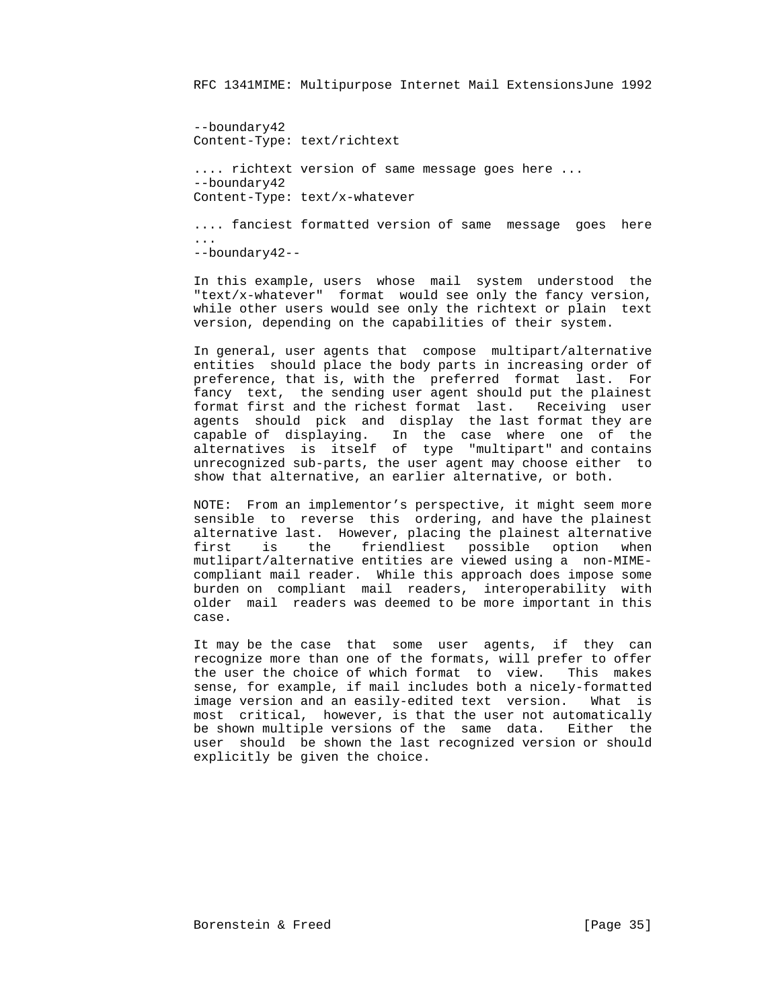--boundary42 Content-Type: text/richtext .... richtext version of same message goes here ... --boundary42 Content-Type: text/x-whatever .... fanciest formatted version of same message goes here ...

--boundary42--

 In this example, users whose mail system understood the "text/x-whatever" format would see only the fancy version, while other users would see only the richtext or plain text version, depending on the capabilities of their system.

 In general, user agents that compose multipart/alternative entities should place the body parts in increasing order of preference, that is, with the preferred format last. For fancy text, the sending user agent should put the plainest format first and the richest format last. Receiving user agents should pick and display the last format they are capable of displaying. In the case where one of the alternatives is itself of type "multipart" and contains unrecognized sub-parts, the user agent may choose either to show that alternative, an earlier alternative, or both.

 NOTE: From an implementor's perspective, it might seem more sensible to reverse this ordering, and have the plainest alternative last. However, placing the plainest alternative first is the friendliest possible option when mutlipart/alternative entities are viewed using a non-MIME compliant mail reader. While this approach does impose some burden on compliant mail readers, interoperability with older mail readers was deemed to be more important in this case.

 It may be the case that some user agents, if they can recognize more than one of the formats, will prefer to offer the user the choice of which format to view. This makes sense, for example, if mail includes both a nicely-formatted image version and an easily-edited text version. What is most critical, however, is that the user not automatically be shown multiple versions of the same data. Either the user should be shown the last recognized version or should explicitly be given the choice.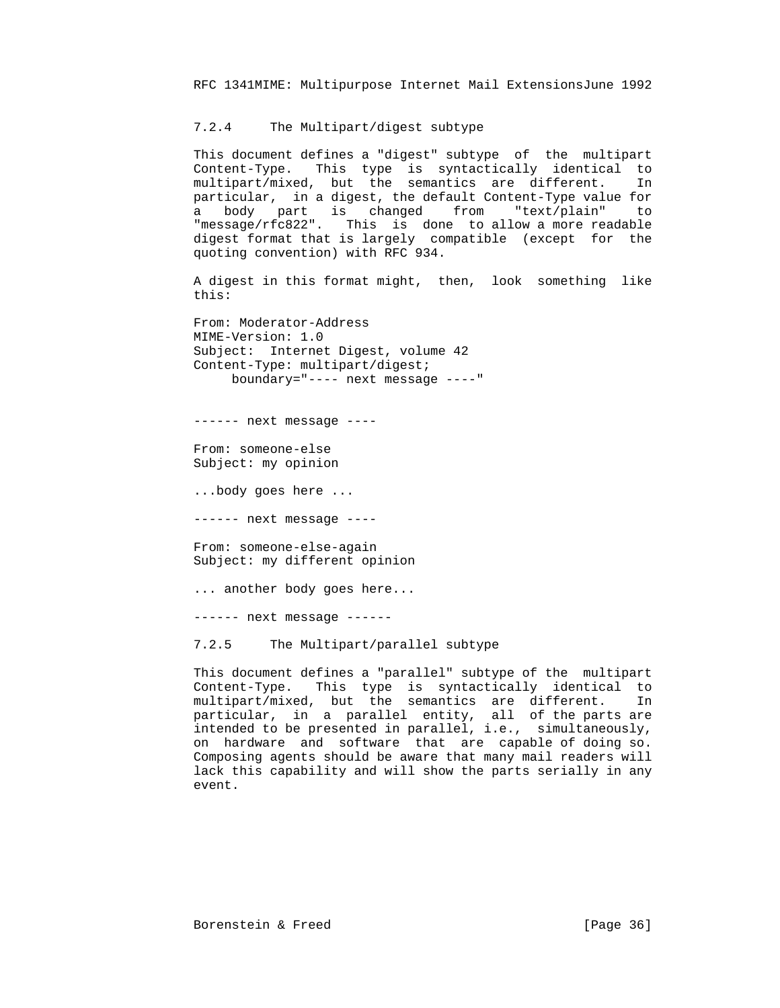### 7.2.4 The Multipart/digest subtype

 This document defines a "digest" subtype of the multipart Content-Type. This type is syntactically identical to multipart/mixed, but the semantics are different. In particular, in a digest, the default Content-Type value for a body part is changed from "text/plain" to "message/rfc822". This is done to allow a more readable digest format that is largely compatible (except for the quoting convention) with RFC 934.

 A digest in this format might, then, look something like this:

 From: Moderator-Address MIME-Version: 1.0 Subject: Internet Digest, volume 42 Content-Type: multipart/digest; boundary="---- next message ----"

------ next message ----

 From: someone-else Subject: my opinion

...body goes here ...

------ next message ----

 From: someone-else-again Subject: my different opinion

... another body goes here...

------ next message ------

7.2.5 The Multipart/parallel subtype

 This document defines a "parallel" subtype of the multipart Content-Type. This type is syntactically identical to multipart/mixed, but the semantics are different. In particular, in a parallel entity, all of the parts are intended to be presented in parallel, i.e., simultaneously, on hardware and software that are capable of doing so. Composing agents should be aware that many mail readers will lack this capability and will show the parts serially in any event.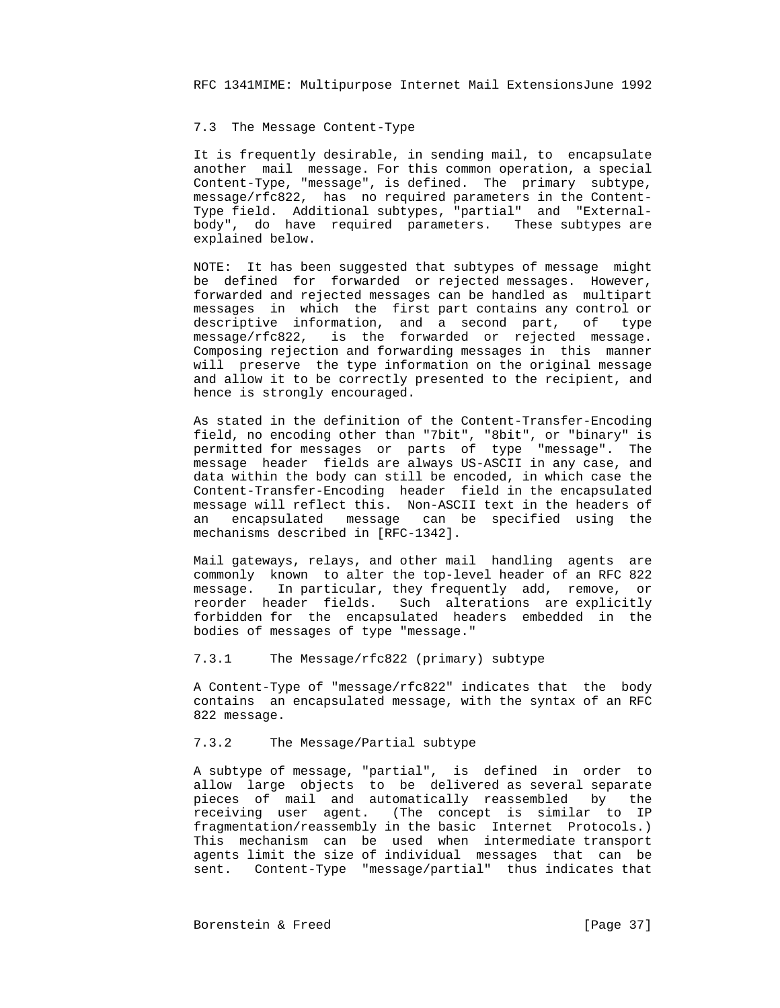## 7.3 The Message Content-Type

 It is frequently desirable, in sending mail, to encapsulate another mail message. For this common operation, a special Content-Type, "message", is defined. The primary subtype, message/rfc822, has no required parameters in the Content- Type field. Additional subtypes, "partial" and "External body", do have required parameters. These subtypes are explained below.

 NOTE: It has been suggested that subtypes of message might be defined for forwarded or rejected messages. However, forwarded and rejected messages can be handled as multipart messages in which the first part contains any control or descriptive information, and a second part, of type message/rfc822, is the forwarded or rejected message. Composing rejection and forwarding messages in this manner will preserve the type information on the original message and allow it to be correctly presented to the recipient, and hence is strongly encouraged.

> As stated in the definition of the Content-Transfer-Encoding field, no encoding other than "7bit", "8bit", or "binary" is permitted for messages or parts of type "message". The message header fields are always US-ASCII in any case, and data within the body can still be encoded, in which case the Content-Transfer-Encoding header field in the encapsulated message will reflect this. Non-ASCII text in the headers of an encapsulated message can be specified using the mechanisms described in [RFC-1342].

> Mail gateways, relays, and other mail handling agents are commonly known to alter the top-level header of an RFC 822 message. In particular, they frequently add, remove, or reorder header fields. Such alterations are explicitly forbidden for the encapsulated headers embedded in the bodies of messages of type "message."

7.3.1 The Message/rfc822 (primary) subtype

 A Content-Type of "message/rfc822" indicates that the body contains an encapsulated message, with the syntax of an RFC 822 message.

# 7.3.2 The Message/Partial subtype

 A subtype of message, "partial", is defined in order to allow large objects to be delivered as several separate pieces of mail and automatically reassembled by the receiving user agent. (The concept is similar to IP fragmentation/reassembly in the basic Internet Protocols.) This mechanism can be used when intermediate transport agents limit the size of individual messages that can be sent. Content-Type "message/partial" thus indicates that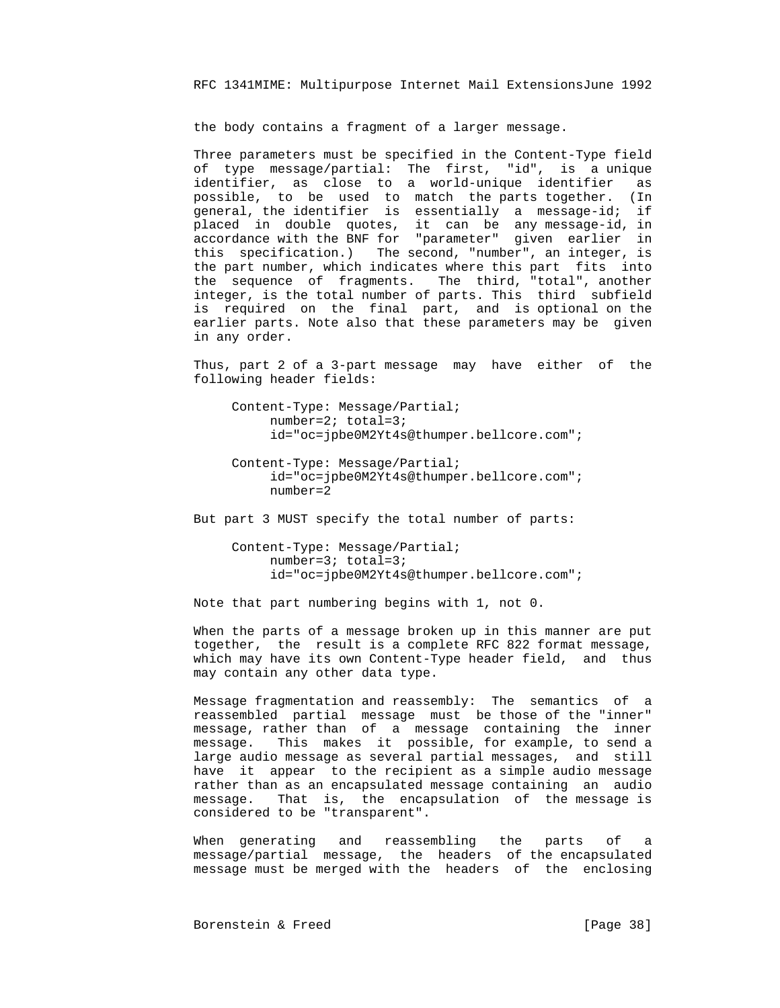the body contains a fragment of a larger message.

 Three parameters must be specified in the Content-Type field of type message/partial: The first, "id", is a unique identifier, as close to a world-unique identifier as possible, to be used to match the parts together. (In general, the identifier is essentially a message-id; if placed in double quotes, it can be any message-id, in accordance with the BNF for "parameter" given earlier in this specification.) The second, "number", an integer, is the part number, which indicates where this part fits into the sequence of fragments. The third, "total", another integer, is the total number of parts. This third subfield is required on the final part, and is optional on the earlier parts. Note also that these parameters may be given in any order.

> Thus, part 2 of a 3-part message may have either of the following header fields:

 Content-Type: Message/Partial; number=2; total=3; id="oc=jpbe0M2Yt4s@thumper.bellcore.com";

 Content-Type: Message/Partial; id="oc=jpbe0M2Yt4s@thumper.bellcore.com"; number=2

But part 3 MUST specify the total number of parts:

 Content-Type: Message/Partial; number=3; total=3; id="oc=jpbe0M2Yt4s@thumper.bellcore.com";

Note that part numbering begins with 1, not 0.

 When the parts of a message broken up in this manner are put together, the result is a complete RFC 822 format message, which may have its own Content-Type header field, and thus may contain any other data type.

 Message fragmentation and reassembly: The semantics of a reassembled partial message must be those of the "inner" message, rather than of a message containing the inner message. This makes it possible, for example, to send a large audio message as several partial messages, and still have it appear to the recipient as a simple audio message rather than as an encapsulated message containing an audio message. That is, the encapsulation of the message is considered to be "transparent".

 When generating and reassembling the parts of a message/partial message, the headers of the encapsulated message must be merged with the headers of the enclosing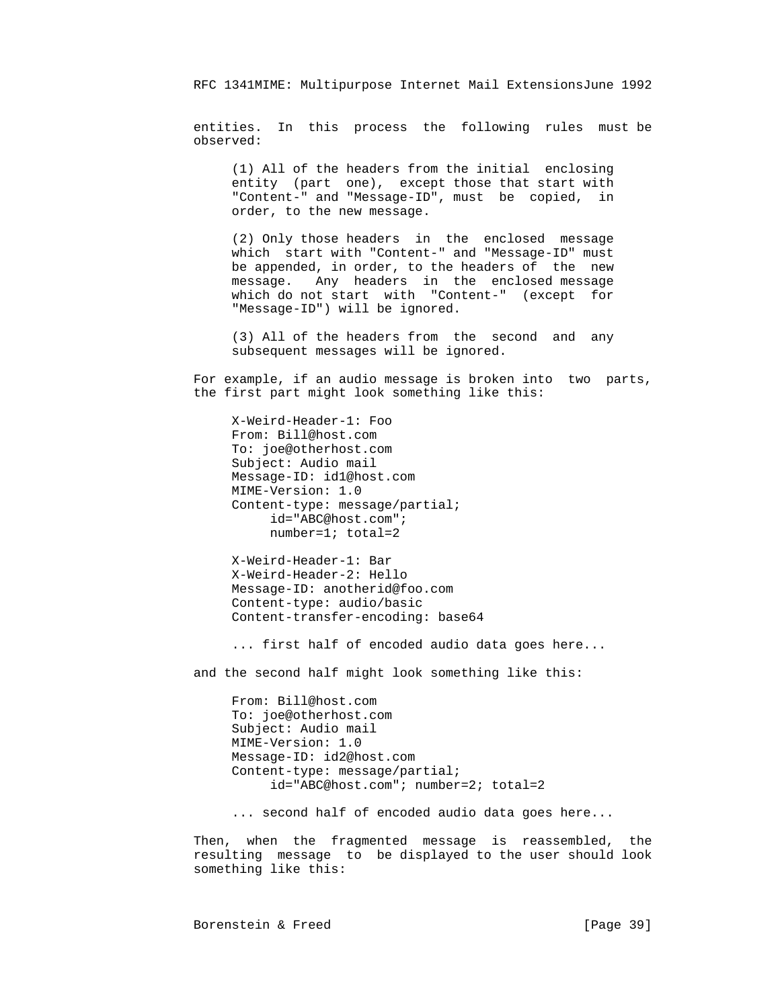entities. In this process the following rules must be observed:

 (1) All of the headers from the initial enclosing entity (part one), except those that start with "Content-" and "Message-ID", must be copied, in order, to the new message.

 (2) Only those headers in the enclosed message which start with "Content-" and "Message-ID" must be appended, in order, to the headers of the new message. Any headers in the enclosed message which do not start with "Content-" (except for "Message-ID") will be ignored.

 (3) All of the headers from the second and any subsequent messages will be ignored.

 For example, if an audio message is broken into two parts, the first part might look something like this:

 X-Weird-Header-1: Foo From: Bill@host.com To: joe@otherhost.com Subject: Audio mail Message-ID: id1@host.com MIME-Version: 1.0 Content-type: message/partial; id="ABC@host.com"; number=1; total=2

 X-Weird-Header-1: Bar X-Weird-Header-2: Hello Message-ID: anotherid@foo.com Content-type: audio/basic Content-transfer-encoding: base64

... first half of encoded audio data goes here...

and the second half might look something like this:

 From: Bill@host.com To: joe@otherhost.com Subject: Audio mail MIME-Version: 1.0 Message-ID: id2@host.com Content-type: message/partial; id="ABC@host.com"; number=2; total=2

... second half of encoded audio data goes here...

 Then, when the fragmented message is reassembled, the resulting message to be displayed to the user should look something like this: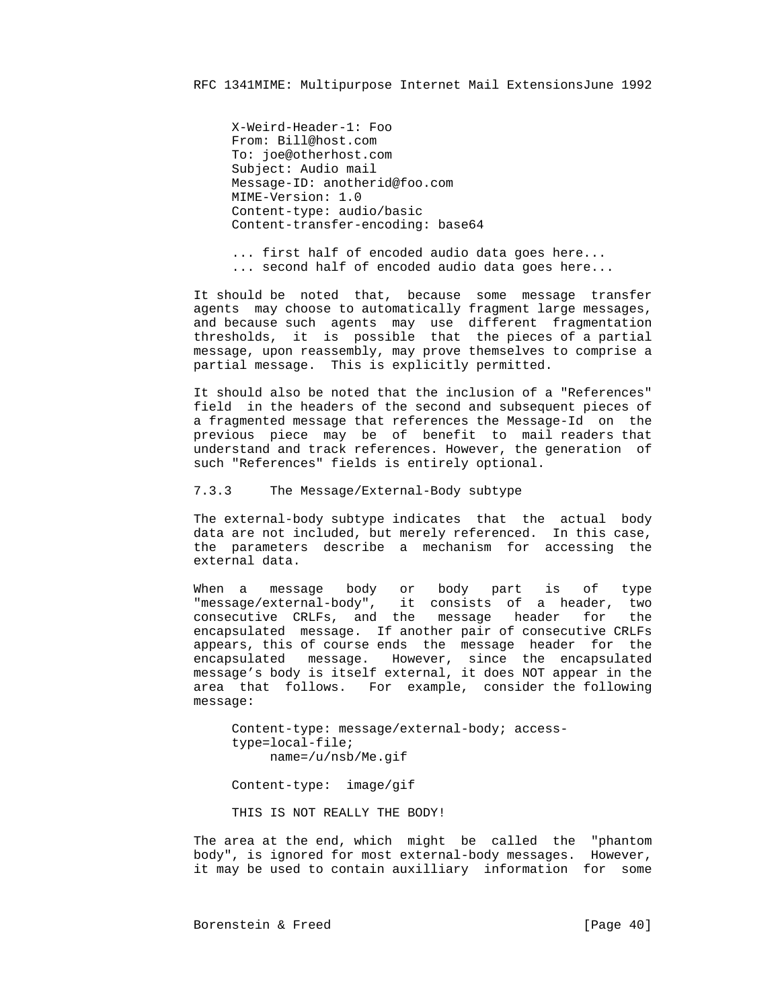X-Weird-Header-1: Foo From: Bill@host.com To: joe@otherhost.com Subject: Audio mail Message-ID: anotherid@foo.com MIME-Version: 1.0 Content-type: audio/basic Content-transfer-encoding: base64

 ... first half of encoded audio data goes here... ... second half of encoded audio data goes here...

 It should be noted that, because some message transfer agents may choose to automatically fragment large messages, and because such agents may use different fragmentation thresholds, it is possible that the pieces of a partial message, upon reassembly, may prove themselves to comprise a partial message. This is explicitly permitted.

> It should also be noted that the inclusion of a "References" field in the headers of the second and subsequent pieces of a fragmented message that references the Message-Id on the previous piece may be of benefit to mail readers that understand and track references. However, the generation of such "References" fields is entirely optional.

7.3.3 The Message/External-Body subtype

 The external-body subtype indicates that the actual body data are not included, but merely referenced. In this case, the parameters describe a mechanism for accessing the external data.

When a message body or body part is of type<br>"message/external-body", it consists of a header, two it consists of a header, two consecutive CRLFs, and the message header for the encapsulated message. If another pair of consecutive CRLFs appears, this of course ends the message header for the encapsulated message. However, since the encapsulated message's body is itself external, it does NOT appear in the area that follows. For example, consider the following message:

> Content-type: message/external-body; access type=local-file; name=/u/nsb/Me.gif

Content-type: image/gif

THIS IS NOT REALLY THE BODY!

 The area at the end, which might be called the "phantom body", is ignored for most external-body messages. However, it may be used to contain auxilliary information for some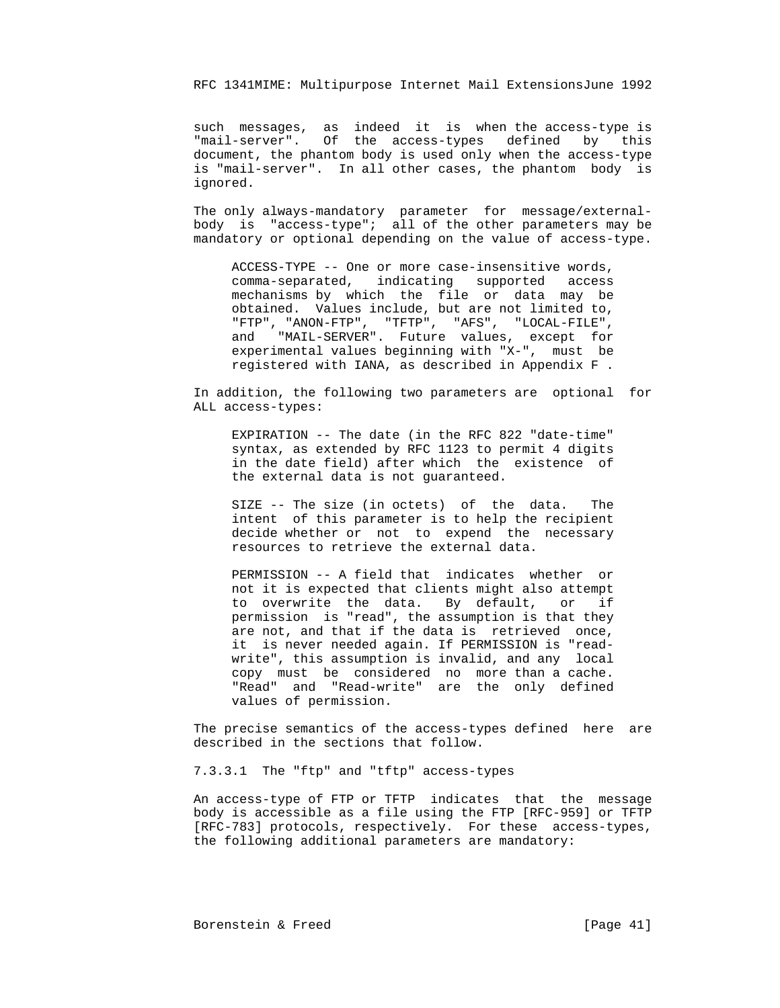such messages, as indeed it is when the access-type is "mail-server". Of the access-types defined by this document, the phantom body is used only when the access-type is "mail-server". In all other cases, the phantom body is ignored.

> The only always-mandatory parameter for message/external body is "access-type"; all of the other parameters may be mandatory or optional depending on the value of access-type.

 ACCESS-TYPE -- One or more case-insensitive words, comma-separated, indicating supported access mechanisms by which the file or data may be obtained. Values include, but are not limited to, "FTP", "ANON-FTP", "TFTP", "AFS", "LOCAL-FILE", and "MAIL-SERVER". Future values, except for experimental values beginning with "X-", must be registered with IANA, as described in Appendix F .

> In addition, the following two parameters are optional for ALL access-types:

 EXPIRATION -- The date (in the RFC 822 "date-time" syntax, as extended by RFC 1123 to permit 4 digits in the date field) after which the existence of the external data is not guaranteed.

 SIZE -- The size (in octets) of the data. The intent of this parameter is to help the recipient decide whether or not to expend the necessary resources to retrieve the external data.

 PERMISSION -- A field that indicates whether or not it is expected that clients might also attempt to overwrite the data. By default, or if permission is "read", the assumption is that they are not, and that if the data is retrieved once, it is never needed again. If PERMISSION is "read write", this assumption is invalid, and any local copy must be considered no more than a cache. "Read" and "Read-write" are the only defined values of permission.

 The precise semantics of the access-types defined here are described in the sections that follow.

7.3.3.1 The "ftp" and "tftp" access-types

 An access-type of FTP or TFTP indicates that the message body is accessible as a file using the FTP [RFC-959] or TFTP [RFC-783] protocols, respectively. For these access-types, the following additional parameters are mandatory: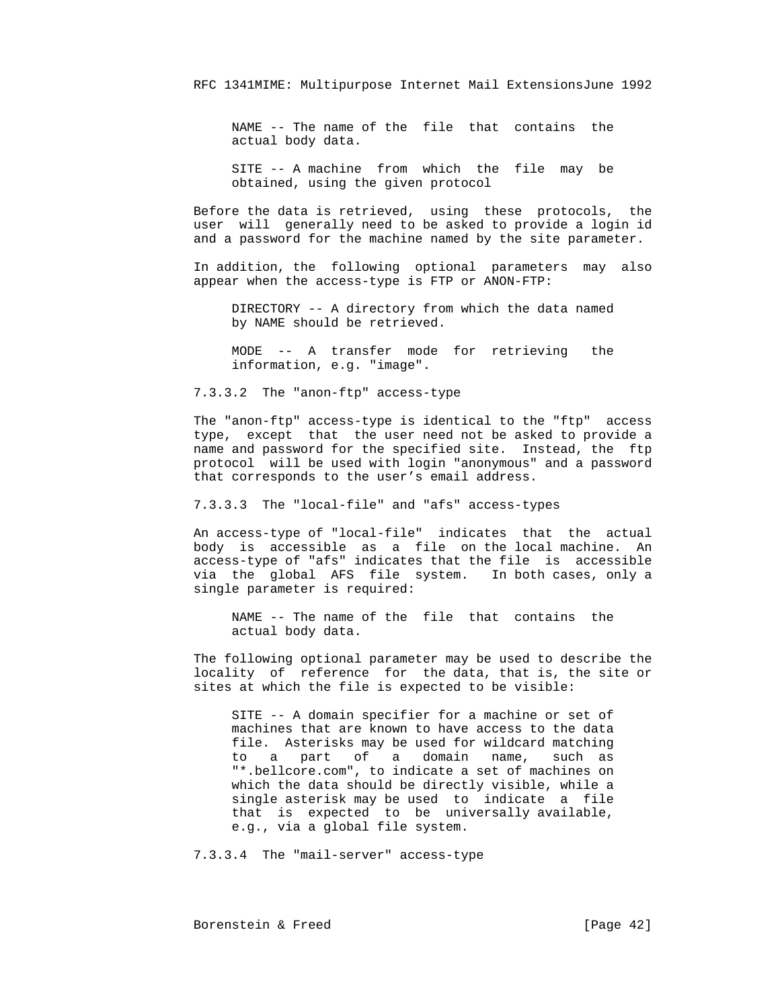NAME -- The name of the file that contains the actual body data.

 SITE -- A machine from which the file may be obtained, using the given protocol

 Before the data is retrieved, using these protocols, the user will generally need to be asked to provide a login id and a password for the machine named by the site parameter.

 In addition, the following optional parameters may also appear when the access-type is FTP or ANON-FTP:

 DIRECTORY -- A directory from which the data named by NAME should be retrieved.

 MODE -- A transfer mode for retrieving the information, e.g. "image".

7.3.3.2 The "anon-ftp" access-type

 The "anon-ftp" access-type is identical to the "ftp" access type, except that the user need not be asked to provide a name and password for the specified site. Instead, the ftp protocol will be used with login "anonymous" and a password that corresponds to the user's email address.

7.3.3.3 The "local-file" and "afs" access-types

 An access-type of "local-file" indicates that the actual body is accessible as a file on the local machine. An access-type of "afs" indicates that the file is accessible via the global AFS file system. In both cases, only a single parameter is required:

 NAME -- The name of the file that contains the actual body data.

 The following optional parameter may be used to describe the locality of reference for the data, that is, the site or sites at which the file is expected to be visible:

 SITE -- A domain specifier for a machine or set of machines that are known to have access to the data file. Asterisks may be used for wildcard matching to a part of a domain name, such as "\*.bellcore.com", to indicate a set of machines on which the data should be directly visible, while a single asterisk may be used to indicate a file that is expected to be universally available, e.g., via a global file system.

7.3.3.4 The "mail-server" access-type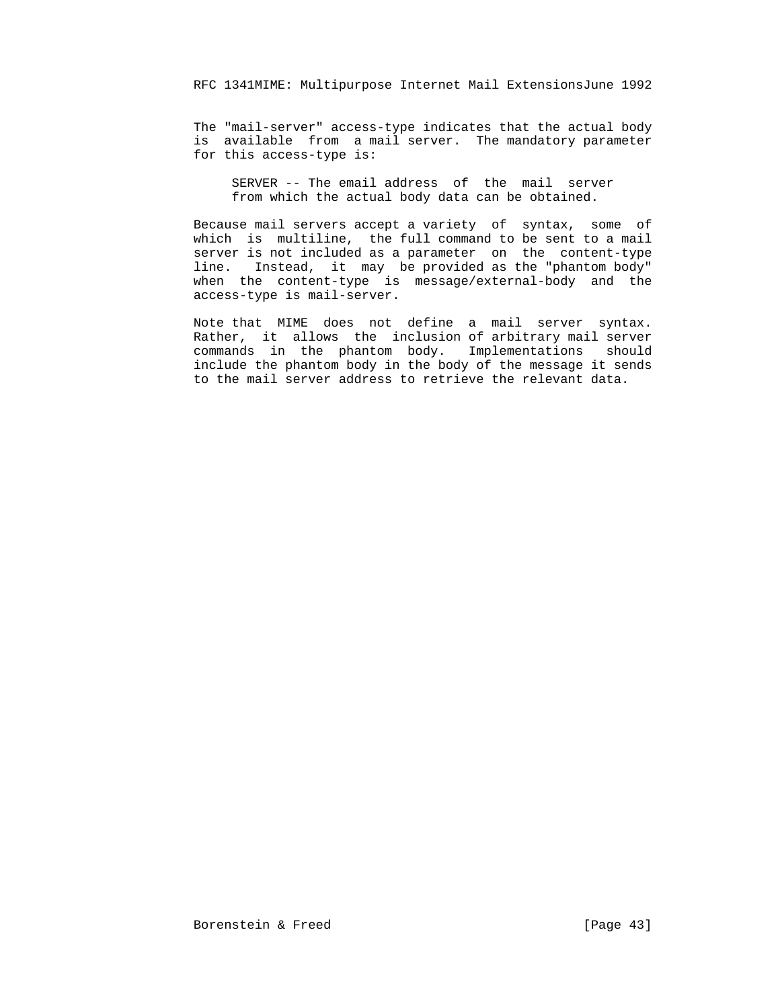The "mail-server" access-type indicates that the actual body is available from a mail server. The mandatory parameter for this access-type is:

 SERVER -- The email address of the mail server from which the actual body data can be obtained.

 Because mail servers accept a variety of syntax, some of which is multiline, the full command to be sent to a mail server is not included as a parameter on the content-type line. Instead, it may be provided as the "phantom body" when the content-type is message/external-body and the access-type is mail-server.

 Note that MIME does not define a mail server syntax. Rather, it allows the inclusion of arbitrary mail server commands in the phantom body. Implementations should include the phantom body in the body of the message it sends to the mail server address to retrieve the relevant data.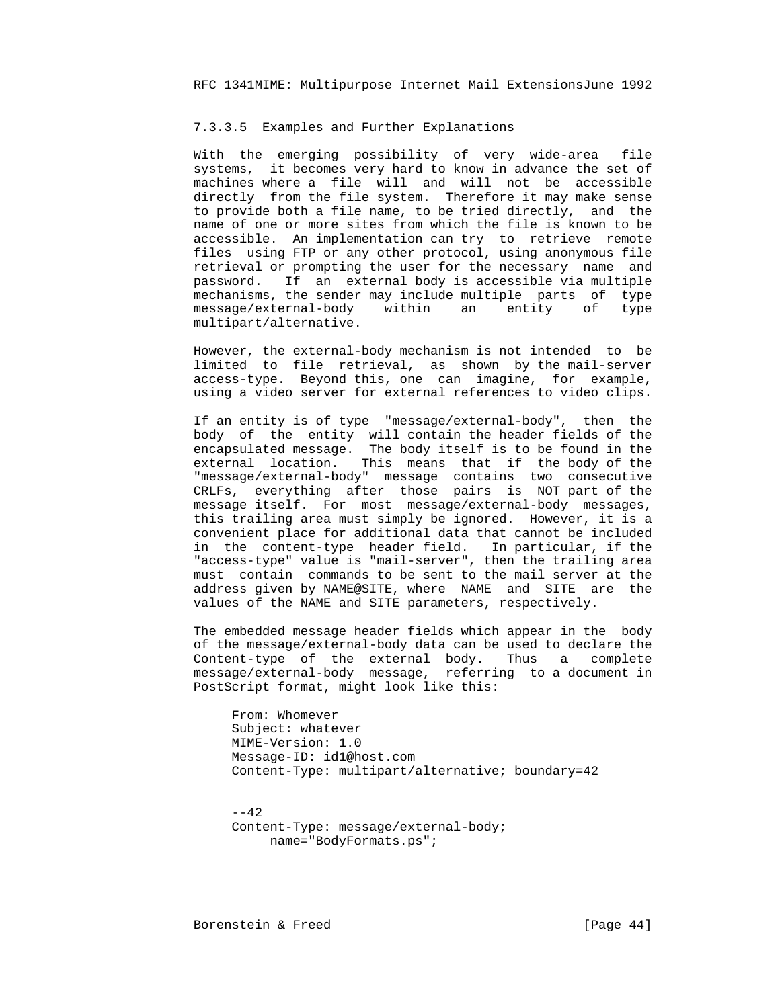#### 7.3.3.5 Examples and Further Explanations

 With the emerging possibility of very wide-area file systems, it becomes very hard to know in advance the set of machines where a file will and will not be accessible directly from the file system. Therefore it may make sense to provide both a file name, to be tried directly, and the name of one or more sites from which the file is known to be accessible. An implementation can try to retrieve remote files using FTP or any other protocol, using anonymous file retrieval or prompting the user for the necessary name and password. If an external body is accessible via multiple mechanisms, the sender may include multiple parts of type message/external-body within an entity of type multipart/alternative.

 However, the external-body mechanism is not intended to be limited to file retrieval, as shown by the mail-server access-type. Beyond this, one can imagine, for example, using a video server for external references to video clips.

 If an entity is of type "message/external-body", then the body of the entity will contain the header fields of the encapsulated message. The body itself is to be found in the external location. This means that if the body of the "message/external-body" message contains two consecutive CRLFs, everything after those pairs is NOT part of the message itself. For most message/external-body messages, this trailing area must simply be ignored. However, it is a convenient place for additional data that cannot be included in the content-type header field. In particular, if the "access-type" value is "mail-server", then the trailing area must contain commands to be sent to the mail server at the address given by NAME@SITE, where NAME and SITE are the values of the NAME and SITE parameters, respectively.

> The embedded message header fields which appear in the body of the message/external-body data can be used to declare the Content-type of the external body. Thus a complete message/external-body message, referring to a document in PostScript format, might look like this:

 From: Whomever Subject: whatever MIME-Version: 1.0 Message-ID: id1@host.com Content-Type: multipart/alternative; boundary=42

 $- - 42$  Content-Type: message/external-body; name="BodyFormats.ps";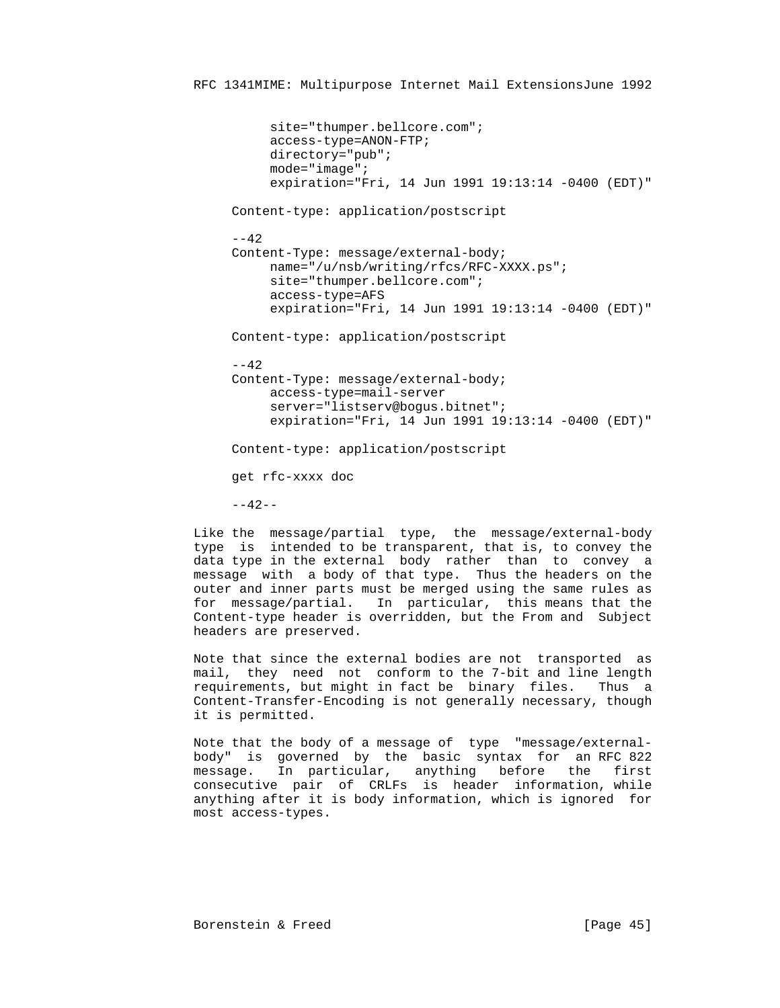```
 site="thumper.bellcore.com";
      access-type=ANON-FTP;
      directory="pub";
      mode="image";
      expiration="Fri, 14 Jun 1991 19:13:14 -0400 (EDT)"
 Content-type: application/postscript
- - 42 Content-Type: message/external-body;
      name="/u/nsb/writing/rfcs/RFC-XXXX.ps";
      site="thumper.bellcore.com";
      access-type=AFS
      expiration="Fri, 14 Jun 1991 19:13:14 -0400 (EDT)"
 Content-type: application/postscript
 --42
 Content-Type: message/external-body;
      access-type=mail-server
      server="listserv@bogus.bitnet";
      expiration="Fri, 14 Jun 1991 19:13:14 -0400 (EDT)"
 Content-type: application/postscript
 get rfc-xxxx doc
-42-
```
 Like the message/partial type, the message/external-body type is intended to be transparent, that is, to convey the data type in the external body rather than to convey a message with a body of that type. Thus the headers on the outer and inner parts must be merged using the same rules as for message/partial. In particular, this means that the Content-type header is overridden, but the From and Subject headers are preserved.

 Note that since the external bodies are not transported as mail, they need not conform to the 7-bit and line length requirements, but might in fact be binary files. Thus a Content-Transfer-Encoding is not generally necessary, though it is permitted.

 Note that the body of a message of type "message/external body" is governed by the basic syntax for an RFC 822 message. In particular, anything before the first consecutive pair of CRLFs is header information, while anything after it is body information, which is ignored for most access-types.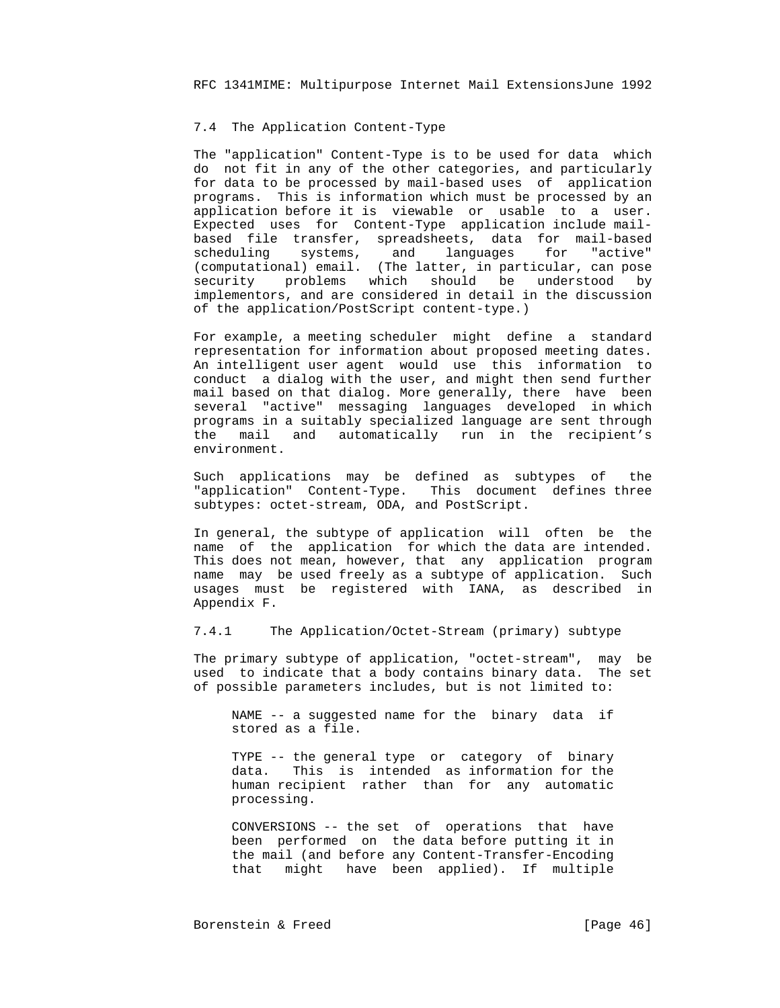## 7.4 The Application Content-Type

 The "application" Content-Type is to be used for data which do not fit in any of the other categories, and particularly for data to be processed by mail-based uses of application programs. This is information which must be processed by an application before it is viewable or usable to a user. Expected uses for Content-Type application include mail based file transfer, spreadsheets, data for mail-based scheduling systems, and languages for "active" (computational) email. (The latter, in particular, can pose security problems which should be understood by implementors, and are considered in detail in the discussion of the application/PostScript content-type.)

> For example, a meeting scheduler might define a standard representation for information about proposed meeting dates. An intelligent user agent would use this information to conduct a dialog with the user, and might then send further mail based on that dialog. More generally, there have been several "active" messaging languages developed in which programs in a suitably specialized language are sent through the mail and automatically run in the recipient's environment.

> Such applications may be defined as subtypes of the "application" Content-Type. This document defines three subtypes: octet-stream, ODA, and PostScript.

> In general, the subtype of application will often be the name of the application for which the data are intended. This does not mean, however, that any application program name may be used freely as a subtype of application. Such usages must be registered with IANA, as described in Appendix F.

7.4.1 The Application/Octet-Stream (primary) subtype

 The primary subtype of application, "octet-stream", may be used to indicate that a body contains binary data. The set of possible parameters includes, but is not limited to:

 NAME -- a suggested name for the binary data if stored as a file.

 TYPE -- the general type or category of binary data. This is intended as information for the human recipient rather than for any automatic processing.

 CONVERSIONS -- the set of operations that have been performed on the data before putting it in the mail (and before any Content-Transfer-Encoding that might have been applied). If multiple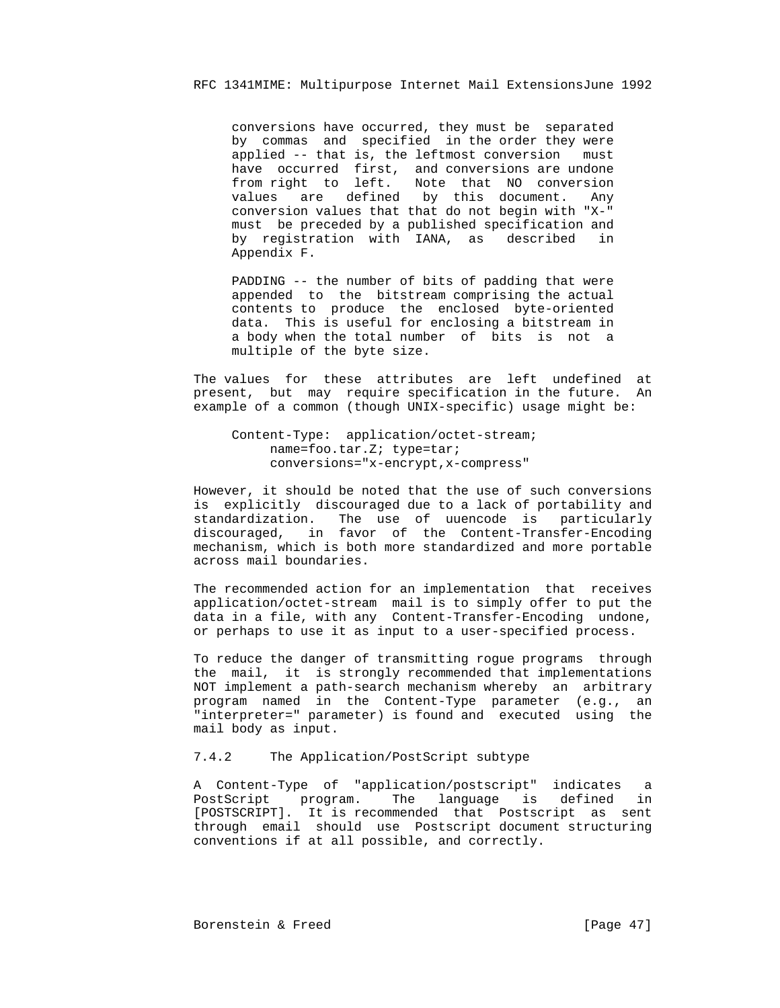conversions have occurred, they must be separated by commas and specified in the order they were applied -- that is, the leftmost conversion must have occurred first, and conversions are undone from right to left. Note that NO conversion values are defined by this document. Any conversion values that that do not begin with "X-" must be preceded by a published specification and by registration with IANA, as described in Appendix F.

 PADDING -- the number of bits of padding that were appended to the bitstream comprising the actual contents to produce the enclosed byte-oriented data. This is useful for enclosing a bitstream in a body when the total number of bits is not a multiple of the byte size.

 The values for these attributes are left undefined at present, but may require specification in the future. An example of a common (though UNIX-specific) usage might be:

 Content-Type: application/octet-stream; name=foo.tar.Z; type=tar; conversions="x-encrypt,x-compress"

 However, it should be noted that the use of such conversions is explicitly discouraged due to a lack of portability and standardization. The use of uuencode is particularly discouraged, in favor of the Content-Transfer-Encoding mechanism, which is both more standardized and more portable across mail boundaries.

 The recommended action for an implementation that receives application/octet-stream mail is to simply offer to put the data in a file, with any Content-Transfer-Encoding undone, or perhaps to use it as input to a user-specified process.

 To reduce the danger of transmitting rogue programs through the mail, it is strongly recommended that implementations NOT implement a path-search mechanism whereby an arbitrary program named in the Content-Type parameter (e.g., an "interpreter=" parameter) is found and executed using the mail body as input.

# 7.4.2 The Application/PostScript subtype

 A Content-Type of "application/postscript" indicates a PostScript program. The language is defined in [POSTSCRIPT]. It is recommended that Postscript as sent through email should use Postscript document structuring conventions if at all possible, and correctly.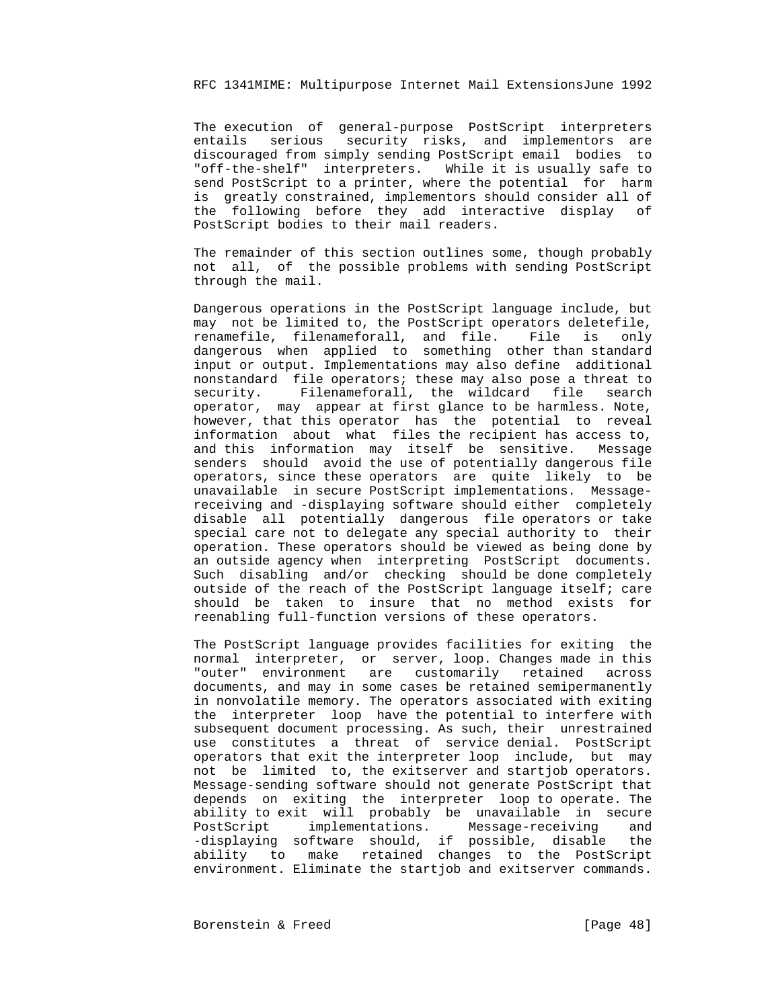The execution of general-purpose PostScript interpreters entails serious security risks, and implementors are discouraged from simply sending PostScript email bodies to "off-the-shelf" interpreters. While it is usually safe to send PostScript to a printer, where the potential for harm is greatly constrained, implementors should consider all of the following before they add interactive display of PostScript bodies to their mail readers.

 The remainder of this section outlines some, though probably not all, of the possible problems with sending PostScript through the mail.

 Dangerous operations in the PostScript language include, but may not be limited to, the PostScript operators deletefile, renamefile, filenameforall, and file. File is only dangerous when applied to something other than standard input or output. Implementations may also define additional nonstandard file operators; these may also pose a threat to security. Filenameforall, the wildcard file search operator, may appear at first glance to be harmless. Note, however, that this operator has the potential to reveal information about what files the recipient has access to, and this information may itself be sensitive. Message senders should avoid the use of potentially dangerous file operators, since these operators are quite likely to be unavailable in secure PostScript implementations. Message receiving and -displaying software should either completely disable all potentially dangerous file operators or take special care not to delegate any special authority to their operation. These operators should be viewed as being done by an outside agency when interpreting PostScript documents. Such disabling and/or checking should be done completely outside of the reach of the PostScript language itself; care should be taken to insure that no method exists for reenabling full-function versions of these operators.

 The PostScript language provides facilities for exiting the normal interpreter, or server, loop. Changes made in this "outer" environment are customarily retained across documents, and may in some cases be retained semipermanently in nonvolatile memory. The operators associated with exiting the interpreter loop have the potential to interfere with subsequent document processing. As such, their unrestrained use constitutes a threat of service denial. PostScript operators that exit the interpreter loop include, but may not be limited to, the exitserver and startjob operators. Message-sending software should not generate PostScript that depends on exiting the interpreter loop to operate. The ability to exit will probably be unavailable in secure PostScript implementations. Message-receiving and -displaying software should, if possible, disable the ability to make retained changes to the PostScript environment. Eliminate the startjob and exitserver commands.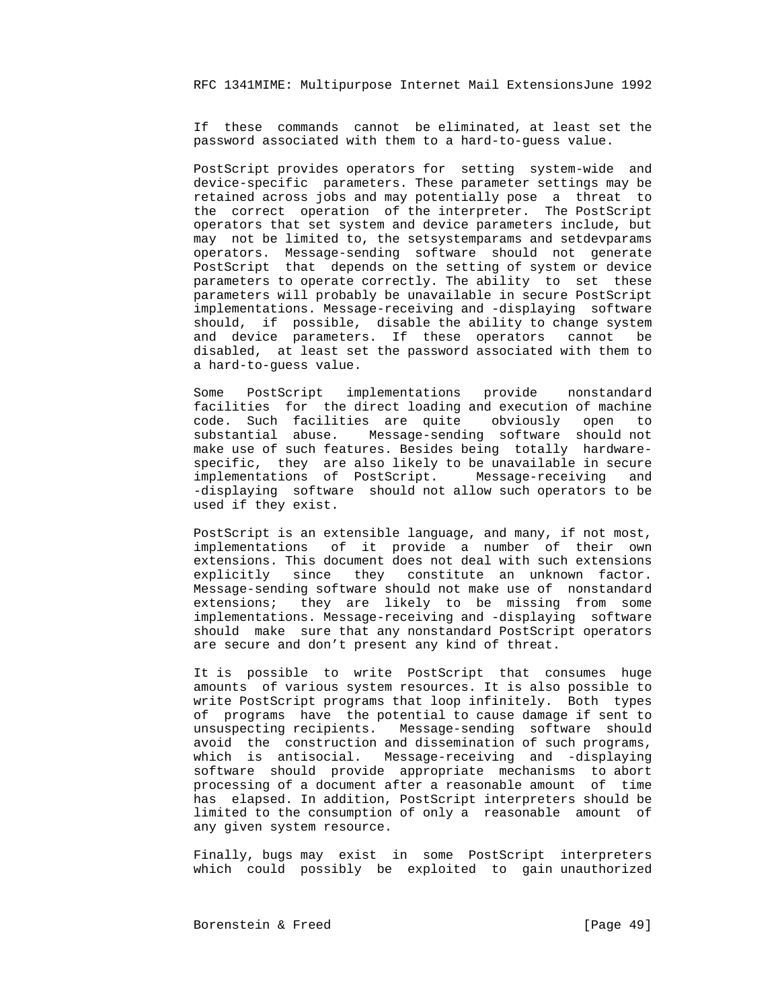If these commands cannot be eliminated, at least set the password associated with them to a hard-to-guess value.

 PostScript provides operators for setting system-wide and device-specific parameters. These parameter settings may be retained across jobs and may potentially pose a threat to the correct operation of the interpreter. The PostScript operators that set system and device parameters include, but may not be limited to, the setsystemparams and setdevparams operators. Message-sending software should not generate PostScript that depends on the setting of system or device parameters to operate correctly. The ability to set these parameters will probably be unavailable in secure PostScript implementations. Message-receiving and -displaying software should, if possible, disable the ability to change system and device parameters. If these operators cannot be disabled, at least set the password associated with them to a hard-to-guess value.

 Some PostScript implementations provide nonstandard facilities for the direct loading and execution of machine code. Such facilities are quite obviously open to substantial abuse. Message-sending software should not make use of such features. Besides being totally hardware specific, they are also likely to be unavailable in secure implementations of PostScript. Message-receiving and -displaying software should not allow such operators to be used if they exist.

> PostScript is an extensible language, and many, if not most, implementations of it provide a number of their own extensions. This document does not deal with such extensions explicitly since they constitute an unknown factor. Message-sending software should not make use of nonstandard extensions; they are likely to be missing from some implementations. Message-receiving and -displaying software should make sure that any nonstandard PostScript operators are secure and don't present any kind of threat.

> It is possible to write PostScript that consumes huge amounts of various system resources. It is also possible to write PostScript programs that loop infinitely. Both types of programs have the potential to cause damage if sent to unsuspecting recipients. Message-sending software should avoid the construction and dissemination of such programs, which is antisocial. Message-receiving and -displaying software should provide appropriate mechanisms to abort processing of a document after a reasonable amount of time has elapsed. In addition, PostScript interpreters should be limited to the consumption of only a reasonable amount of any given system resource.

> Finally, bugs may exist in some PostScript interpreters which could possibly be exploited to gain unauthorized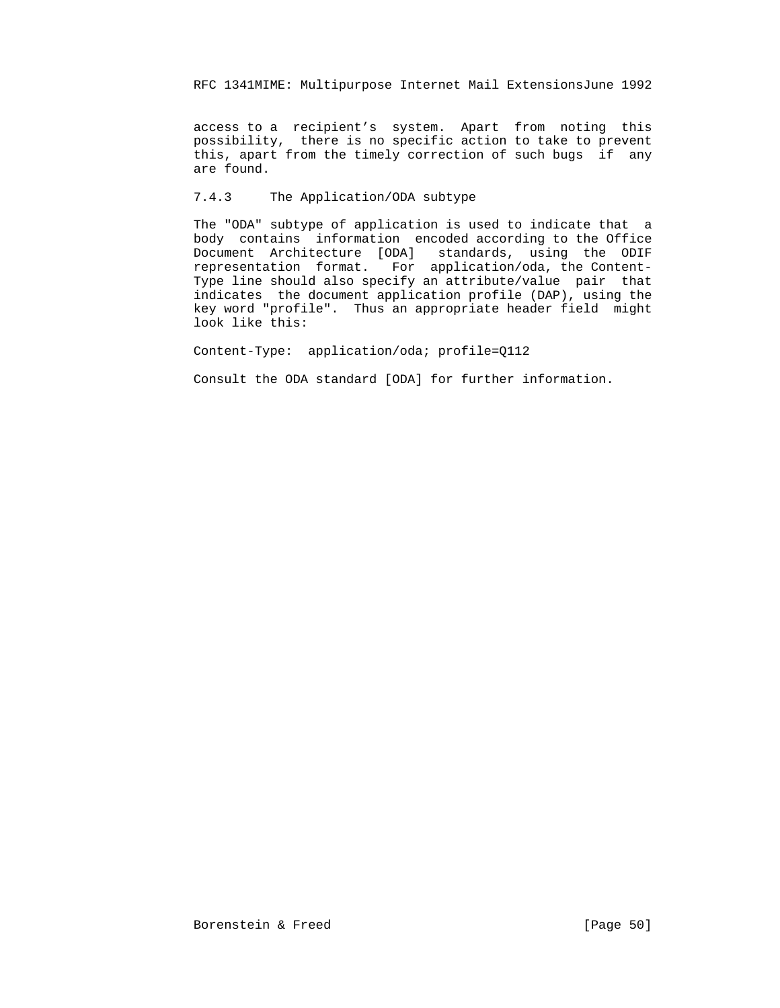access to a recipient's system. Apart from noting this possibility, there is no specific action to take to prevent this, apart from the timely correction of such bugs if any are found.

# 7.4.3 The Application/ODA subtype

 The "ODA" subtype of application is used to indicate that a body contains information encoded according to the Office Document Architecture [ODA] standards, using the ODIF representation format. For application/oda, the Content- Type line should also specify an attribute/value pair that indicates the document application profile (DAP), using the key word "profile". Thus an appropriate header field might look like this:

Content-Type: application/oda; profile=Q112

Consult the ODA standard [ODA] for further information.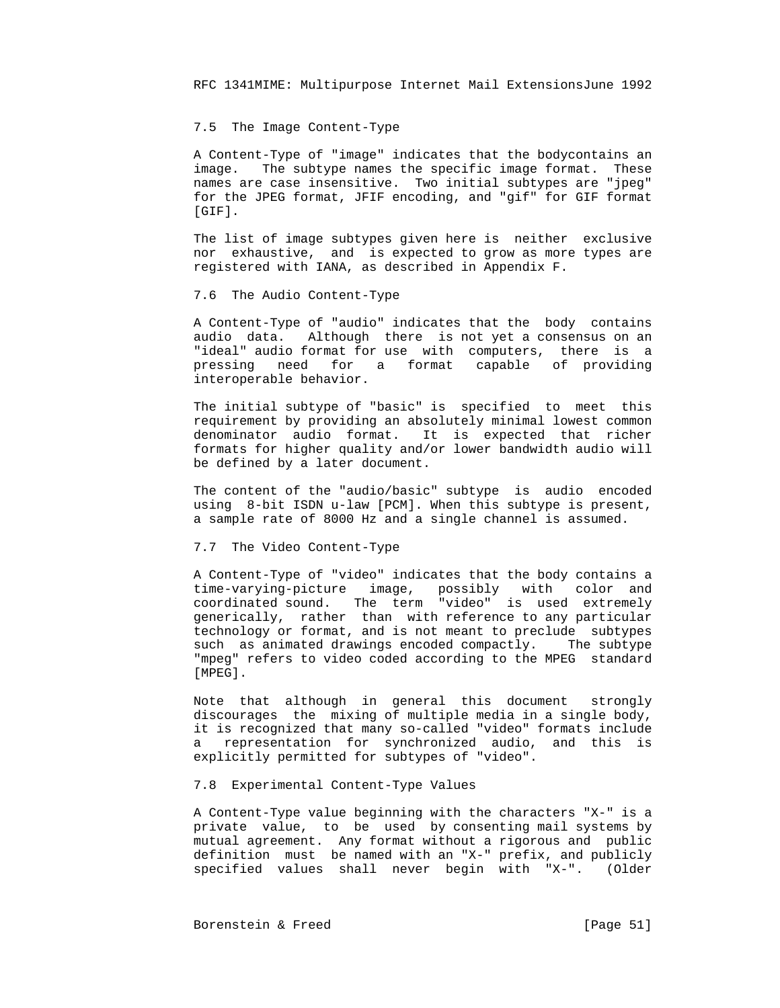## 7.5 The Image Content-Type

 A Content-Type of "image" indicates that the bodycontains an image. The subtype names the specific image format. These names are case insensitive. Two initial subtypes are "jpeg" for the JPEG format, JFIF encoding, and "gif" for GIF format [GIF].

 The list of image subtypes given here is neither exclusive nor exhaustive, and is expected to grow as more types are registered with IANA, as described in Appendix F.

#### 7.6 The Audio Content-Type

 A Content-Type of "audio" indicates that the body contains audio data. Although there is not yet a consensus on an "ideal" audio format for use with computers, there is a pressing need for a format capable of providing interoperable behavior.

 The initial subtype of "basic" is specified to meet this requirement by providing an absolutely minimal lowest common denominator audio format. It is expected that richer formats for higher quality and/or lower bandwidth audio will be defined by a later document.

 The content of the "audio/basic" subtype is audio encoded using 8-bit ISDN u-law [PCM]. When this subtype is present, a sample rate of 8000 Hz and a single channel is assumed.

#### 7.7 The Video Content-Type

 A Content-Type of "video" indicates that the body contains a time-varying-picture image, possibly with color and coordinated sound. The term "video" is used extremely generically, rather than with reference to any particular technology or format, and is not meant to preclude subtypes such as animated drawings encoded compactly. The subtype "mpeg" refers to video coded according to the MPEG standard [MPEG].

> Note that although in general this document strongly discourages the mixing of multiple media in a single body, it is recognized that many so-called "video" formats include a representation for synchronized audio, and this is explicitly permitted for subtypes of "video".

#### 7.8 Experimental Content-Type Values

 A Content-Type value beginning with the characters "X-" is a private value, to be used by consenting mail systems by mutual agreement. Any format without a rigorous and public definition must be named with an "X-" prefix, and publicly specified values shall never begin with "X-". (Older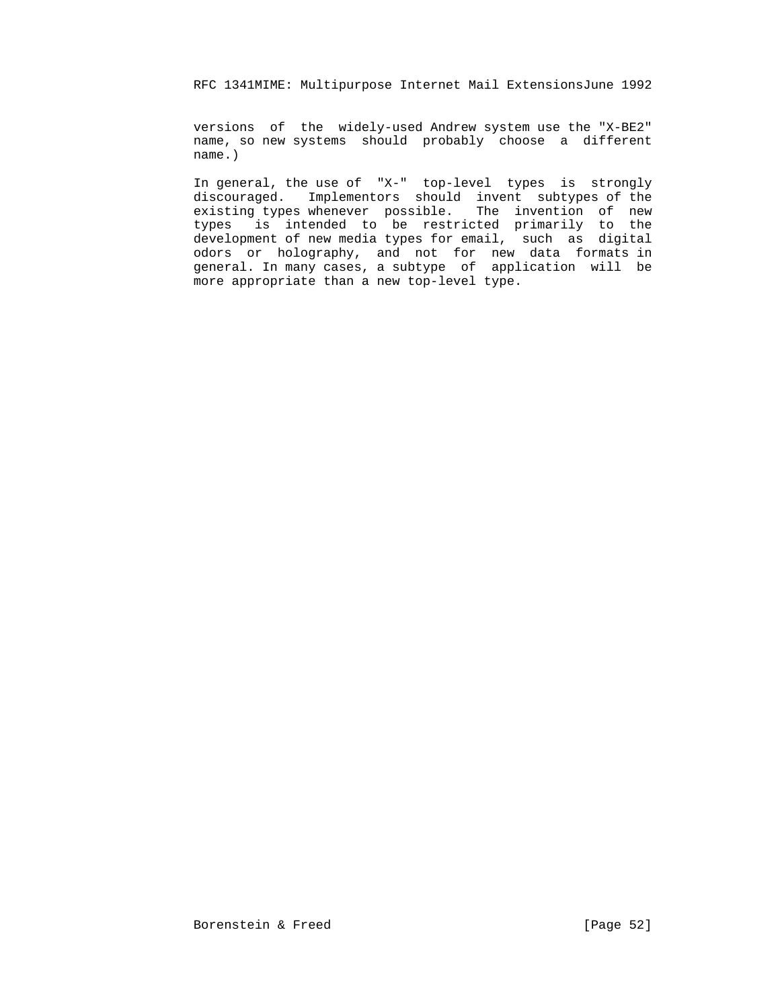versions of the widely-used Andrew system use the "X-BE2" name, so new systems should probably choose a different name.)

 In general, the use of "X-" top-level types is strongly discouraged. Implementors should invent subtypes of the existing types whenever possible. The invention of new types is intended to be restricted primarily to the development of new media types for email, such as digital odors or holography, and not for new data formats in general. In many cases, a subtype of application will be more appropriate than a new top-level type.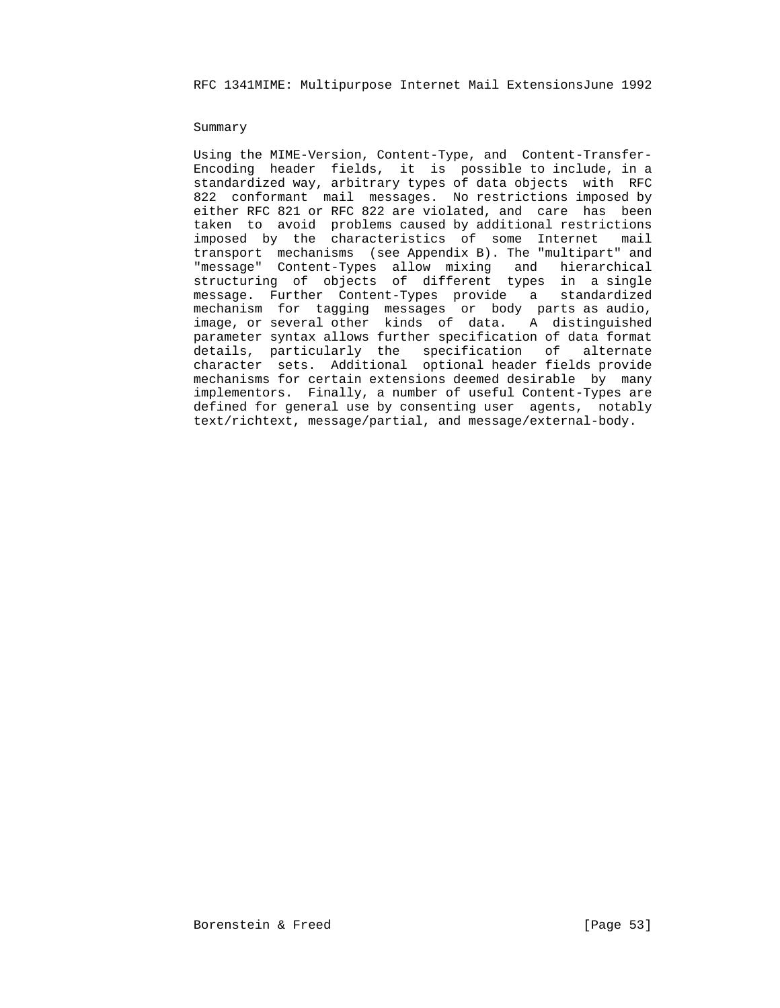#### Summary

 Using the MIME-Version, Content-Type, and Content-Transfer- Encoding header fields, it is possible to include, in a standardized way, arbitrary types of data objects with RFC 822 conformant mail messages. No restrictions imposed by either RFC 821 or RFC 822 are violated, and care has been taken to avoid problems caused by additional restrictions imposed by the characteristics of some Internet mail transport mechanisms (see Appendix B). The "multipart" and "message" Content-Types allow mixing and hierarchical structuring of objects of different types in a single message. Further Content-Types provide a standardized mechanism for tagging messages or body parts as audio, image, or several other kinds of data. A distinguished parameter syntax allows further specification of data format details, particularly the specification of alternate character sets. Additional optional header fields provide mechanisms for certain extensions deemed desirable by many implementors. Finally, a number of useful Content-Types are defined for general use by consenting user agents, notably text/richtext, message/partial, and message/external-body.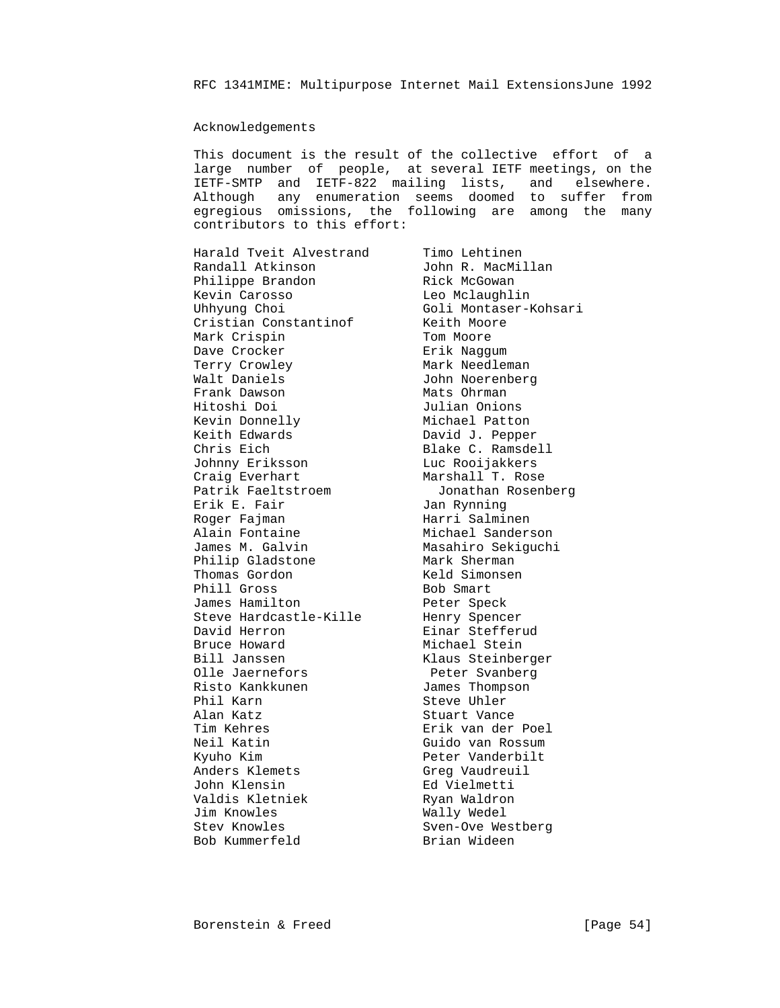## Acknowledgements

 This document is the result of the collective effort of a large number of people, at several IETF meetings, on the IETF-SMTP and IETF-822 mailing lists, and elsewhere. Although any enumeration seems doomed to suffer from egregious omissions, the following are among the many contributors to this effort:

Harald Tveit Alvestrand Timo Lehtinen Randall Atkinson John R. MacMillan Philippe Brandon Manuel Rick McGowan Kevin Carosso Leo Mclaughlin Uhhyung Choi Goli Montaser-Kohsari Cristian Constantinof Keith Moore Mark Crispin **Tom Moore** Dave Crocker and The Brik Naggum Terry Crowley **Mark Needleman**  Walt Daniels John Noerenberg Frank Dawson Mats Ohrman Hitoshi Doi Julian Onions Kevin Donnelly Michael Patton Keith Edwards **David J. Pepper** Chris Eich Blake C. Ramsdell Johnny Eriksson Luc Rooijakkers Craig Everhart Marshall T. Rose Patrik Faeltstroem Jonathan Rosenberg Erik E. Fair **Jan Rynning** Roger Fajman Marri Salminen Alain Fontaine Michael Sanderson James M. Galvin Masahiro Sekiguchi Philip Gladstone Mark Sherman Thomas Gordon and Keld Simonsen Phill Gross and Bob Smart James Hamilton **Peter** Speck Steve Hardcastle-Kille Henry Spencer David Herron **Einar Stefferud** Bruce Howard Michael Stein Bill Janssen Klaus Steinberger Bill Janssen<br>
Olle Jaernefors<br>
Risto Kankkunen<br>
Peter Svanberg<br>
Peter Svanberg<br>
Peter Svanberg<br>
Phil Karn<br>
Steve Uhler Risto Kankkunen Phil Karn Steve Uhler Alan Katz Stuart Vance Tim Kehres and Erik van der Poel Neil Katin and Guido van Rossum Kyuho Kim and Peter Vanderbilt Anders Klemets Greg Vaudreuil John Klensin Ed Vielmetti Valdis Kletniek Man Ryan Waldron Jim Knowles **Wally Wedel** Stev Knowles Sven-Ove Westberg Bob Kummerfeld Brian Wideen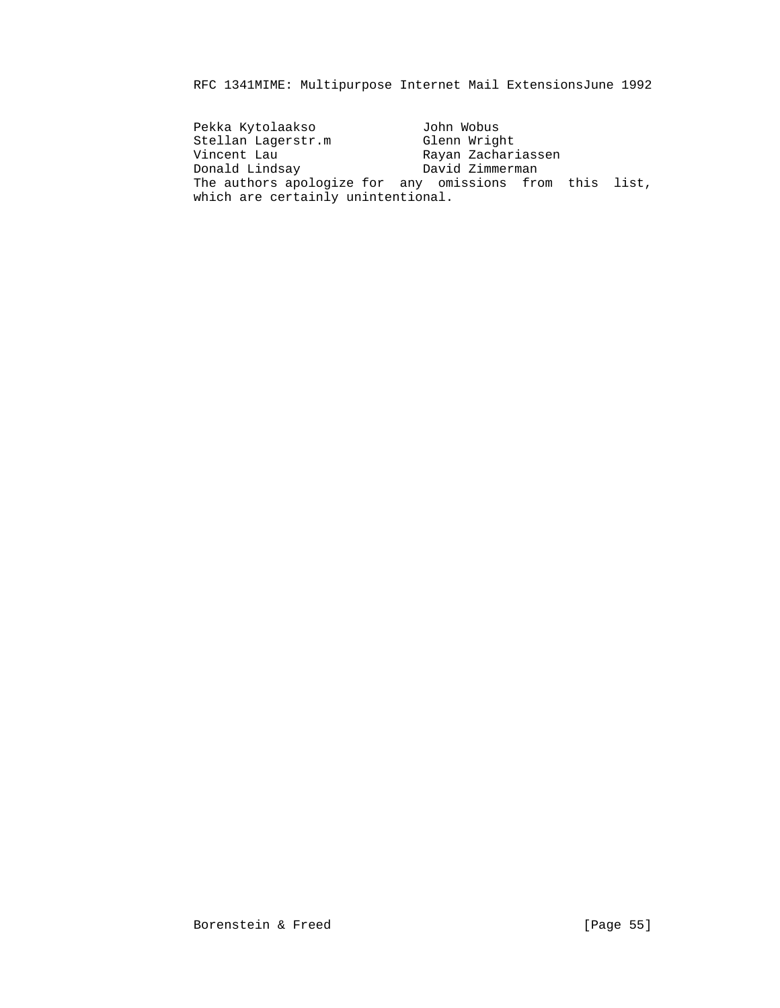Pekka Kytolaakso John Wobus Stellan Lagerstr.m Glenn Wright Vincent Lau Rayan Zachariassen Donald Lindsay David Zimmerman The authors apologize for any omissions from this list, which are certainly unintentional.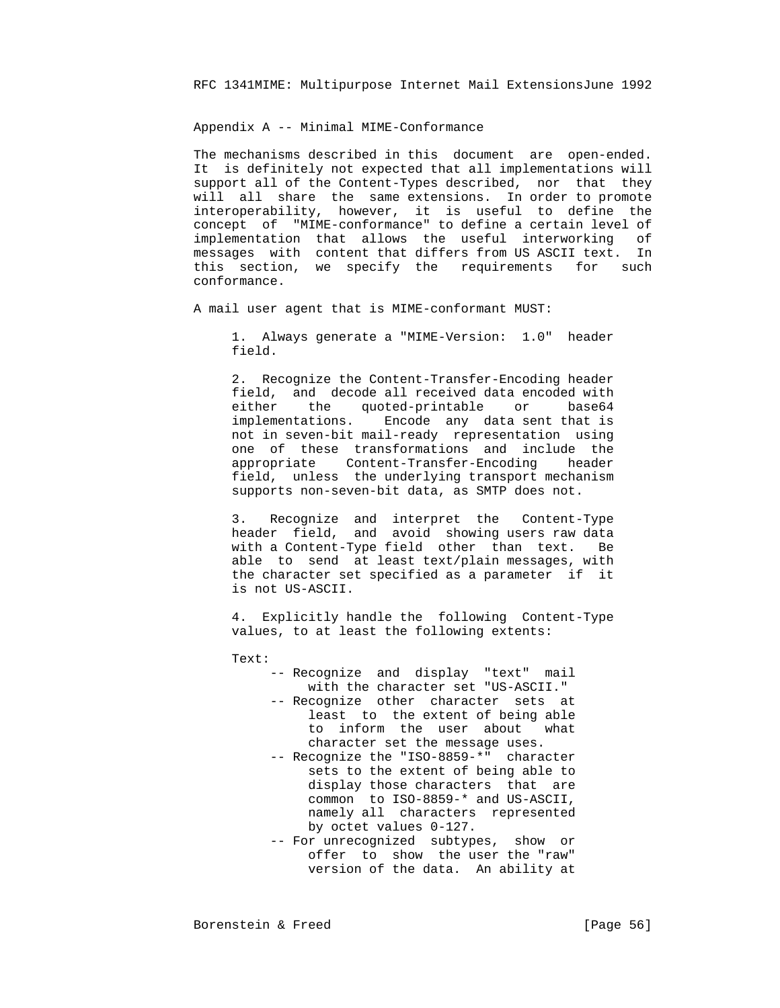Appendix A -- Minimal MIME-Conformance

 The mechanisms described in this document are open-ended. It is definitely not expected that all implementations will support all of the Content-Types described, nor that they will all share the same extensions. In order to promote interoperability, however, it is useful to define the concept of "MIME-conformance" to define a certain level of implementation that allows the useful interworking of messages with content that differs from US ASCII text. In this section, we specify the requirements for such conformance.

A mail user agent that is MIME-conformant MUST:

 1. Always generate a "MIME-Version: 1.0" header field.

 2. Recognize the Content-Transfer-Encoding header field, and decode all received data encoded with either the quoted-printable or base64 implementations. Encode any data sent that is not in seven-bit mail-ready representation using one of these transformations and include the appropriate Content-Transfer-Encoding header field, unless the underlying transport mechanism supports non-seven-bit data, as SMTP does not.

 3. Recognize and interpret the Content-Type header field, and avoid showing users raw data with a Content-Type field other than text. Be able to send at least text/plain messages, with the character set specified as a parameter if it is not US-ASCII.

 4. Explicitly handle the following Content-Type values, to at least the following extents:

Text:

- -- Recognize and display "text" mail with the character set "US-ASCII." -- Recognize other character sets at least to the extent of being able
- to inform the user about what character set the message uses. -- Recognize the "ISO-8859-\*" character
	- sets to the extent of being able to display those characters that are common to ISO-8859-\* and US-ASCII, namely all characters represented by octet values 0-127.
- -- For unrecognized subtypes, show or offer to show the user the "raw" version of the data. An ability at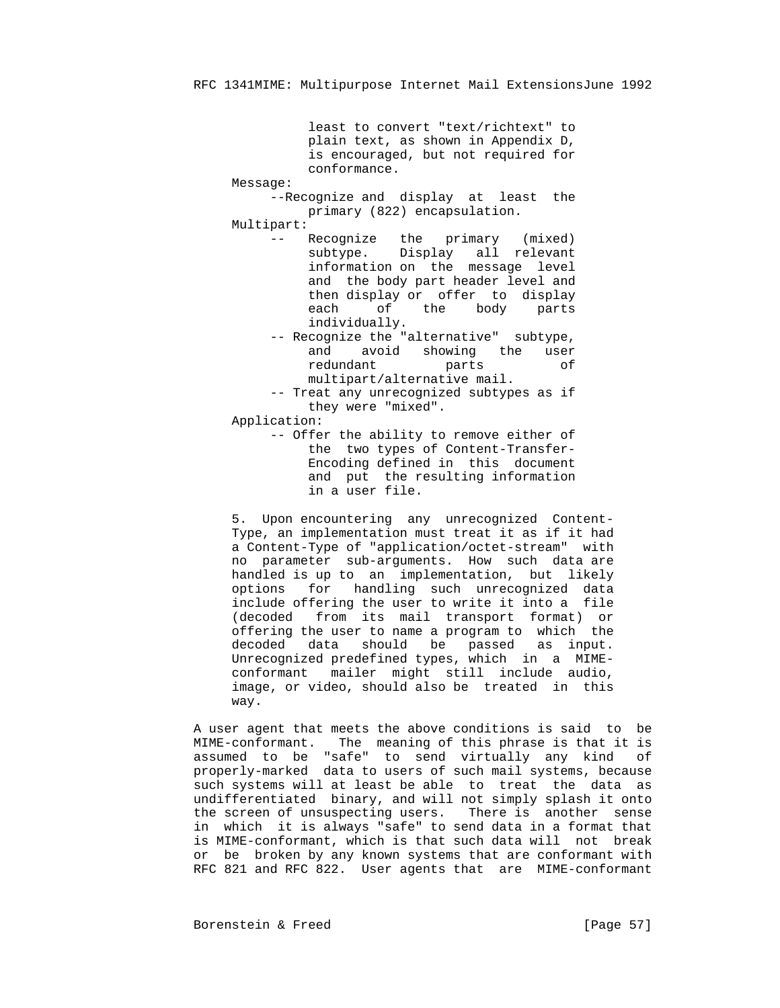least to convert "text/richtext" to plain text, as shown in Appendix D, is encouraged, but not required for conformance.

Message:

 --Recognize and display at least the primary (822) encapsulation.

Multipart:

 -- Recognize the primary (mixed) subtype. Display all relevant information on the message level and the body part header level and then display or offer to display each of the body parts individually.

- -- Recognize the "alternative" subtype, and avoid showing the user redundant parts of multipart/alternative mail.
- -- Treat any unrecognized subtypes as if they were "mixed".

Application:

 -- Offer the ability to remove either of the two types of Content-Transfer- Encoding defined in this document and put the resulting information in a user file.

 5. Upon encountering any unrecognized Content- Type, an implementation must treat it as if it had a Content-Type of "application/octet-stream" with no parameter sub-arguments. How such data are handled is up to an implementation, but likely options for handling such unrecognized data include offering the user to write it into a file (decoded from its mail transport format) or offering the user to name a program to which the decoded data should be passed as input. Unrecognized predefined types, which in a MIME conformant mailer might still include audio, image, or video, should also be treated in this way.

 A user agent that meets the above conditions is said to be MIME-conformant. The meaning of this phrase is that it is assumed to be "safe" to send virtually any kind of properly-marked data to users of such mail systems, because such systems will at least be able to treat the data as undifferentiated binary, and will not simply splash it onto the screen of unsuspecting users. There is another sense in which it is always "safe" to send data in a format that is MIME-conformant, which is that such data will not break or be broken by any known systems that are conformant with RFC 821 and RFC 822. User agents that are MIME-conformant

Borenstein & Freed [Page 57]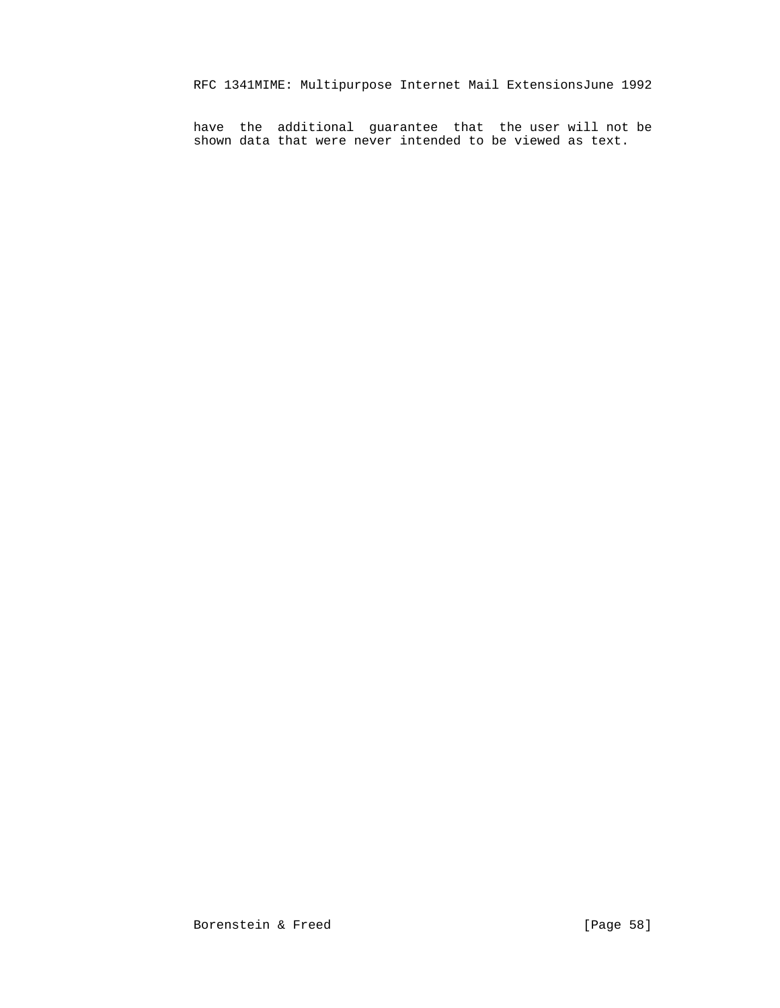have the additional guarantee that the user will not be shown data that were never intended to be viewed as text.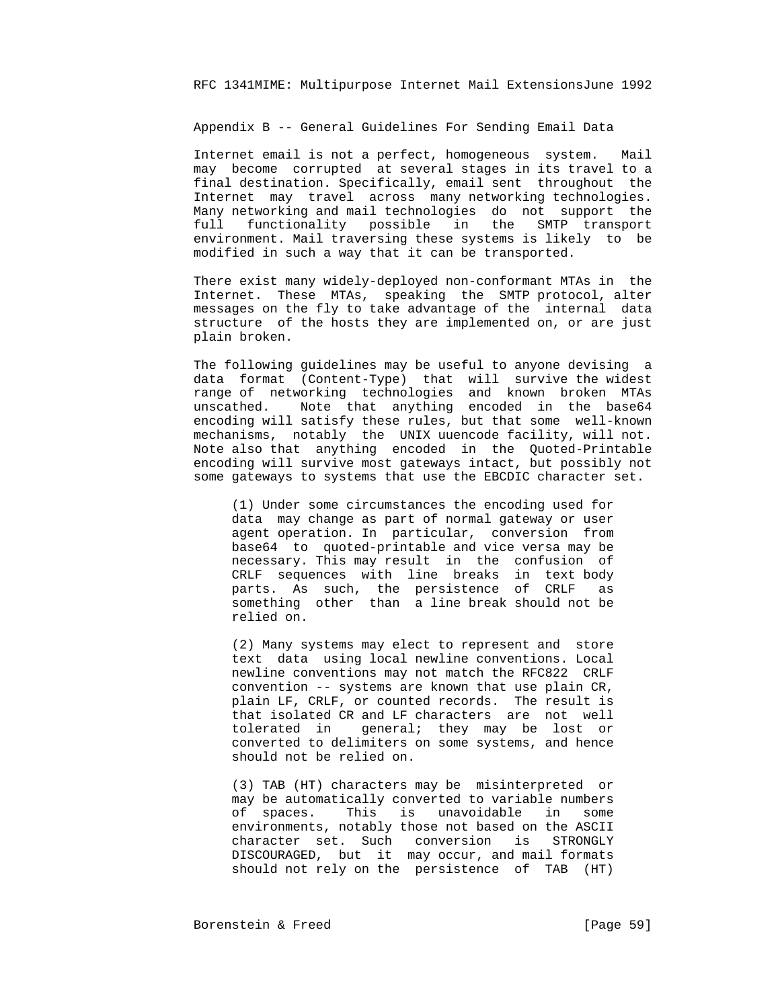Appendix B -- General Guidelines For Sending Email Data

 Internet email is not a perfect, homogeneous system. Mail may become corrupted at several stages in its travel to a final destination. Specifically, email sent throughout the Internet may travel across many networking technologies. Many networking and mail technologies do not support the full functionality possible in the SMTP transport environment. Mail traversing these systems is likely to be modified in such a way that it can be transported.

 There exist many widely-deployed non-conformant MTAs in the Internet. These MTAs, speaking the SMTP protocol, alter messages on the fly to take advantage of the internal data structure of the hosts they are implemented on, or are just plain broken.

 The following guidelines may be useful to anyone devising a data format (Content-Type) that will survive the widest range of networking technologies and known broken MTAs unscathed. Note that anything encoded in the base64 encoding will satisfy these rules, but that some well-known mechanisms, notably the UNIX uuencode facility, will not. Note also that anything encoded in the Quoted-Printable encoding will survive most gateways intact, but possibly not some gateways to systems that use the EBCDIC character set.

> (1) Under some circumstances the encoding used for data may change as part of normal gateway or user agent operation. In particular, conversion from base64 to quoted-printable and vice versa may be necessary. This may result in the confusion of CRLF sequences with line breaks in text body parts. As such, the persistence of CRLF as something other than a line break should not be relied on.

> (2) Many systems may elect to represent and store text data using local newline conventions. Local newline conventions may not match the RFC822 CRLF convention -- systems are known that use plain CR, plain LF, CRLF, or counted records. The result is that isolated CR and LF characters are not well tolerated in general; they may be lost or converted to delimiters on some systems, and hence should not be relied on.

> (3) TAB (HT) characters may be misinterpreted or may be automatically converted to variable numbers of spaces. This is unavoidable in some environments, notably those not based on the ASCII character set. Such conversion is STRONGLY DISCOURAGED, but it may occur, and mail formats should not rely on the persistence of TAB (HT)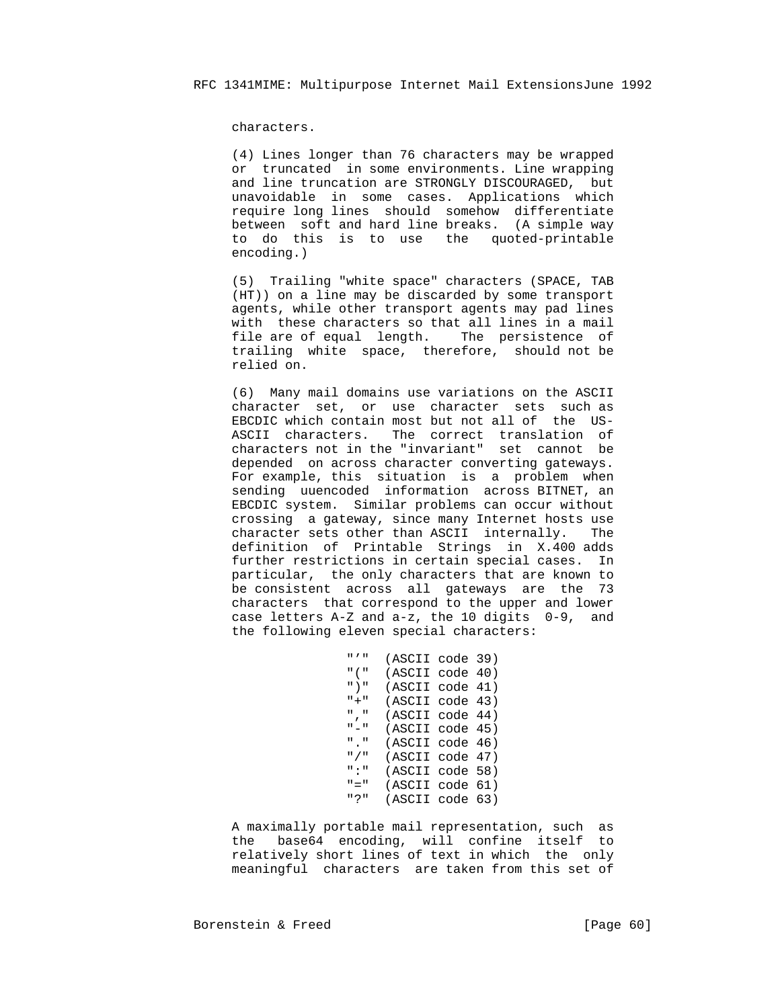characters.

 (4) Lines longer than 76 characters may be wrapped or truncated in some environments. Line wrapping and line truncation are STRONGLY DISCOURAGED, but unavoidable in some cases. Applications which require long lines should somehow differentiate between soft and hard line breaks. (A simple way to do this is to use the quoted-printable encoding.)

 (5) Trailing "white space" characters (SPACE, TAB (HT)) on a line may be discarded by some transport agents, while other transport agents may pad lines with these characters so that all lines in a mail file are of equal length. The persistence of trailing white space, therefore, should not be relied on.

 (6) Many mail domains use variations on the ASCII character set, or use character sets such as EBCDIC which contain most but not all of the US- ASCII characters. The correct translation of characters not in the "invariant" set cannot be depended on across character converting gateways. For example, this situation is a problem when sending uuencoded information across BITNET, an EBCDIC system. Similar problems can occur without crossing a gateway, since many Internet hosts use character sets other than ASCII internally. The definition of Printable Strings in X.400 adds further restrictions in certain special cases. In particular, the only characters that are known to be consistent across all gateways are the 73 characters that correspond to the upper and lower case letters A-Z and a-z, the 10 digits 0-9, and the following eleven special characters:

```
 "'" (ASCII code 39)
 "(" (ASCII code 40)
                          ")" (ASCII code 41)
                          "+" (ASCII code 43)
                          "," (ASCII code 44)
                          "-" (ASCII code 45)
                          "." (ASCII code 46)
                          "/" (ASCII code 47)
                          ":" (ASCII code 58)
                          "=" (ASCII code 61)
                          "?" (ASCII code 63)
```
 A maximally portable mail representation, such as the base64 encoding, will confine itself to relatively short lines of text in which the only meaningful characters are taken from this set of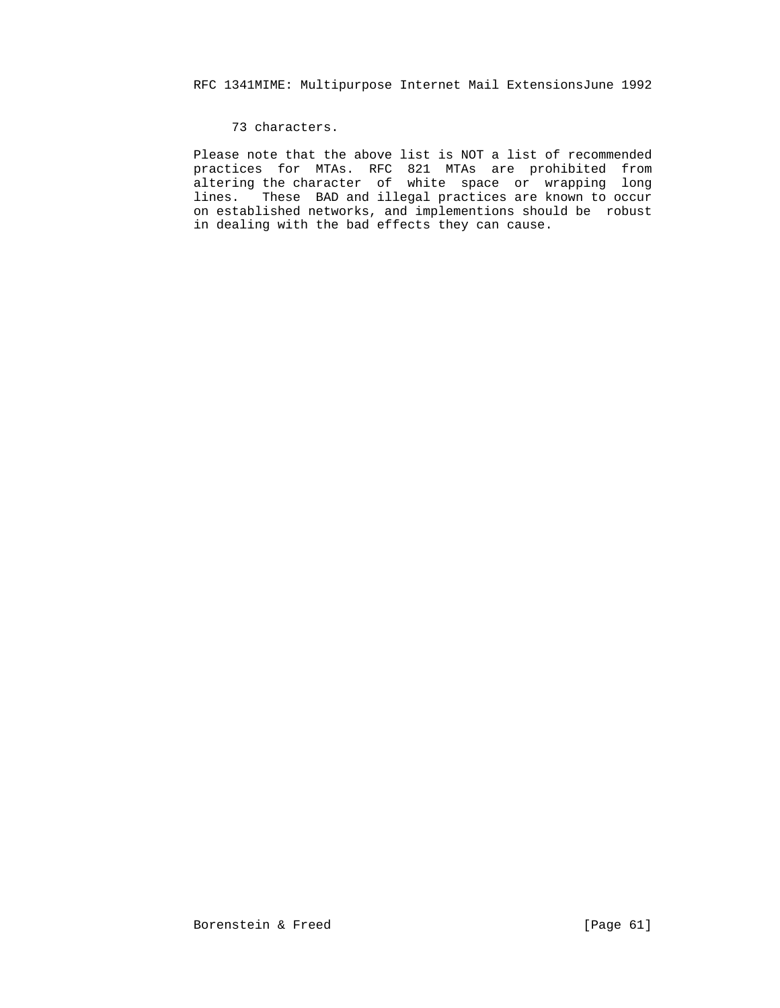# 73 characters.

 Please note that the above list is NOT a list of recommended practices for MTAs. RFC 821 MTAs are prohibited from altering the character of white space or wrapping long lines. These BAD and illegal practices are known to occur on established networks, and implementions should be robust in dealing with the bad effects they can cause.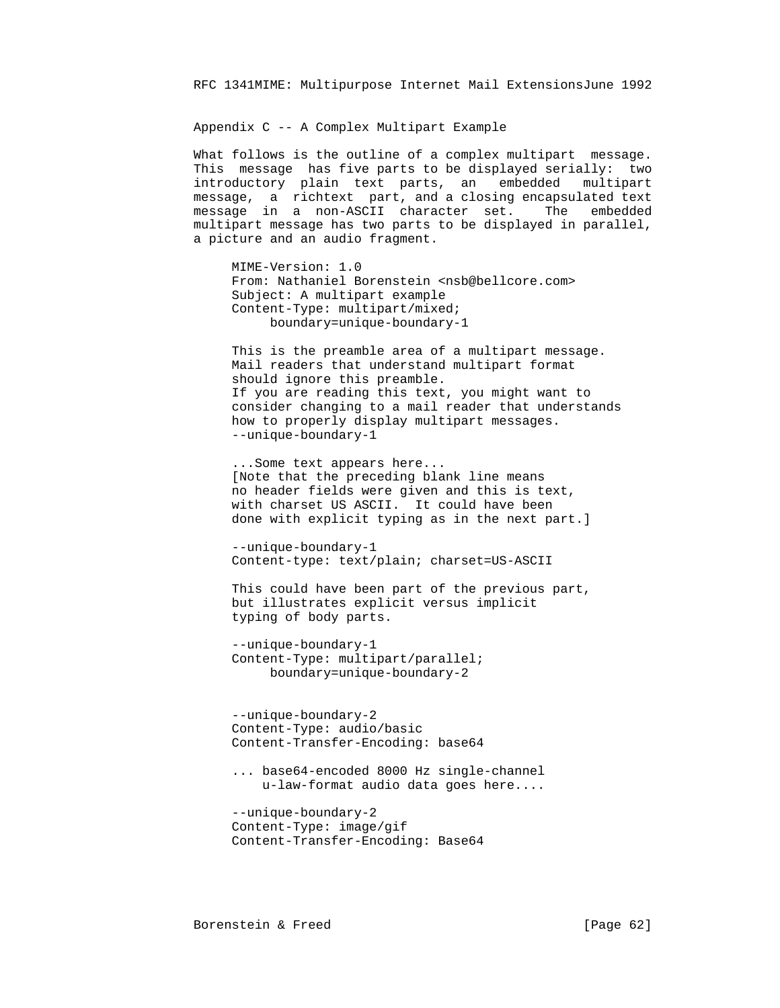Appendix C -- A Complex Multipart Example

 What follows is the outline of a complex multipart message. This message has five parts to be displayed serially: two introductory plain text parts, an embedded multipart message, a richtext part, and a closing encapsulated text message in a non-ASCII character set. The embedded multipart message has two parts to be displayed in parallel, a picture and an audio fragment.

 MIME-Version: 1.0 From: Nathaniel Borenstein <nsb@bellcore.com> Subject: A multipart example Content-Type: multipart/mixed; boundary=unique-boundary-1

 This is the preamble area of a multipart message. Mail readers that understand multipart format should ignore this preamble. If you are reading this text, you might want to consider changing to a mail reader that understands how to properly display multipart messages. --unique-boundary-1

 ...Some text appears here... [Note that the preceding blank line means no header fields were given and this is text, with charset US ASCII. It could have been done with explicit typing as in the next part.]

 --unique-boundary-1 Content-type: text/plain; charset=US-ASCII

 This could have been part of the previous part, but illustrates explicit versus implicit typing of body parts.

 --unique-boundary-1 Content-Type: multipart/parallel; boundary=unique-boundary-2

 --unique-boundary-2 Content-Type: audio/basic Content-Transfer-Encoding: base64

 ... base64-encoded 8000 Hz single-channel u-law-format audio data goes here....

 --unique-boundary-2 Content-Type: image/gif Content-Transfer-Encoding: Base64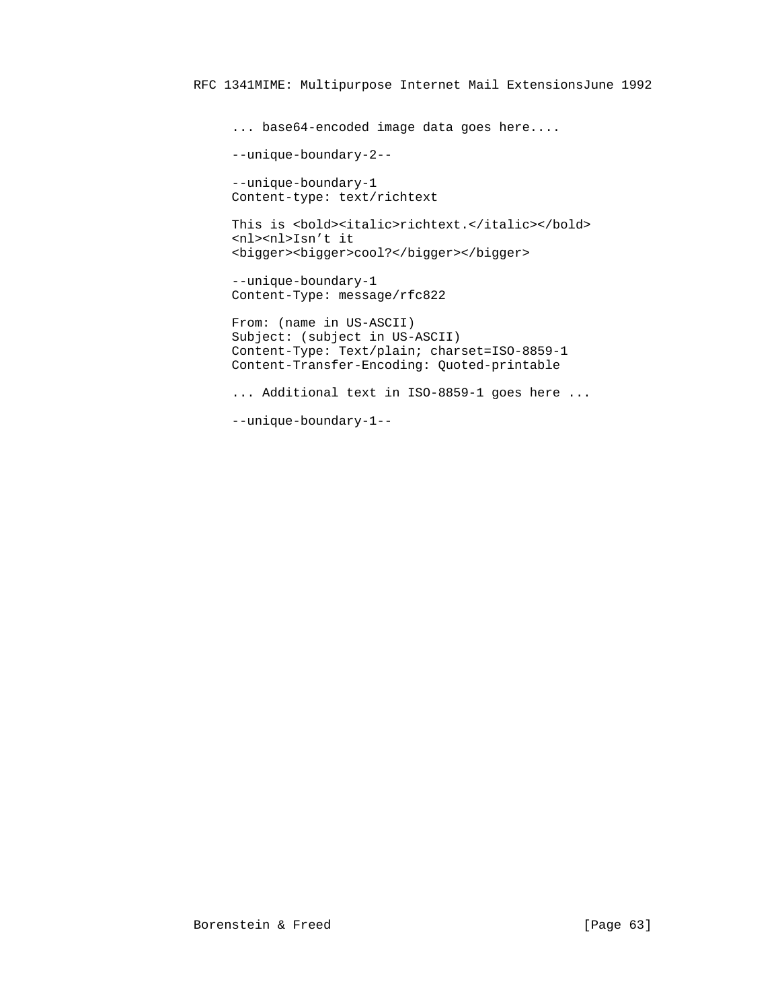... base64-encoded image data goes here.... --unique-boundary-2-- --unique-boundary-1 Content-type: text/richtext This is <br/> <br/>bold><italic>richtext.</italic></bold> <nl><nl>Isn't it <bigger><bigger>cool?</bigger></bigger> --unique-boundary-1 Content-Type: message/rfc822 From: (name in US-ASCII) Subject: (subject in US-ASCII) Content-Type: Text/plain; charset=ISO-8859-1 Content-Transfer-Encoding: Quoted-printable ... Additional text in ISO-8859-1 goes here ... --unique-boundary-1--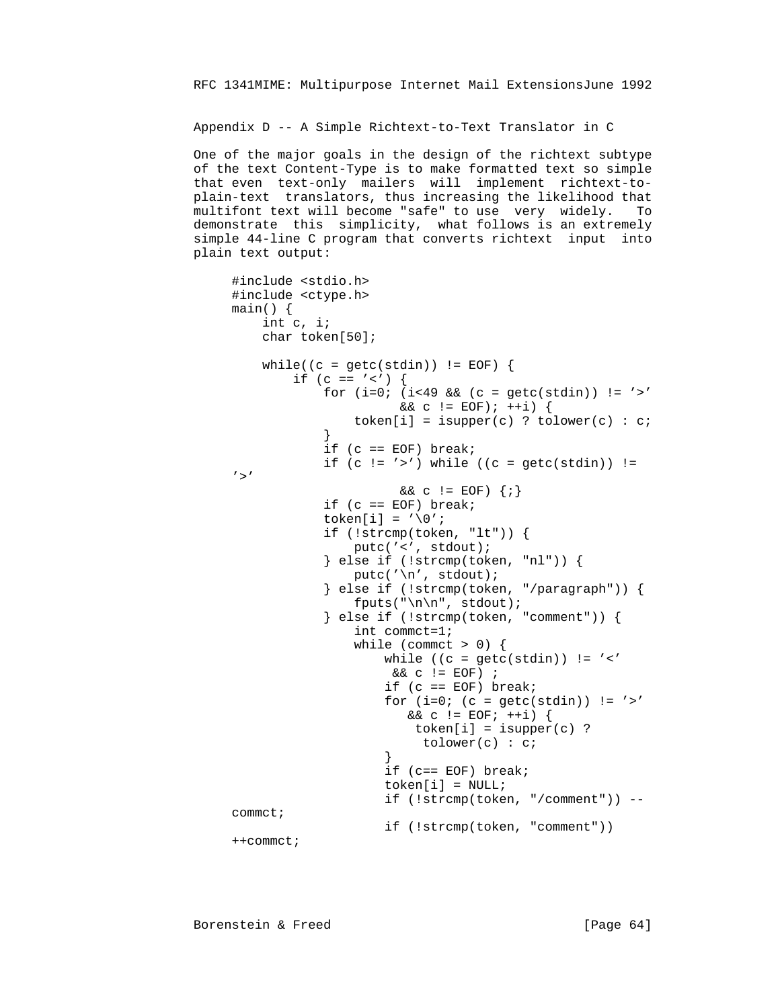Appendix D -- A Simple Richtext-to-Text Translator in C

 One of the major goals in the design of the richtext subtype of the text Content-Type is to make formatted text so simple that even text-only mailers will implement richtext-to plain-text translators, thus increasing the likelihood that multifont text will become "safe" to use very widely. To demonstrate this simplicity, what follows is an extremely simple 44-line C program that converts richtext input into plain text output:

```
 #include <stdio.h>
                 #include <ctype.h>
                 main() {
                     int c, i;
                     char token[50];
                    while((c = getc(stdin)) != EOF) {
                        if (c == '<') {
                            for (i=0; (i<49 \&c (c = getc(stat)) ) != '>}&c := EOF; ++i) {
                            token[i] = isupper(c) ? tolower(c) : c;<br>}
 }
                            if (c == EOF) break;if (c := '>') while ((c = getc(stdin)) :=' > '& c != EOF} \{i\}if (c == EOF) break;token[i] = \sqrt{0'i} if (!strcmp(token, "lt")) {
                                putc('<', stdout);
                             } else if (!strcmp(token, "nl")) {
                                putc('\n', stdout);
                             } else if (!strcmp(token, "/paragraph")) {
                                fputs("\n\n", stdout);
                             } else if (!strcmp(token, "comment")) {
                                 int commct=1;
                                while (commct > 0) {
                                   while ((c = getc(stdin)) != '<<')&c := EOF) ;
                                    if (c == EOF) break;for (i=0; (c = getc(stdin)) != '>''& c := EOF; ++i) {
                                       token[i] = isupper(c) ?
                                    tolower(c) : c;<br>}
 }
                                     if (c== EOF) break;
                                     token[i] = NULL;
                                     if (!strcmp(token, "/comment")) --
                 commct;
                                    if (!strcmp(token, "comment"))
                 ++commct;
```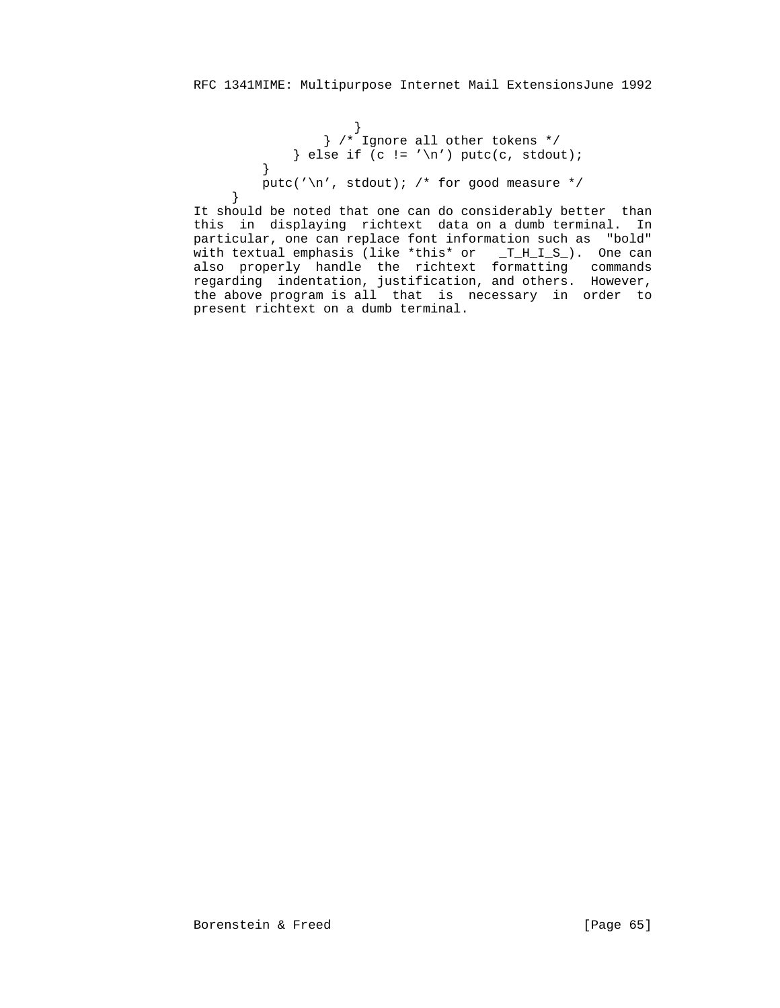```
 }
 } /* Ignore all other tokens */
            } else if (c != ' \n') putc(c, stdout); }
          putc('\n', stdout); /* for good measure */<br>}
```
 } It should be noted that one can do considerably better than this in displaying richtext data on a dumb terminal. In particular, one can replace font information such as "bold" with textual emphasis (like \*this\* or \_T\_H\_I\_S\_). One can also properly handle the richtext formatting commands regarding indentation, justification, and others. However, the above program is all that is necessary in order to present richtext on a dumb terminal.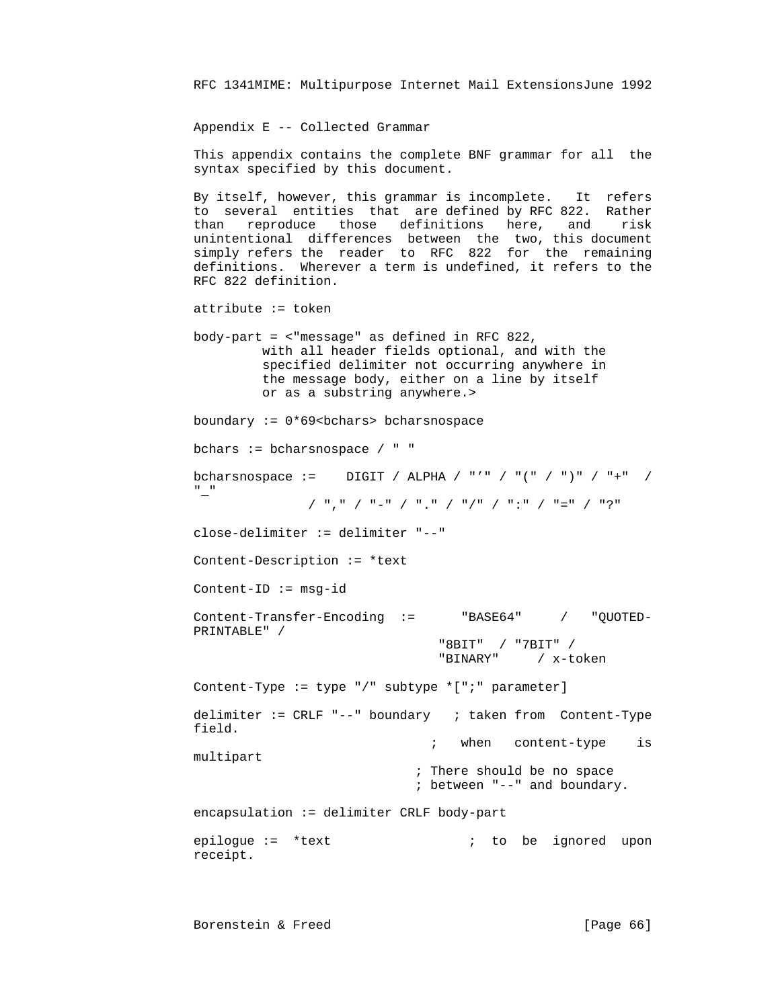Appendix E -- Collected Grammar

 This appendix contains the complete BNF grammar for all the syntax specified by this document.

 By itself, however, this grammar is incomplete. It refers to several entities that are defined by RFC 822. Rather than reproduce those definitions here, and risk unintentional differences between the two, this document simply refers the reader to RFC 822 for the remaining definitions. Wherever a term is undefined, it refers to the RFC 822 definition.

attribute := token

 body-part = <"message" as defined in RFC 822, with all header fields optional, and with the specified delimiter not occurring anywhere in the message body, either on a line by itself or as a substring anywhere.>

```
boundary := 0*69 <br/>bchars> bcharsnospace
```
bchars := bcharsnospace / " "

bcharsnospace := DIGIT / ALPHA / "'" / "(" / ")" / "+" / "\_"

```
 / "," / "-" / "." / "/" / ":" / "=" / "?"
```
close-delimiter := delimiter "--"

Content-Description := \*text

 $Content-ID := msg-id$ 

 Content-Transfer-Encoding := "BASE64" / "QUOTED- PRINTABLE" / "8BIT" / "7BIT" /

```
 "BINARY" / x-token
```
 Content-Type := type "/" subtype \*[";" parameter] delimiter := CRLF "--" boundary ; taken from Content-Type

; when content-type is

multipart

field.

 ; There should be no space ; between "--" and boundary.

encapsulation := delimiter CRLF body-part

epilogue := \*text  $\qquad \qquad ;$  to be ignored upon receipt.

Borenstein & Freed [Page 66]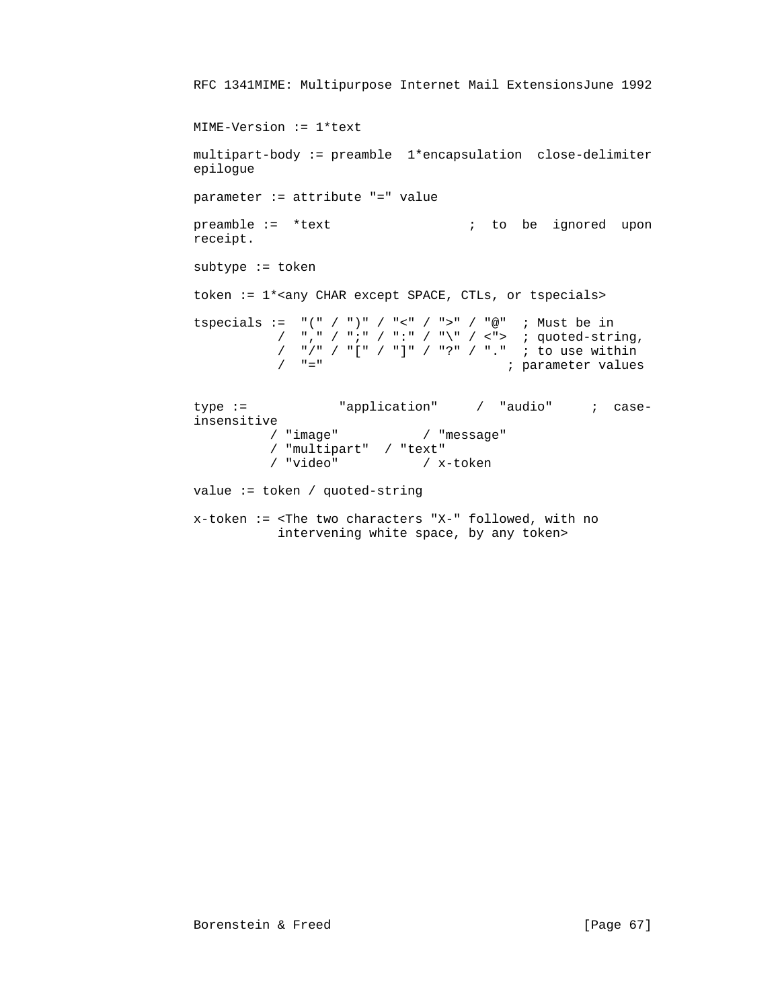```
 RFC 1341MIME: Multipurpose Internet Mail ExtensionsJune 1992
           MIME-Version := 1*text
           multipart-body := preamble 1*encapsulation close-delimiter
           epilogue
           parameter := attribute "=" value
          preamble := *text ; to be ignored upon
           receipt.
           subtype := token
           token := 1*<any CHAR except SPACE, CTLs, or tspecials>
 tspecials := "(" / ")" / "<" / ">" / "@" ; Must be in
\gamma "," \gamma ";" \gamma ":" \gamma "\" \gamma <"> ; quoted-string,
 / "/" / "[" / "]" / "?" / "." ; to use within
                    / "=" \blacksquare ; parameter values
          type := "application" / "audio" ; case-
          insensitive<br>/ "image" /
                                  / "image" / "message"
                    / "multipart" / "text"
                               / x-token
           value := token / quoted-string
           x-token := <The two characters "X-" followed, with no
                     intervening white space, by any token>
```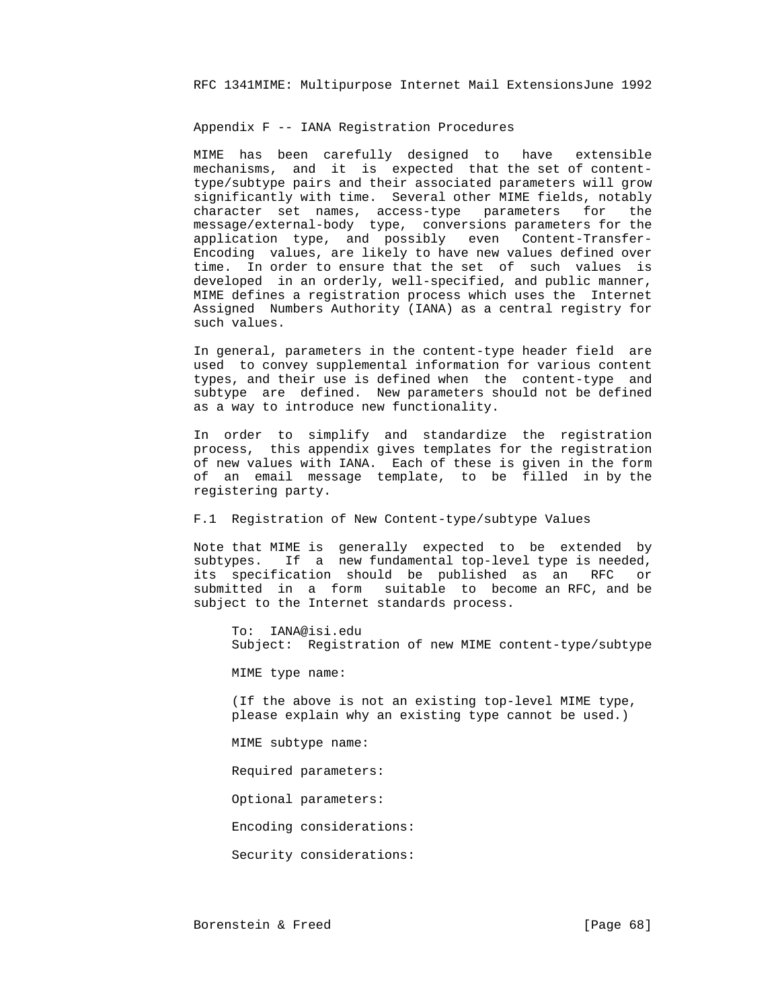Appendix F -- IANA Registration Procedures

 MIME has been carefully designed to have extensible mechanisms, and it is expected that the set of content type/subtype pairs and their associated parameters will grow significantly with time. Several other MIME fields, notably character set names, access-type parameters for the message/external-body type, conversions parameters for the application type, and possibly even Content-Transfer- Encoding values, are likely to have new values defined over time. In order to ensure that the set of such values is developed in an orderly, well-specified, and public manner, MIME defines a registration process which uses the Internet Assigned Numbers Authority (IANA) as a central registry for such values.

 In general, parameters in the content-type header field are used to convey supplemental information for various content types, and their use is defined when the content-type and subtype are defined. New parameters should not be defined as a way to introduce new functionality.

 In order to simplify and standardize the registration process, this appendix gives templates for the registration of new values with IANA. Each of these is given in the form of an email message template, to be filled in by the registering party.

# F.1 Registration of New Content-type/subtype Values

 Note that MIME is generally expected to be extended by subtypes. If a new fundamental top-level type is needed, its specification should be published as an RFC or submitted in a form suitable to become an RFC, and be subject to the Internet standards process.

 To: IANA@isi.edu Subject: Registration of new MIME content-type/subtype

MIME type name:

 (If the above is not an existing top-level MIME type, please explain why an existing type cannot be used.)

MIME subtype name:

Required parameters:

Optional parameters:

Encoding considerations:

Security considerations: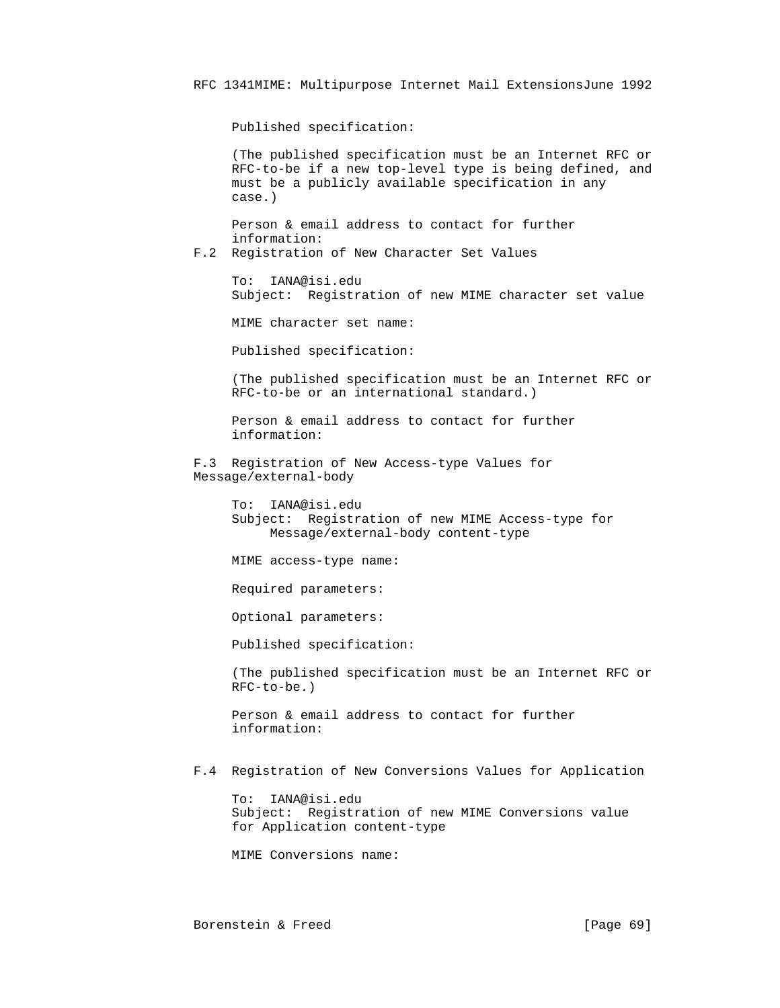Published specification:

 (The published specification must be an Internet RFC or RFC-to-be if a new top-level type is being defined, and must be a publicly available specification in any case.)

 Person & email address to contact for further information:

F.2 Registration of New Character Set Values

 To: IANA@isi.edu Subject: Registration of new MIME character set value

MIME character set name:

Published specification:

 (The published specification must be an Internet RFC or RFC-to-be or an international standard.)

 Person & email address to contact for further information:

 F.3 Registration of New Access-type Values for Message/external-body

> To: IANA@isi.edu Subject: Registration of new MIME Access-type for Message/external-body content-type

MIME access-type name:

Required parameters:

Optional parameters:

Published specification:

 (The published specification must be an Internet RFC or RFC-to-be.)

 Person & email address to contact for further information:

F.4 Registration of New Conversions Values for Application

 To: IANA@isi.edu Subject: Registration of new MIME Conversions value for Application content-type

MIME Conversions name: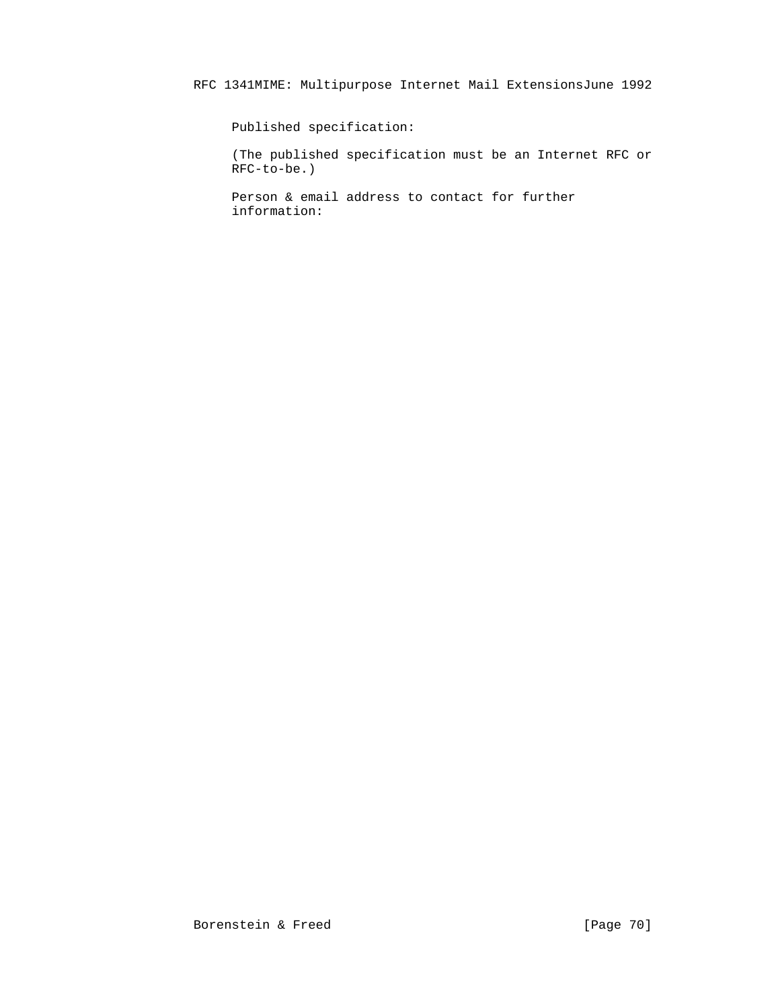Published specification:

 (The published specification must be an Internet RFC or RFC-to-be.)

 Person & email address to contact for further information: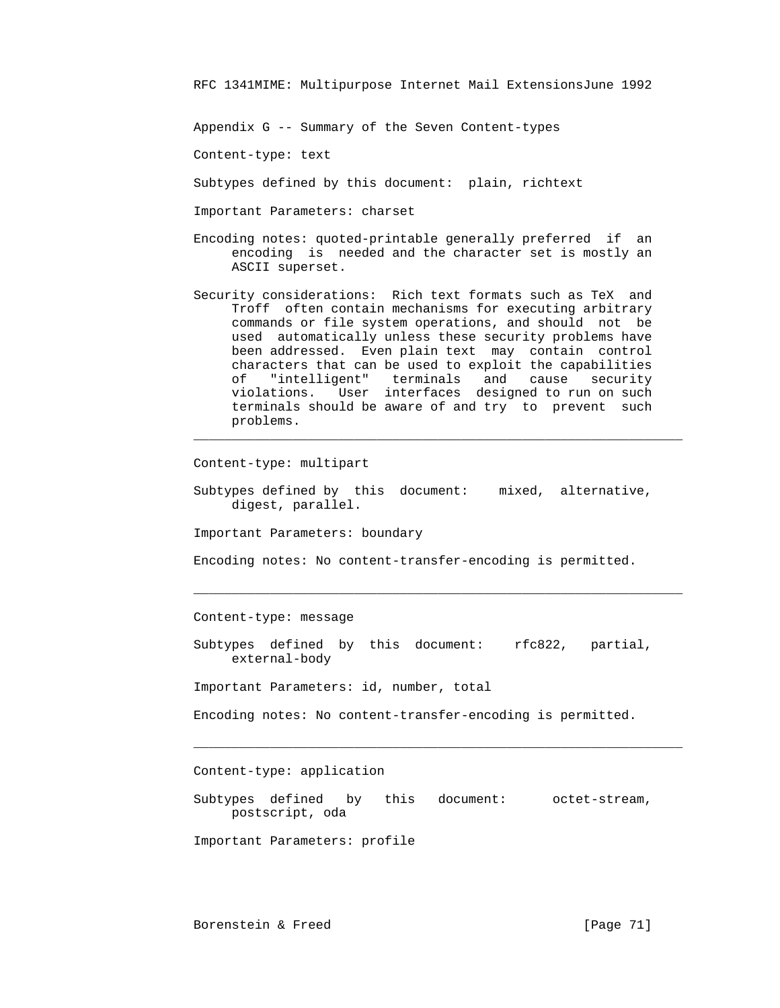Appendix G -- Summary of the Seven Content-types

Content-type: text

Subtypes defined by this document: plain, richtext

Important Parameters: charset

- Encoding notes: quoted-printable generally preferred if an encoding is needed and the character set is mostly an ASCII superset.
- Security considerations: Rich text formats such as TeX and Troff often contain mechanisms for executing arbitrary commands or file system operations, and should not be used automatically unless these security problems have been addressed. Even plain text may contain control characters that can be used to exploit the capabilities of "intelligent" terminals and cause security violations. User interfaces designed to run on such terminals should be aware of and try to prevent such problems.

Content-type: multipart

 Subtypes defined by this document: mixed, alternative, digest, parallel.

 $\mathcal{L}_\mathcal{L}$  , and the contribution of the contribution of the contribution of the contribution of the contribution of the contribution of the contribution of the contribution of the contribution of the contribution of

Important Parameters: boundary

Encoding notes: No content-transfer-encoding is permitted.

 $\mathcal{L}_\text{max} = \frac{1}{2} \sum_{i=1}^{n} \frac{1}{2} \sum_{i=1}^{n} \frac{1}{2} \sum_{i=1}^{n} \frac{1}{2} \sum_{i=1}^{n} \frac{1}{2} \sum_{i=1}^{n} \frac{1}{2} \sum_{i=1}^{n} \frac{1}{2} \sum_{i=1}^{n} \frac{1}{2} \sum_{i=1}^{n} \frac{1}{2} \sum_{i=1}^{n} \frac{1}{2} \sum_{i=1}^{n} \frac{1}{2} \sum_{i=1}^{n} \frac{1}{2} \sum_{i=1}^{n} \frac{1$ 

Content-type: message

 Subtypes defined by this document: rfc822, partial, external-body

Important Parameters: id, number, total

Encoding notes: No content-transfer-encoding is permitted.

 $\mathcal{L}_\mathcal{L}$  , and the contribution of the contribution of the contribution of the contribution of the contribution of the contribution of the contribution of the contribution of the contribution of the contribution of

Content-type: application

 Subtypes defined by this document: octet-stream, postscript, oda

Important Parameters: profile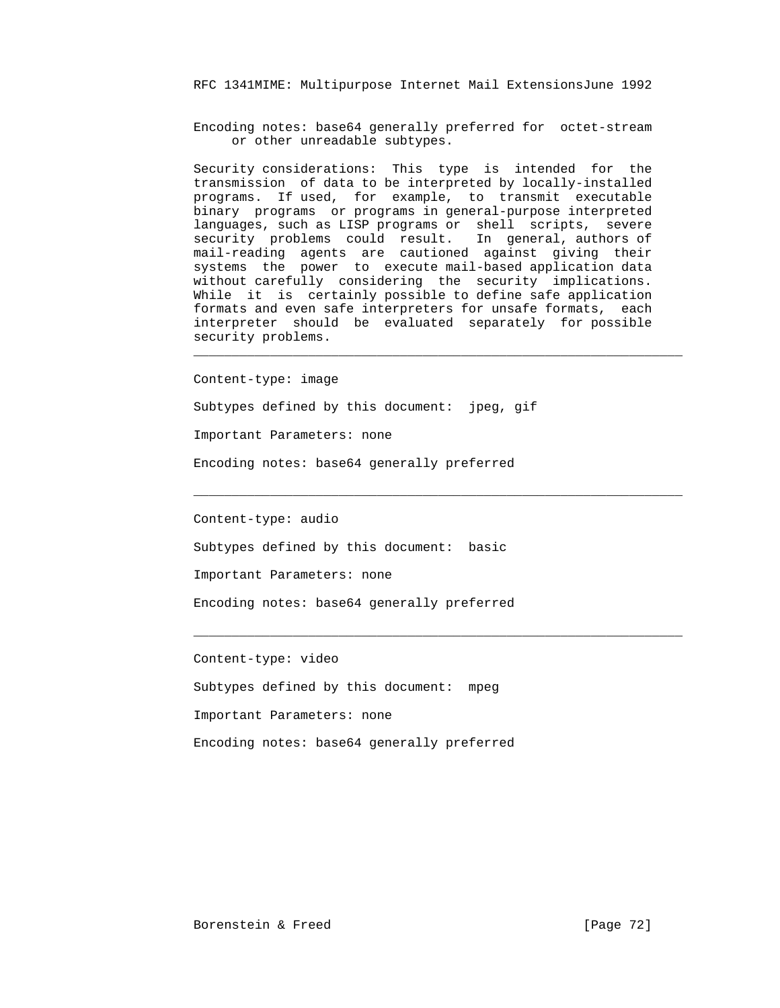Encoding notes: base64 generally preferred for octet-stream or other unreadable subtypes.

 Security considerations: This type is intended for the transmission of data to be interpreted by locally-installed programs. If used, for example, to transmit executable binary programs or programs in general-purpose interpreted languages, such as LISP programs or shell scripts, severe security problems could result. In general, authors of mail-reading agents are cautioned against giving their systems the power to execute mail-based application data without carefully considering the security implications. While it is certainly possible to define safe application formats and even safe interpreters for unsafe formats, each interpreter should be evaluated separately for possible security problems.

Content-type: image

Subtypes defined by this document: jpeg, gif

 $\mathcal{L}_\mathcal{L}$  , and the contribution of the contribution of the contribution of the contribution of the contribution of the contribution of the contribution of the contribution of the contribution of the contribution of

 $\mathcal{L}_\mathcal{L}$  , and the contribution of the contribution of the contribution of the contribution of the contribution of the contribution of the contribution of the contribution of the contribution of the contribution of

 $\mathcal{L}_\text{max} = \frac{1}{2} \sum_{i=1}^{n} \frac{1}{2} \sum_{i=1}^{n} \frac{1}{2} \sum_{i=1}^{n} \frac{1}{2} \sum_{i=1}^{n} \frac{1}{2} \sum_{i=1}^{n} \frac{1}{2} \sum_{i=1}^{n} \frac{1}{2} \sum_{i=1}^{n} \frac{1}{2} \sum_{i=1}^{n} \frac{1}{2} \sum_{i=1}^{n} \frac{1}{2} \sum_{i=1}^{n} \frac{1}{2} \sum_{i=1}^{n} \frac{1}{2} \sum_{i=1}^{n} \frac{1$ 

Important Parameters: none

Encoding notes: base64 generally preferred

Content-type: audio

Subtypes defined by this document: basic

Important Parameters: none

Encoding notes: base64 generally preferred

Content-type: video

Subtypes defined by this document: mpeg

Important Parameters: none

Encoding notes: base64 generally preferred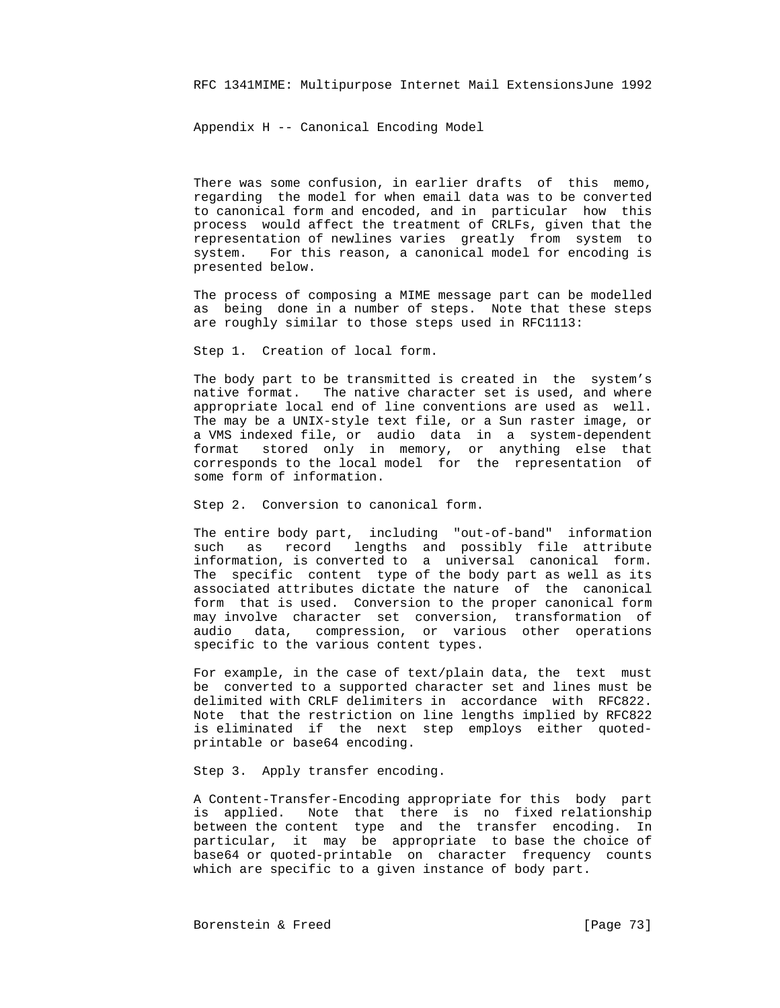Appendix H -- Canonical Encoding Model

 There was some confusion, in earlier drafts of this memo, regarding the model for when email data was to be converted to canonical form and encoded, and in particular how this process would affect the treatment of CRLFs, given that the representation of newlines varies greatly from system to system. For this reason, a canonical model for encoding is presented below.

 The process of composing a MIME message part can be modelled as being done in a number of steps. Note that these steps are roughly similar to those steps used in RFC1113:

Step 1. Creation of local form.

 The body part to be transmitted is created in the system's native format. The native character set is used, and where appropriate local end of line conventions are used as well. The may be a UNIX-style text file, or a Sun raster image, or a VMS indexed file, or audio data in a system-dependent format stored only in memory, or anything else that corresponds to the local model for the representation of some form of information.

Step 2. Conversion to canonical form.

 The entire body part, including "out-of-band" information such as record lengths and possibly file attribute information, is converted to a universal canonical form. The specific content type of the body part as well as its associated attributes dictate the nature of the canonical form that is used. Conversion to the proper canonical form may involve character set conversion, transformation of audio data, compression, or various other operations specific to the various content types.

 For example, in the case of text/plain data, the text must be converted to a supported character set and lines must be delimited with CRLF delimiters in accordance with RFC822. Note that the restriction on line lengths implied by RFC822 is eliminated if the next step employs either quoted printable or base64 encoding.

Step 3. Apply transfer encoding.

 A Content-Transfer-Encoding appropriate for this body part is applied. Note that there is no fixed relationship between the content type and the transfer encoding. In particular, it may be appropriate to base the choice of base64 or quoted-printable on character frequency counts which are specific to a given instance of body part.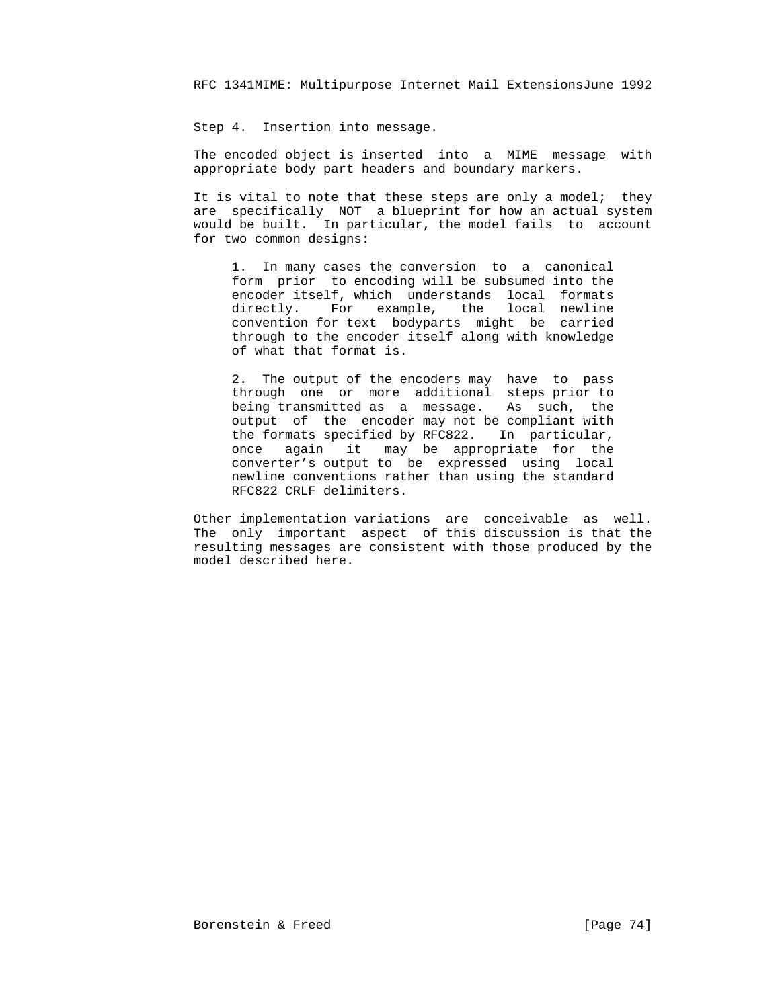Step 4. Insertion into message.

 The encoded object is inserted into a MIME message with appropriate body part headers and boundary markers.

It is vital to note that these steps are only a model; they are specifically NOT a blueprint for how an actual system would be built. In particular, the model fails to account for two common designs:

 1. In many cases the conversion to a canonical form prior to encoding will be subsumed into the encoder itself, which understands local formats directly. For example, the local newline convention for text bodyparts might be carried through to the encoder itself along with knowledge of what that format is.

> 2. The output of the encoders may have to pass through one or more additional steps prior to being transmitted as a message. As such, the output of the encoder may not be compliant with the formats specified by RFC822. In particular, once again it may be appropriate for the converter's output to be expressed using local newline conventions rather than using the standard RFC822 CRLF delimiters.

 Other implementation variations are conceivable as well. The only important aspect of this discussion is that the resulting messages are consistent with those produced by the model described here.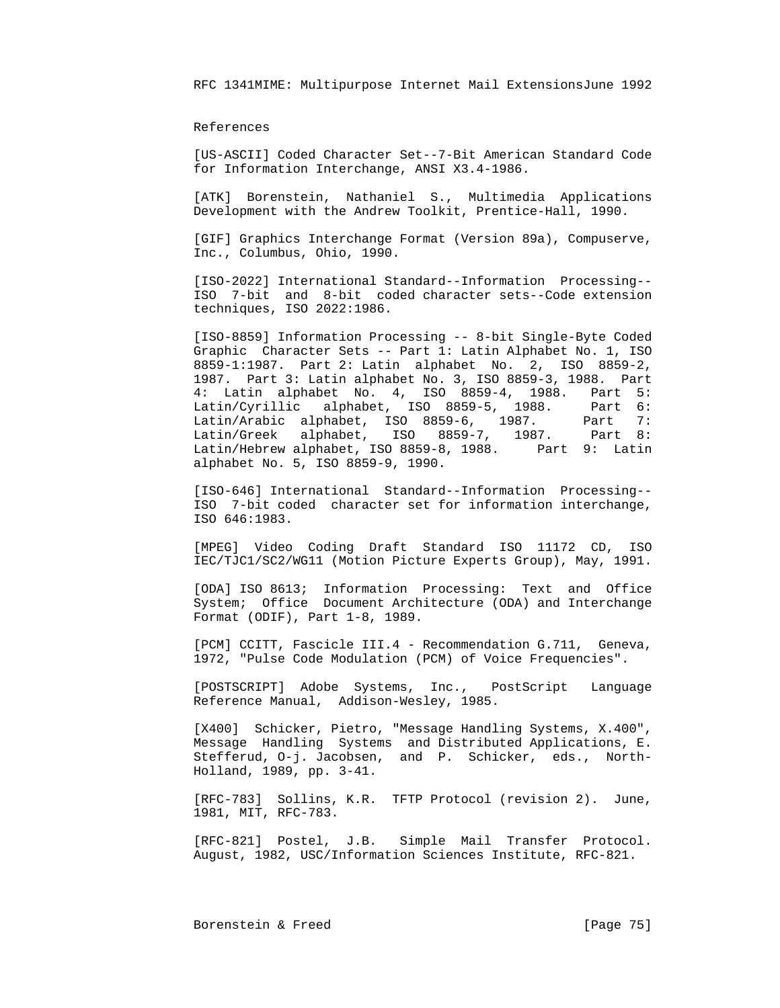## References

 [US-ASCII] Coded Character Set--7-Bit American Standard Code for Information Interchange, ANSI X3.4-1986.

 [ATK] Borenstein, Nathaniel S., Multimedia Applications Development with the Andrew Toolkit, Prentice-Hall, 1990.

 [GIF] Graphics Interchange Format (Version 89a), Compuserve, Inc., Columbus, Ohio, 1990.

 [ISO-2022] International Standard--Information Processing-- ISO 7-bit and 8-bit coded character sets--Code extension techniques, ISO 2022:1986.

 [ISO-8859] Information Processing -- 8-bit Single-Byte Coded Graphic Character Sets -- Part 1: Latin Alphabet No. 1, ISO 8859-1:1987. Part 2: Latin alphabet No. 2, ISO 8859-2, 1987. Part 3: Latin alphabet No. 3, ISO 8859-3, 1988. Part 4: Latin alphabet No. 4, ISO 8859-4, 1988. Part 5: Latin/Cyrillic alphabet, ISO 8859-5, 1988. Part 6: Latin/Arabic alphabet, ISO 8859-6, 1987. Part 7: Latin/Greek alphabet, ISO 8859-7, 1987. Part 8: Latin/Hebrew alphabet, ISO 8859-8, 1988. Part 9: Latin alphabet No. 5, ISO 8859-9, 1990.

 [ISO-646] International Standard--Information Processing-- ISO 7-bit coded character set for information interchange, ISO 646:1983.

 [MPEG] Video Coding Draft Standard ISO 11172 CD, ISO IEC/TJC1/SC2/WG11 (Motion Picture Experts Group), May, 1991.

 [ODA] ISO 8613; Information Processing: Text and Office System; Office Document Architecture (ODA) and Interchange Format (ODIF), Part 1-8, 1989.

 [PCM] CCITT, Fascicle III.4 - Recommendation G.711, Geneva, 1972, "Pulse Code Modulation (PCM) of Voice Frequencies".

 [POSTSCRIPT] Adobe Systems, Inc., PostScript Language Reference Manual, Addison-Wesley, 1985.

 [X400] Schicker, Pietro, "Message Handling Systems, X.400", Message Handling Systems and Distributed Applications, E. Stefferud, O-j. Jacobsen, and P. Schicker, eds., North- Holland, 1989, pp. 3-41.

 [RFC-783] Sollins, K.R. TFTP Protocol (revision 2). June, 1981, MIT, RFC-783.

 [RFC-821] Postel, J.B. Simple Mail Transfer Protocol. August, 1982, USC/Information Sciences Institute, RFC-821.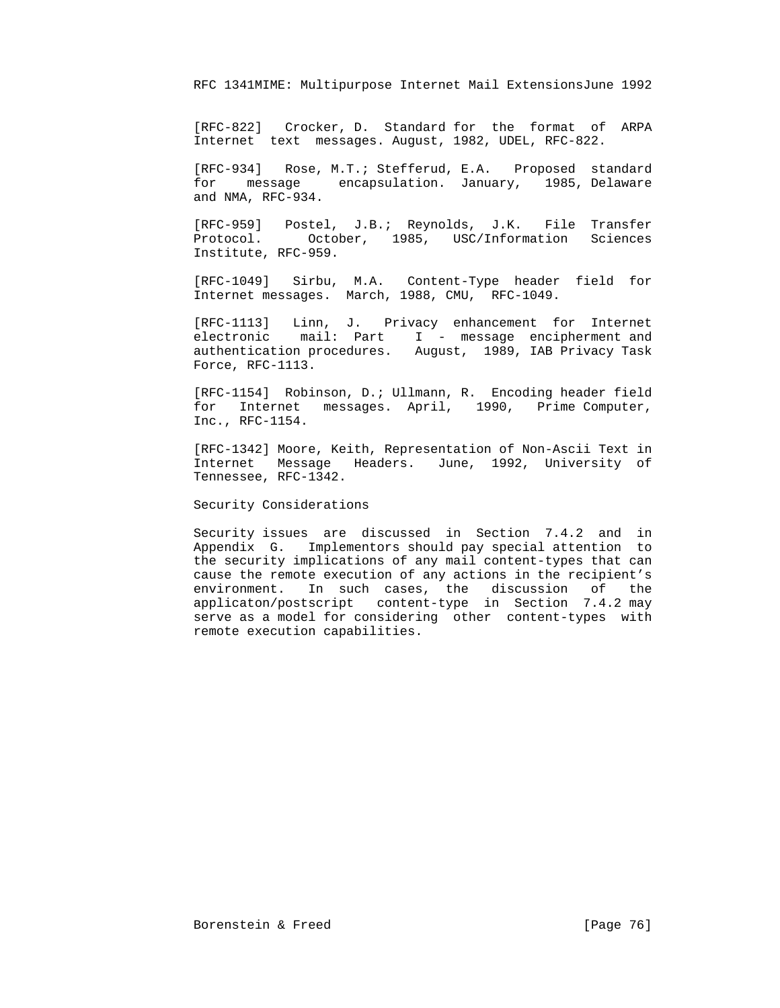[RFC-822] Crocker, D. Standard for the format of ARPA Internet text messages. August, 1982, UDEL, RFC-822.

 [RFC-934] Rose, M.T.; Stefferud, E.A. Proposed standard for message encapsulation. January, 1985, Delaware and NMA, RFC-934.

 [RFC-959] Postel, J.B.; Reynolds, J.K. File Transfer Protocol. October, 1985, USC/Information Sciences Institute, RFC-959.

 [RFC-1049] Sirbu, M.A. Content-Type header field for Internet messages. March, 1988, CMU, RFC-1049.

 [RFC-1113] Linn, J. Privacy enhancement for Internet electronic mail: Part I - message encipherment and authentication procedures. August, 1989, IAB Privacy Task Force, RFC-1113.

 [RFC-1154] Robinson, D.; Ullmann, R. Encoding header field for Internet messages. April, 1990, Prime Computer, Inc., RFC-1154.

 [RFC-1342] Moore, Keith, Representation of Non-Ascii Text in Internet Message Headers. June, 1992, University of Tennessee, RFC-1342.

Security Considerations

 Security issues are discussed in Section 7.4.2 and in Appendix G. Implementors should pay special attention to the security implications of any mail content-types that can cause the remote execution of any actions in the recipient's environment. In such cases, the discussion of the applicaton/postscript content-type in Section 7.4.2 may serve as a model for considering other content-types with remote execution capabilities.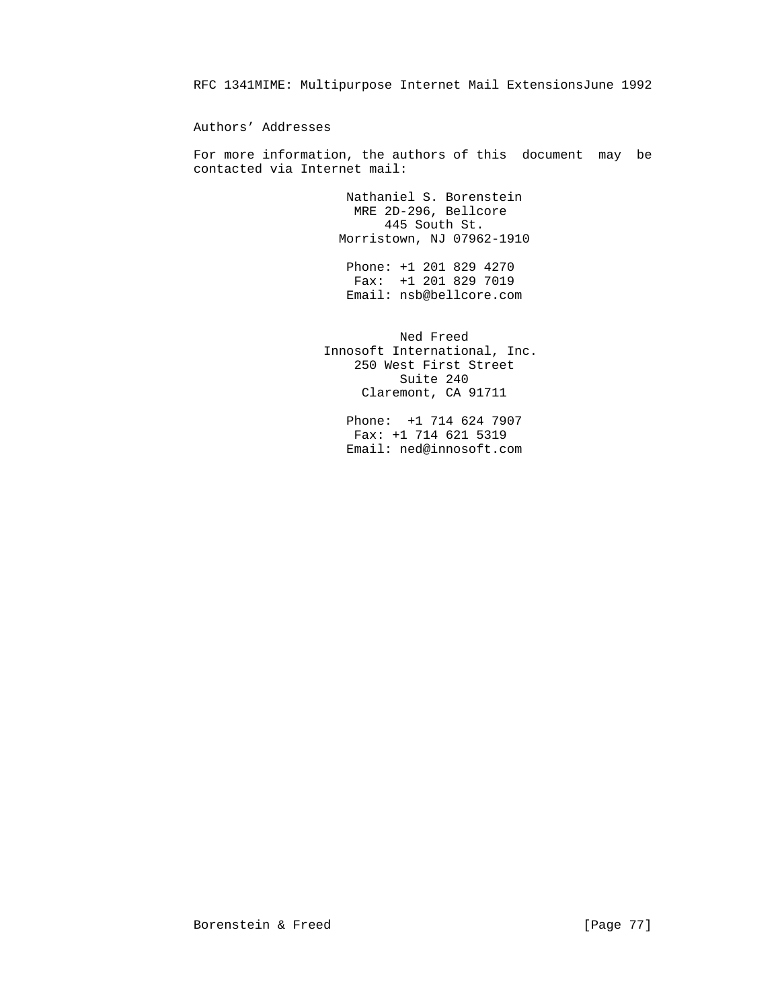Authors' Addresses

 For more information, the authors of this document may be contacted via Internet mail:

> Nathaniel S. Borenstein MRE 2D-296, Bellcore 445 South St. Morristown, NJ 07962-1910

 Phone: +1 201 829 4270 Fax: +1 201 829 7019 Email: nsb@bellcore.com

> Ned Freed Innosoft International, Inc. 250 West First Street Suite 240 Claremont, CA 91711

> > Phone: +1 714 624 7907 Fax: +1 714 621 5319 Email: ned@innosoft.com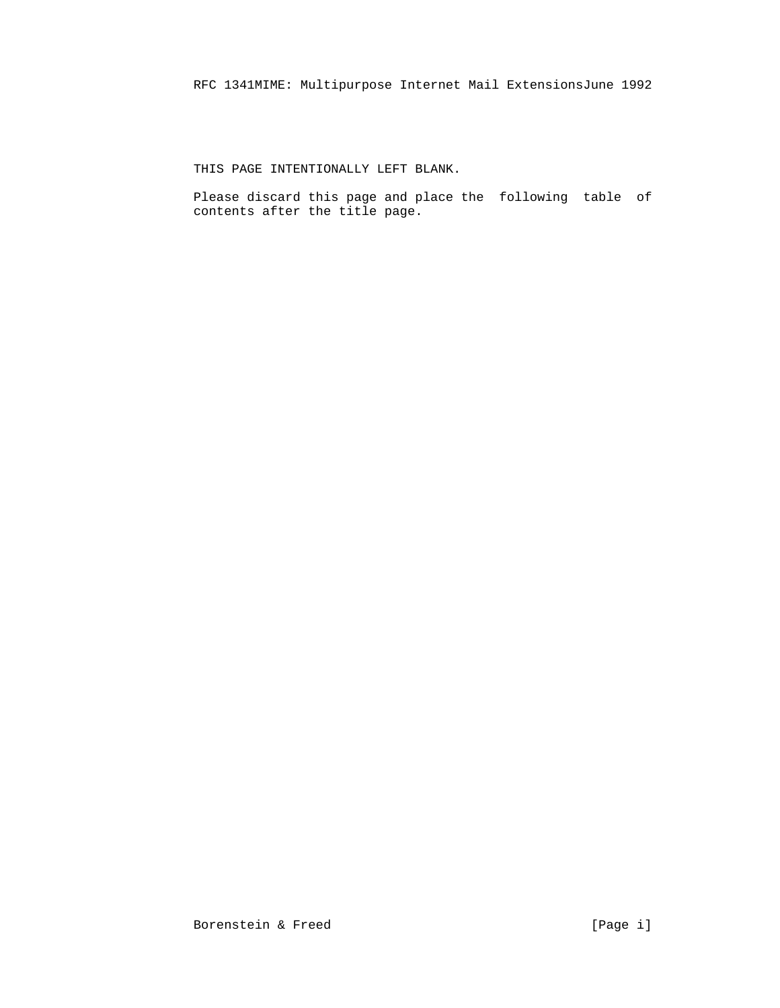THIS PAGE INTENTIONALLY LEFT BLANK.

 Please discard this page and place the following table of contents after the title page.